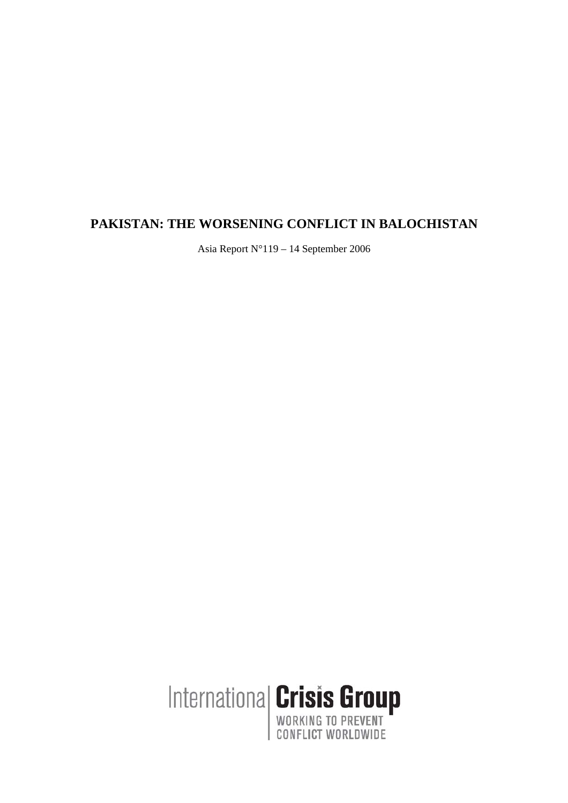## **PAKISTAN: THE WORSENING CONFLICT IN BALOCHISTAN**

Asia Report N°119 – 14 September 2006

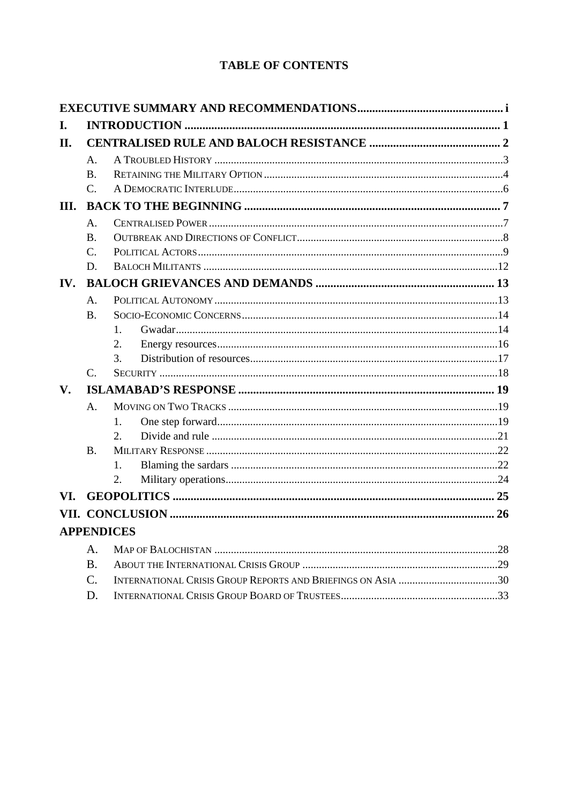# **TABLE OF CONTENTS**

| I.          |                       |                   |  |  |
|-------------|-----------------------|-------------------|--|--|
| II.         |                       |                   |  |  |
|             | A.                    |                   |  |  |
|             | <b>B.</b>             |                   |  |  |
|             | $C_{\cdot}$           |                   |  |  |
| III.        |                       |                   |  |  |
|             | $\mathsf{A}$ .        |                   |  |  |
|             | <b>B.</b>             |                   |  |  |
|             | C.                    |                   |  |  |
|             | D.                    |                   |  |  |
| IV.         |                       |                   |  |  |
|             | A.                    |                   |  |  |
|             | <b>B.</b>             |                   |  |  |
|             |                       | 1.                |  |  |
|             |                       | 2.                |  |  |
|             |                       | 3.                |  |  |
|             | $\mathcal{C}_{\cdot}$ |                   |  |  |
| $V_{\cdot}$ |                       |                   |  |  |
|             | A.                    |                   |  |  |
|             |                       | 1.                |  |  |
|             |                       | 2.                |  |  |
|             | $\mathbf{B}$ .        |                   |  |  |
|             |                       | 1.                |  |  |
|             |                       | 2.                |  |  |
| VI.         |                       |                   |  |  |
|             |                       |                   |  |  |
|             |                       | <b>APPENDICES</b> |  |  |
|             | A.                    |                   |  |  |
|             | <b>B.</b>             |                   |  |  |
|             | $\mathcal{C}$ .       |                   |  |  |
|             | D.                    |                   |  |  |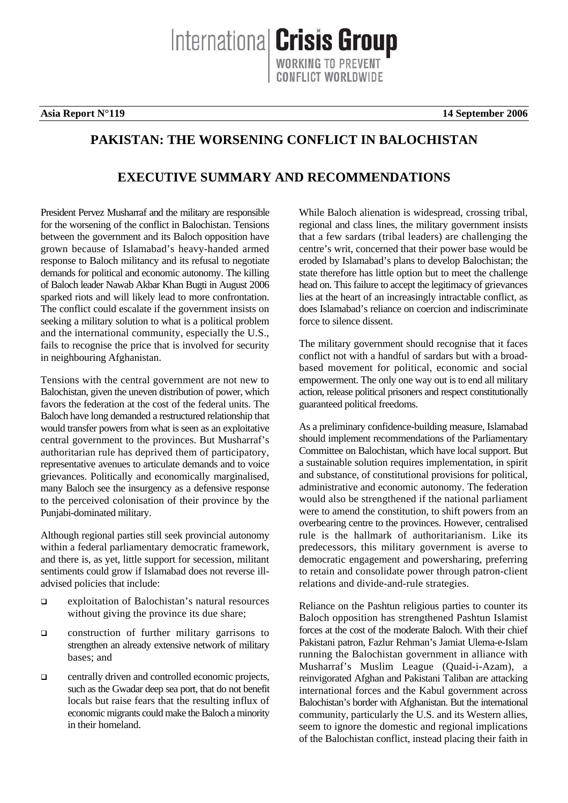Internationa **Crisis Group** 

**Asia Report N°119** 14 September 2006

## **PAKISTAN: THE WORSENING CONFLICT IN BALOCHISTAN**

## **EXECUTIVE SUMMARY AND RECOMMENDATIONS**

President Pervez Musharraf and the military are responsible for the worsening of the conflict in Balochistan. Tensions between the government and its Baloch opposition have grown because of Islamabad's heavy-handed armed response to Baloch militancy and its refusal to negotiate demands for political and economic autonomy. The killing of Baloch leader Nawab Akbar Khan Bugti in August 2006 sparked riots and will likely lead to more confrontation. The conflict could escalate if the government insists on seeking a military solution to what is a political problem and the international community, especially the U.S., fails to recognise the price that is involved for security in neighbouring Afghanistan.

Tensions with the central government are not new to Balochistan, given the uneven distribution of power, which favors the federation at the cost of the federal units. The Baloch have long demanded a restructured relationship that would transfer powers from what is seen as an exploitative central government to the provinces. But Musharraf's authoritarian rule has deprived them of participatory, representative avenues to articulate demands and to voice grievances. Politically and economically marginalised, many Baloch see the insurgency as a defensive response to the perceived colonisation of their province by the Punjabi-dominated military.

Although regional parties still seek provincial autonomy within a federal parliamentary democratic framework, and there is, as yet, little support for secession, militant sentiments could grow if Islamabad does not reverse illadvised policies that include:

- exploitation of Balochistan's natural resources without giving the province its due share;
- $\Box$  construction of further military garrisons to strengthen an already extensive network of military bases; and
- $\Box$  centrally driven and controlled economic projects, such as the Gwadar deep sea port, that do not benefit locals but raise fears that the resulting influx of economic migrants could make the Baloch a minority in their homeland.

While Baloch alienation is widespread, crossing tribal, regional and class lines, the military government insists that a few sardars (tribal leaders) are challenging the centre's writ, concerned that their power base would be eroded by Islamabad's plans to develop Balochistan; the state therefore has little option but to meet the challenge head on. This failure to accept the legitimacy of grievances lies at the heart of an increasingly intractable conflict, as does Islamabad's reliance on coercion and indiscriminate force to silence dissent.

The military government should recognise that it faces conflict not with a handful of sardars but with a broadbased movement for political, economic and social empowerment. The only one way out is to end all military action, release political prisoners and respect constitutionally guaranteed political freedoms.

As a preliminary confidence-building measure, Islamabad should implement recommendations of the Parliamentary Committee on Balochistan, which have local support. But a sustainable solution requires implementation, in spirit and substance, of constitutional provisions for political, administrative and economic autonomy. The federation would also be strengthened if the national parliament were to amend the constitution, to shift powers from an overbearing centre to the provinces. However, centralised rule is the hallmark of authoritarianism. Like its predecessors, this military government is averse to democratic engagement and powersharing, preferring to retain and consolidate power through patron-client relations and divide-and-rule strategies.

Reliance on the Pashtun religious parties to counter its Baloch opposition has strengthened Pashtun Islamist forces at the cost of the moderate Baloch. With their chief Pakistani patron, Fazlur Rehman's Jamiat Ulema-e-Islam running the Balochistan government in alliance with Musharraf's Muslim League (Quaid-i-Azam), a reinvigorated Afghan and Pakistani Taliban are attacking international forces and the Kabul government across Balochistan's border with Afghanistan. But the international community, particularly the U.S. and its Western allies, seem to ignore the domestic and regional implications of the Balochistan conflict, instead placing their faith in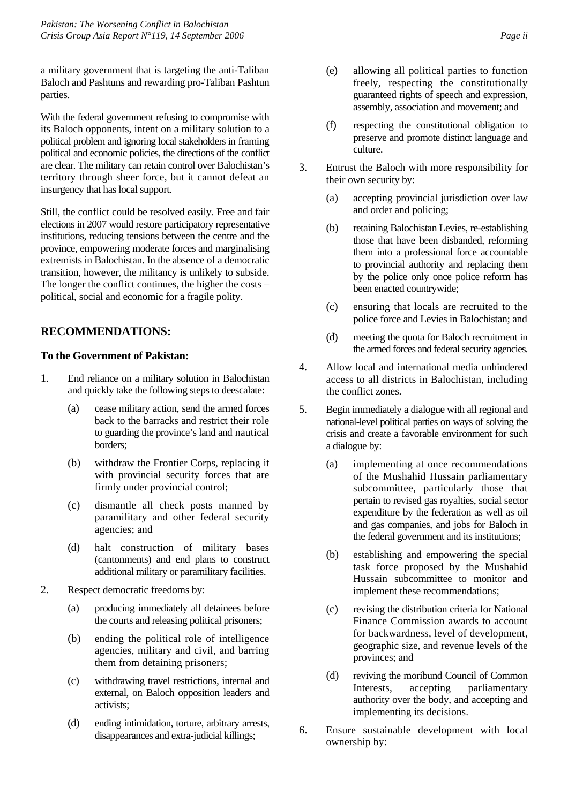a military government that is targeting the anti-Taliban Baloch and Pashtuns and rewarding pro-Taliban Pashtun parties.

With the federal government refusing to compromise with its Baloch opponents, intent on a military solution to a political problem and ignoring local stakeholders in framing political and economic policies, the directions of the conflict are clear. The military can retain control over Balochistan's territory through sheer force, but it cannot defeat an insurgency that has local support.

Still, the conflict could be resolved easily. Free and fair elections in 2007 would restore participatory representative institutions, reducing tensions between the centre and the province, empowering moderate forces and marginalising extremists in Balochistan. In the absence of a democratic transition, however, the militancy is unlikely to subside. The longer the conflict continues, the higher the costs – political, social and economic for a fragile polity.

## **RECOMMENDATIONS:**

### **To the Government of Pakistan:**

- 1. End reliance on a military solution in Balochistan and quickly take the following steps to deescalate:
	- (a) cease military action, send the armed forces back to the barracks and restrict their role to guarding the province's land and nautical borders;
	- (b) withdraw the Frontier Corps, replacing it with provincial security forces that are firmly under provincial control;
	- (c) dismantle all check posts manned by paramilitary and other federal security agencies; and
	- (d) halt construction of military bases (cantonments) and end plans to construct additional military or paramilitary facilities.
- 2. Respect democratic freedoms by:
	- (a) producing immediately all detainees before the courts and releasing political prisoners;
	- (b) ending the political role of intelligence agencies, military and civil, and barring them from detaining prisoners;
	- (c) withdrawing travel restrictions, internal and external, on Baloch opposition leaders and activists;
	- (d) ending intimidation, torture, arbitrary arrests, disappearances and extra-judicial killings;
- (e) allowing all political parties to function freely, respecting the constitutionally guaranteed rights of speech and expression, assembly, association and movement; and
- (f) respecting the constitutional obligation to preserve and promote distinct language and culture.
- 3. Entrust the Baloch with more responsibility for their own security by:
	- (a) accepting provincial jurisdiction over law and order and policing;
	- (b) retaining Balochistan Levies, re-establishing those that have been disbanded, reforming them into a professional force accountable to provincial authority and replacing them by the police only once police reform has been enacted countrywide;
	- (c) ensuring that locals are recruited to the police force and Levies in Balochistan; and
	- (d) meeting the quota for Baloch recruitment in the armed forces and federal security agencies.
- 4. Allow local and international media unhindered access to all districts in Balochistan, including the conflict zones.
- 5. Begin immediately a dialogue with all regional and national-level political parties on ways of solving the crisis and create a favorable environment for such a dialogue by:
	- (a) implementing at once recommendations of the Mushahid Hussain parliamentary subcommittee, particularly those that pertain to revised gas royalties, social sector expenditure by the federation as well as oil and gas companies, and jobs for Baloch in the federal government and its institutions;
	- (b) establishing and empowering the special task force proposed by the Mushahid Hussain subcommittee to monitor and implement these recommendations;
	- (c) revising the distribution criteria for National Finance Commission awards to account for backwardness, level of development, geographic size, and revenue levels of the provinces; and
	- (d) reviving the moribund Council of Common Interests, accepting parliamentary authority over the body, and accepting and implementing its decisions.
- 6. Ensure sustainable development with local ownership by: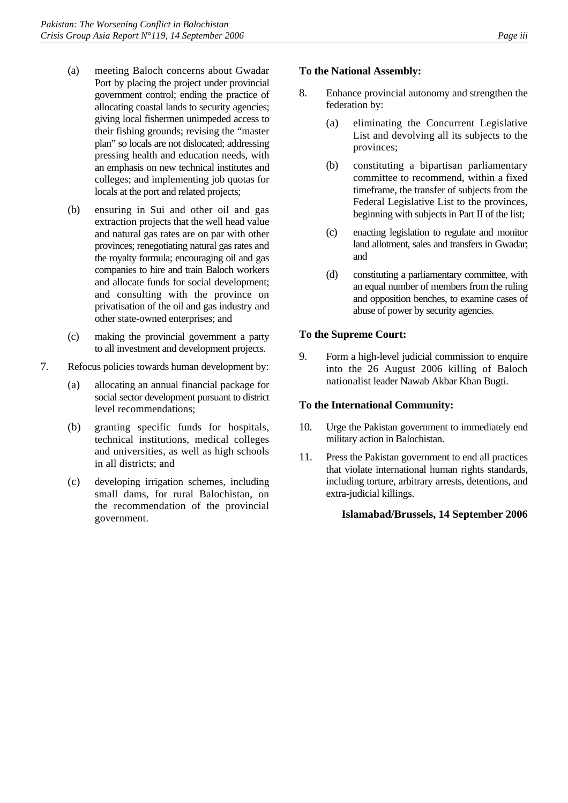- (a) meeting Baloch concerns about Gwadar Port by placing the project under provincial government control; ending the practice of allocating coastal lands to security agencies; giving local fishermen unimpeded access to their fishing grounds; revising the "master plan" so locals are not dislocated; addressing pressing health and education needs, with an emphasis on new technical institutes and colleges; and implementing job quotas for locals at the port and related projects;
- (b) ensuring in Sui and other oil and gas extraction projects that the well head value and natural gas rates are on par with other provinces; renegotiating natural gas rates and the royalty formula; encouraging oil and gas companies to hire and train Baloch workers and allocate funds for social development; and consulting with the province on privatisation of the oil and gas industry and other state-owned enterprises; and
- (c) making the provincial government a party to all investment and development projects.
- 7. Refocus policies towards human development by:
	- (a) allocating an annual financial package for social sector development pursuant to district level recommendations;
	- (b) granting specific funds for hospitals, technical institutions, medical colleges and universities, as well as high schools in all districts; and
	- (c) developing irrigation schemes, including small dams, for rural Balochistan, on the recommendation of the provincial government.

#### **To the National Assembly:**

- 8. Enhance provincial autonomy and strengthen the federation by:
	- (a) eliminating the Concurrent Legislative List and devolving all its subjects to the provinces;
	- (b) constituting a bipartisan parliamentary committee to recommend, within a fixed timeframe, the transfer of subjects from the Federal Legislative List to the provinces, beginning with subjects in Part II of the list;
	- (c) enacting legislation to regulate and monitor land allotment, sales and transfers in Gwadar; and
	- (d) constituting a parliamentary committee, with an equal number of members from the ruling and opposition benches, to examine cases of abuse of power by security agencies.

#### **To the Supreme Court:**

9. Form a high-level judicial commission to enquire into the 26 August 2006 killing of Baloch nationalist leader Nawab Akbar Khan Bugti.

#### **To the International Community:**

- 10. Urge the Pakistan government to immediately end military action in Balochistan.
- 11. Press the Pakistan government to end all practices that violate international human rights standards, including torture, arbitrary arrests, detentions, and extra-judicial killings.

#### **Islamabad/Brussels, 14 September 2006**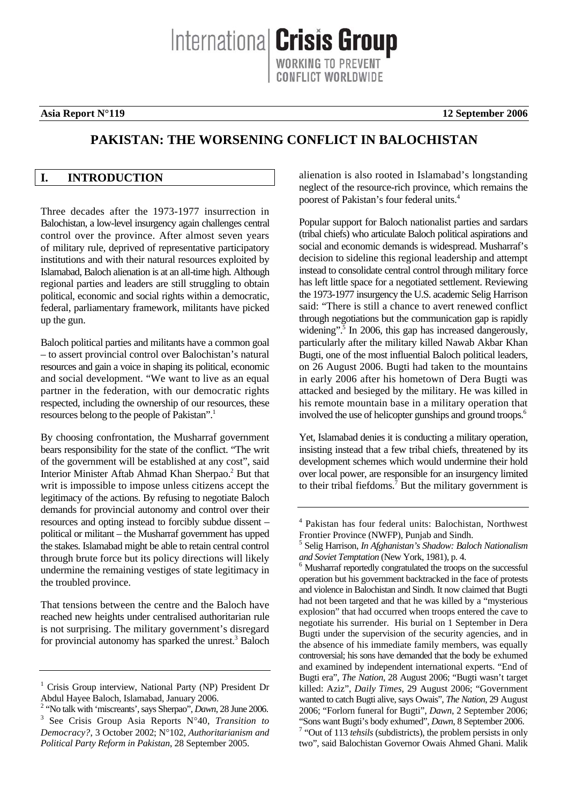Internationa **Crisis Group** ONFLICT WORLDWIDE

#### **Asia Report N°119** 12 September 2006

## **PAKISTAN: THE WORSENING CONFLICT IN BALOCHISTAN**

## **I. INTRODUCTION**

Three decades after the 1973-1977 insurrection in Balochistan, a low-level insurgency again challenges central control over the province. After almost seven years of military rule, deprived of representative participatory institutions and with their natural resources exploited by Islamabad, Baloch alienation is at an all-time high. Although regional parties and leaders are still struggling to obtain political, economic and social rights within a democratic, federal, parliamentary framework, militants have picked up the gun.

Baloch political parties and militants have a common goal – to assert provincial control over Balochistan's natural resources and gain a voice in shaping its political, economic and social development. "We want to live as an equal partner in the federation, with our democratic rights respected, including the ownership of our resources, these resources belong to the people of Pakistan".<sup>1</sup>

By choosing confrontation, the Musharraf government bears responsibility for the state of the conflict. "The writ of the government will be established at any cost", said Interior Minister Aftab Ahmad Khan Sherpao.<sup>2</sup> But that writ is impossible to impose unless citizens accept the legitimacy of the actions. By refusing to negotiate Baloch demands for provincial autonomy and control over their resources and opting instead to forcibly subdue dissent – political or militant – the Musharraf government has upped the stakes. Islamabad might be able to retain central control through brute force but its policy directions will likely undermine the remaining vestiges of state legitimacy in the troubled province.

That tensions between the centre and the Baloch have reached new heights under centralised authoritarian rule is not surprising. The military government's disregard for provincial autonomy has sparked the unrest.<sup>3</sup> Baloch alienation is also rooted in Islamabad's longstanding neglect of the resource-rich province, which remains the poorest of Pakistan's four federal units.4

Popular support for Baloch nationalist parties and sardars (tribal chiefs) who articulate Baloch political aspirations and social and economic demands is widespread. Musharraf's decision to sideline this regional leadership and attempt instead to consolidate central control through military force has left little space for a negotiated settlement. Reviewing the 1973-1977 insurgency the U.S. academic Selig Harrison said: "There is still a chance to avert renewed conflict through negotiations but the communication gap is rapidly widening".<sup>5</sup> In 2006, this gap has increased dangerously, particularly after the military killed Nawab Akbar Khan Bugti, one of the most influential Baloch political leaders, on 26 August 2006. Bugti had taken to the mountains in early 2006 after his hometown of Dera Bugti was attacked and besieged by the military. He was killed in his remote mountain base in a military operation that involved the use of helicopter gunships and ground troops.<sup>6</sup>

Yet, Islamabad denies it is conducting a military operation, insisting instead that a few tribal chiefs, threatened by its development schemes which would undermine their hold over local power, are responsible for an insurgency limited to their tribal fiefdoms.<sup>7</sup> But the military government is

<sup>&</sup>lt;sup>1</sup> Crisis Group interview, National Party (NP) President Dr Abdul Hayee Baloch, Islamabad, January 2006.

<sup>&</sup>lt;sup>2</sup> 'No talk with 'miscreants', says Sherpao'', *Dawn*, 28 June 2006. See Crisis Group Asia Reports N°40, *Transition to Democracy?*, 3 October 2002; N°102, *Authoritarianism and Political Party Reform in Pakistan*, 28 September 2005.

<sup>4</sup> Pakistan has four federal units: Balochistan, Northwest Frontier Province (NWFP), Punjab and Sindh.

<sup>5</sup> Selig Harrison, *In Afghanistan's Shadow: Baloch Nationalism and Soviet Temptation* (New York, 1981), p. 4.

<sup>&</sup>lt;sup>6</sup> Musharraf reportedly congratulated the troops on the successful operation but his government backtracked in the face of protests and violence in Balochistan and Sindh. It now claimed that Bugti had not been targeted and that he was killed by a "mysterious explosion" that had occurred when troops entered the cave to negotiate his surrender. His burial on 1 September in Dera Bugti under the supervision of the security agencies, and in the absence of his immediate family members, was equally controversial; his sons have demanded that the body be exhumed and examined by independent international experts. "End of Bugti era", *The Nation*, 28 August 2006; "Bugti wasn't target killed: Aziz", *Daily Times*, 29 August 2006; "Government wanted to catch Bugti alive, says Owais", *The Nation*, 29 August 2006; "Forlorn funeral for Bugti", *Dawn*, 2 September 2006; "Sons want Bugti's body exhumed", *Dawn*, 8 September 2006. 7 <sup>7</sup> "Out of 113 *tehsils* (subdistricts), the problem persists in only two", said Balochistan Governor Owais Ahmed Ghani. Malik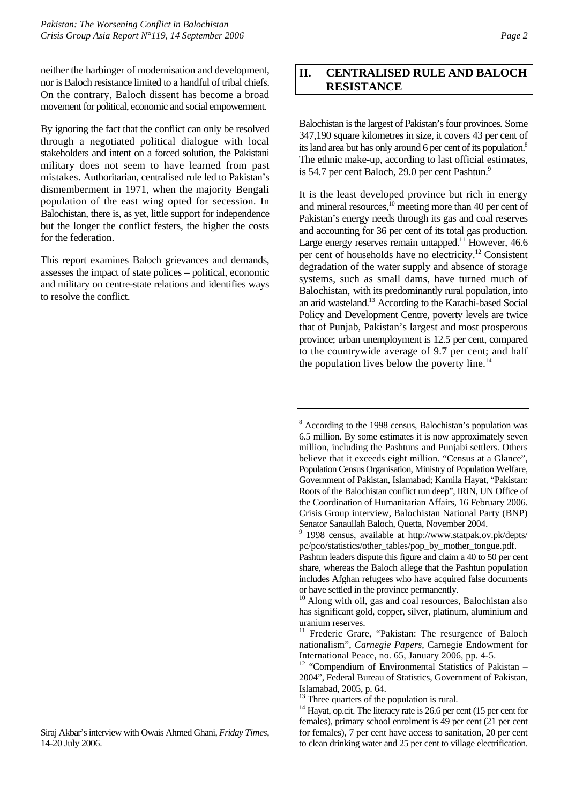neither the harbinger of modernisation and development, nor is Baloch resistance limited to a handful of tribal chiefs. On the contrary, Baloch dissent has become a broad movement for political, economic and social empowerment.

By ignoring the fact that the conflict can only be resolved through a negotiated political dialogue with local stakeholders and intent on a forced solution, the Pakistani military does not seem to have learned from past mistakes. Authoritarian, centralised rule led to Pakistan's dismemberment in 1971, when the majority Bengali population of the east wing opted for secession. In Balochistan, there is, as yet, little support for independence but the longer the conflict festers, the higher the costs for the federation.

This report examines Baloch grievances and demands, assesses the impact of state polices – political, economic and military on centre-state relations and identifies ways to resolve the conflict.

## **II. CENTRALISED RULE AND BALOCH RESISTANCE**

Balochistan is the largest of Pakistan's four provinces. Some 347,190 square kilometres in size, it covers 43 per cent of its land area but has only around 6 per cent of its population.<sup>8</sup> The ethnic make-up, according to last official estimates, is 54.7 per cent Baloch, 29.0 per cent Pashtun.<sup>9</sup>

It is the least developed province but rich in energy and mineral resources,<sup>10</sup> meeting more than 40 per cent of Pakistan's energy needs through its gas and coal reserves and accounting for 36 per cent of its total gas production. Large energy reserves remain untapped.<sup>11</sup> However,  $46.6$ per cent of households have no electricity.<sup>12</sup> Consistent degradation of the water supply and absence of storage systems, such as small dams, have turned much of Balochistan, with its predominantly rural population, into an arid wasteland.13 According to the Karachi-based Social Policy and Development Centre, poverty levels are twice that of Punjab, Pakistan's largest and most prosperous province; urban unemployment is 12.5 per cent, compared to the countrywide average of 9.7 per cent; and half the population lives below the poverty line.<sup>14</sup>

Siraj Akbar's interview with Owais Ahmed Ghani, *Friday Times*, 14-20 July 2006.

<sup>&</sup>lt;sup>8</sup> According to the 1998 census, Balochistan's population was 6.5 million. By some estimates it is now approximately seven million, including the Pashtuns and Punjabi settlers. Others believe that it exceeds eight million. "Census at a Glance", Population Census Organisation, Ministry of Population Welfare, Government of Pakistan, Islamabad; Kamila Hayat, "Pakistan: Roots of the Balochistan conflict run deep", IRIN, UN Office of the Coordination of Humanitarian Affairs, 16 February 2006. Crisis Group interview, Balochistan National Party (BNP) Senator Sanaullah Baloch, Quetta, November 2004.

<sup>9</sup> 1998 census, available at http://www.statpak.ov.pk/depts/ pc/pco/statistics/other\_tables/pop\_by\_mother\_tongue.pdf.

Pashtun leaders dispute this figure and claim a 40 to 50 per cent share, whereas the Baloch allege that the Pashtun population includes Afghan refugees who have acquired false documents or have settled in the province permanently.

<sup>&</sup>lt;sup>10</sup> Along with oil, gas and coal resources, Balochistan also has significant gold, copper, silver, platinum, aluminium and uranium reserves.

<sup>&</sup>lt;sup>11</sup> Frederic Grare, "Pakistan: The resurgence of Baloch nationalism", *Carnegie Papers*, Carnegie Endowment for

International Peace, no. 65, January 2006, pp. 4-5.<br><sup>12</sup> "Compendium of Environmental Statistics of Pakistan – 2004", Federal Bureau of Statistics, Government of Pakistan, Islamabad, 2005, p. 64.

<sup>&</sup>lt;sup>13</sup> Three quarters of the population is rural.

<sup>&</sup>lt;sup>14</sup> Hayat, op.cit. The literacy rate is 26.6 per cent (15 per cent for females), primary school enrolment is 49 per cent (21 per cent for females), 7 per cent have access to sanitation, 20 per cent to clean drinking water and 25 per cent to village electrification.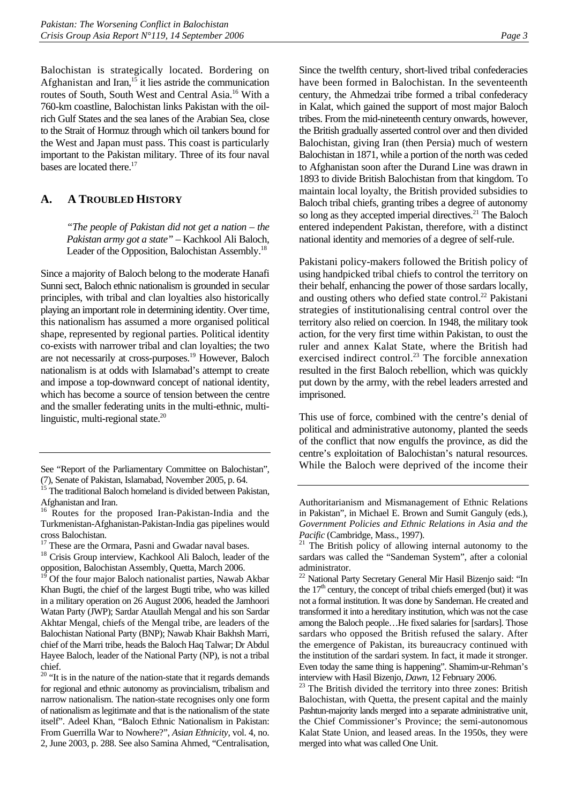Balochistan is strategically located. Bordering on Afghanistan and Iran, $15$  it lies astride the communication routes of South, South West and Central Asia.16 With a 760-km coastline, Balochistan links Pakistan with the oilrich Gulf States and the sea lanes of the Arabian Sea, close to the Strait of Hormuz through which oil tankers bound for the West and Japan must pass. This coast is particularly important to the Pakistan military. Three of its four naval bases are located there.<sup>17</sup>

## **A. A TROUBLED HISTORY**

*"The people of Pakistan did not get a nation – the Pakistan army got a state"* – Kachkool Ali Baloch, Leader of the Opposition, Balochistan Assembly.<sup>18</sup>

Since a majority of Baloch belong to the moderate Hanafi Sunni sect, Baloch ethnic nationalism is grounded in secular principles, with tribal and clan loyalties also historically playing an important role in determining identity. Over time, this nationalism has assumed a more organised political shape, represented by regional parties. Political identity co-exists with narrower tribal and clan loyalties; the two are not necessarily at cross-purposes.<sup>19</sup> However, Baloch nationalism is at odds with Islamabad's attempt to create and impose a top-downward concept of national identity, which has become a source of tension between the centre and the smaller federating units in the multi-ethnic, multilinguistic, multi-regional state.<sup>20</sup>

Since the twelfth century, short-lived tribal confederacies have been formed in Balochistan. In the seventeenth century, the Ahmedzai tribe formed a tribal confederacy in Kalat, which gained the support of most major Baloch tribes. From the mid-nineteenth century onwards, however, the British gradually asserted control over and then divided Balochistan, giving Iran (then Persia) much of western Balochistan in 1871, while a portion of the north was ceded to Afghanistan soon after the Durand Line was drawn in 1893 to divide British Balochistan from that kingdom. To maintain local loyalty, the British provided subsidies to Baloch tribal chiefs, granting tribes a degree of autonomy so long as they accepted imperial directives.<sup>21</sup> The Baloch entered independent Pakistan, therefore, with a distinct national identity and memories of a degree of self-rule.

Pakistani policy-makers followed the British policy of using handpicked tribal chiefs to control the territory on their behalf, enhancing the power of those sardars locally, and ousting others who defied state control.<sup>22</sup> Pakistani strategies of institutionalising central control over the territory also relied on coercion. In 1948, the military took action, for the very first time within Pakistan, to oust the ruler and annex Kalat State, where the British had exercised indirect control.<sup>23</sup> The forcible annexation resulted in the first Baloch rebellion, which was quickly put down by the army, with the rebel leaders arrested and imprisoned.

This use of force, combined with the centre's denial of political and administrative autonomy, planted the seeds of the conflict that now engulfs the province, as did the centre's exploitation of Balochistan's natural resources. While the Baloch were deprived of the income their

See "Report of the Parliamentary Committee on Balochistan", (7), Senate of Pakistan, Islamabad, November 2005, p. 64.

<sup>&</sup>lt;sup>15</sup> The traditional Baloch homeland is divided between Pakistan, Afghanistan and Iran.

<sup>&</sup>lt;sup>16</sup> Routes for the proposed Iran-Pakistan-India and the Turkmenistan-Afghanistan-Pakistan-India gas pipelines would cross Balochistan.

<sup>&</sup>lt;sup>17</sup> These are the Ormara, Pasni and Gwadar naval bases.

<sup>&</sup>lt;sup>18</sup> Crisis Group interview, Kachkool Ali Baloch, leader of the opposition, Balochistan Assembly, Quetta, March 2006.

Of the four major Baloch nationalist parties, Nawab Akbar Khan Bugti, the chief of the largest Bugti tribe, who was killed in a military operation on 26 August 2006, headed the Jamhoori Watan Party (JWP); Sardar Ataullah Mengal and his son Sardar Akhtar Mengal, chiefs of the Mengal tribe, are leaders of the Balochistan National Party (BNP); Nawab Khair Bakhsh Marri, chief of the Marri tribe, heads the Baloch Haq Talwar; Dr Abdul Hayee Baloch, leader of the National Party (NP), is not a tribal chief.

 $20$  "It is in the nature of the nation-state that it regards demands for regional and ethnic autonomy as provincialism, tribalism and narrow nationalism. The nation-state recognises only one form of nationalism as legitimate and that is the nationalism of the state itself". Adeel Khan, "Baloch Ethnic Nationalism in Pakistan: From Guerrilla War to Nowhere?", *Asian Ethnicity*, vol. 4, no. 2, June 2003, p. 288. See also Samina Ahmed, "Centralisation,

Authoritarianism and Mismanagement of Ethnic Relations in Pakistan", in Michael E. Brown and Sumit Ganguly (eds.), *Government Policies and Ethnic Relations in Asia and the* 

*Pacific* (Cambridge, Mass., 1997).<br><sup>21</sup> The British policy of allowing internal autonomy to the sardars was called the "Sandeman System", after a colonial administrator.

<sup>22</sup> National Party Secretary General Mir Hasil Bizenjo said: "In the  $17<sup>th</sup>$  century, the concept of tribal chiefs emerged (but) it was not a formal institution. It was done by Sandeman. He created and transformed it into a hereditary institution, which was not the case among the Baloch people…He fixed salaries for [sardars]. Those sardars who opposed the British refused the salary. After the emergence of Pakistan, its bureaucracy continued with the institution of the sardari system. In fact, it made it stronger. Even today the same thing is happening". Shamim-ur-Rehman's

interview with Hasil Bizenjo, *Dawn,* 12 February 2006. 23 The British divided the territory into three zones: British Balochistan, with Quetta, the present capital and the mainly Pashtun-majority lands merged into a separate administrative unit, the Chief Commissioner's Province; the semi-autonomous Kalat State Union, and leased areas. In the 1950s, they were merged into what was called One Unit.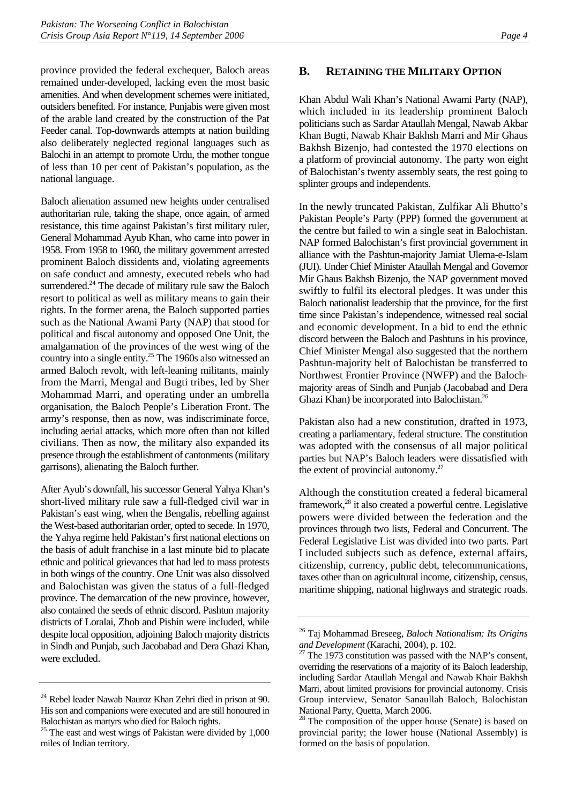province provided the federal exchequer, Baloch areas remained under-developed, lacking even the most basic amenities. And when development schemes were initiated, outsiders benefited. For instance, Punjabis were given most of the arable land created by the construction of the Pat Feeder canal. Top-downwards attempts at nation building also deliberately neglected regional languages such as Balochi in an attempt to promote Urdu, the mother tongue of less than 10 per cent of Pakistan's population, as the national language.

Baloch alienation assumed new heights under centralised authoritarian rule, taking the shape, once again, of armed resistance, this time against Pakistan's first military ruler, General Mohammad Ayub Khan, who came into power in 1958. From 1958 to 1960, the military government arrested prominent Baloch dissidents and, violating agreements on safe conduct and amnesty, executed rebels who had surrendered.<sup>24</sup> The decade of military rule saw the Baloch resort to political as well as military means to gain their rights. In the former arena, the Baloch supported parties such as the National Awami Party (NAP) that stood for political and fiscal autonomy and opposed One Unit, the amalgamation of the provinces of the west wing of the country into a single entity.<sup>25</sup> The 1960s also witnessed an armed Baloch revolt, with left-leaning militants, mainly from the Marri, Mengal and Bugti tribes, led by Sher Mohammad Marri, and operating under an umbrella organisation, the Baloch People's Liberation Front. The army's response, then as now, was indiscriminate force, including aerial attacks, which more often than not killed civilians. Then as now, the military also expanded its presence through the establishment of cantonments (military garrisons), alienating the Baloch further.

After Ayub's downfall, his successor General Yahya Khan's short-lived military rule saw a full-fledged civil war in Pakistan's east wing, when the Bengalis, rebelling against the West-based authoritarian order, opted to secede. In 1970, the Yahya regime held Pakistan's first national elections on the basis of adult franchise in a last minute bid to placate ethnic and political grievances that had led to mass protests in both wings of the country. One Unit was also dissolved and Balochistan was given the status of a full-fledged province. The demarcation of the new province, however, also contained the seeds of ethnic discord. Pashtun majority districts of Loralai, Zhob and Pishin were included, while despite local opposition, adjoining Baloch majority districts in Sindh and Punjab, such Jacobabad and Dera Ghazi Khan, were excluded.

#### **B. RETAINING THE MILITARY OPTION**

Khan Abdul Wali Khan's National Awami Party (NAP), which included in its leadership prominent Baloch politicians such as Sardar Ataullah Mengal, Nawab Akbar Khan Bugti, Nawab Khair Bakhsh Marri and Mir Ghaus Bakhsh Bizenjo, had contested the 1970 elections on a platform of provincial autonomy. The party won eight of Balochistan's twenty assembly seats, the rest going to splinter groups and independents.

In the newly truncated Pakistan, Zulfikar Ali Bhutto's Pakistan People's Party (PPP) formed the government at the centre but failed to win a single seat in Balochistan. NAP formed Balochistan's first provincial government in alliance with the Pashtun-majority Jamiat Ulema-e-Islam (JUI). Under Chief Minister Ataullah Mengal and Governor Mir Ghaus Bakhsh Bizenjo, the NAP government moved swiftly to fulfil its electoral pledges. It was under this Baloch nationalist leadership that the province, for the first time since Pakistan's independence, witnessed real social and economic development. In a bid to end the ethnic discord between the Baloch and Pashtuns in his province, Chief Minister Mengal also suggested that the northern Pashtun-majority belt of Balochistan be transferred to Northwest Frontier Province (NWFP) and the Balochmajority areas of Sindh and Punjab (Jacobabad and Dera Ghazi Khan) be incorporated into Balochistan.<sup>26</sup>

Pakistan also had a new constitution, drafted in 1973, creating a parliamentary, federal structure. The constitution was adopted with the consensus of all major political parties but NAP's Baloch leaders were dissatisfied with the extent of provincial autonomy.<sup>27</sup>

Although the constitution created a federal bicameral framework,<sup>28</sup> it also created a powerful centre. Legislative powers were divided between the federation and the provinces through two lists, Federal and Concurrent. The Federal Legislative List was divided into two parts. Part I included subjects such as defence, external affairs, citizenship, currency, public debt, telecommunications, taxes other than on agricultural income, citizenship, census, maritime shipping, national highways and strategic roads.

<sup>24</sup> Rebel leader Nawab Nauroz Khan Zehri died in prison at 90. His son and companions were executed and are still honoured in Balochistan as martyrs who died for Baloch rights.

<sup>&</sup>lt;sup>25</sup> The east and west wings of Pakistan were divided by 1,000 miles of Indian territory.

<sup>26</sup> Taj Mohammad Breseeg, *Baloch Nationalism: Its Origins and Development* (Karachi, 2004), p. 102.<br><sup>27</sup> The 1973 constitution was passed with the NAP's consent,

overriding the reservations of a majority of its Baloch leadership, including Sardar Ataullah Mengal and Nawab Khair Bakhsh Marri, about limited provisions for provincial autonomy. Crisis Group interview, Senator Sanaullah Baloch, Balochistan National Party, Quetta, March 2006.

 $28$  The composition of the upper house (Senate) is based on provincial parity; the lower house (National Assembly) is formed on the basis of population.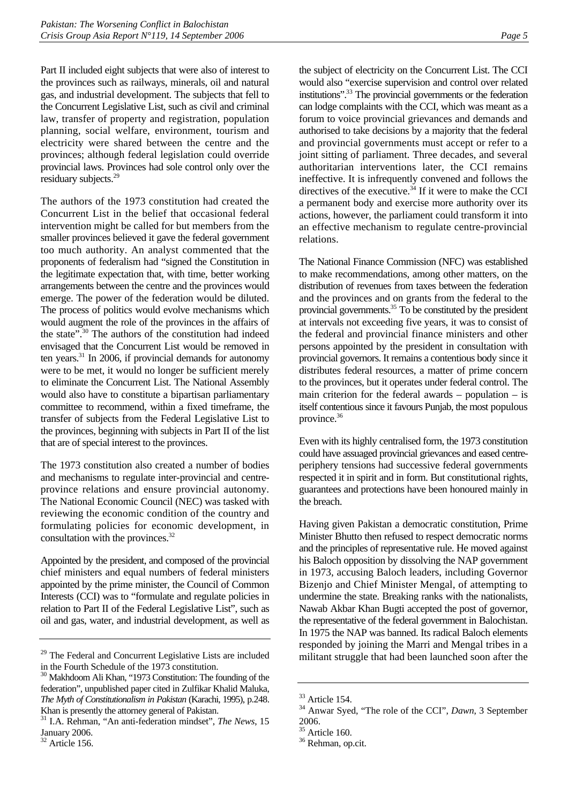Part II included eight subjects that were also of interest to the provinces such as railways, minerals, oil and natural gas, and industrial development. The subjects that fell to the Concurrent Legislative List, such as civil and criminal law, transfer of property and registration, population planning, social welfare, environment, tourism and electricity were shared between the centre and the provinces; although federal legislation could override provincial laws. Provinces had sole control only over the residuary subjects.<sup>29</sup>

The authors of the 1973 constitution had created the Concurrent List in the belief that occasional federal intervention might be called for but members from the smaller provinces believed it gave the federal government too much authority. An analyst commented that the proponents of federalism had "signed the Constitution in the legitimate expectation that, with time, better working arrangements between the centre and the provinces would emerge. The power of the federation would be diluted. The process of politics would evolve mechanisms which would augment the role of the provinces in the affairs of the state".<sup>30</sup> The authors of the constitution had indeed envisaged that the Concurrent List would be removed in ten years. $31$  In 2006, if provincial demands for autonomy were to be met, it would no longer be sufficient merely to eliminate the Concurrent List. The National Assembly would also have to constitute a bipartisan parliamentary committee to recommend, within a fixed timeframe, the transfer of subjects from the Federal Legislative List to the provinces, beginning with subjects in Part II of the list that are of special interest to the provinces.

The 1973 constitution also created a number of bodies and mechanisms to regulate inter-provincial and centreprovince relations and ensure provincial autonomy. The National Economic Council (NEC) was tasked with reviewing the economic condition of the country and formulating policies for economic development, in consultation with the provinces.<sup>32</sup>

Appointed by the president, and composed of the provincial chief ministers and equal numbers of federal ministers appointed by the prime minister, the Council of Common Interests (CCI) was to "formulate and regulate policies in relation to Part II of the Federal Legislative List", such as oil and gas, water, and industrial development, as well as

the subject of electricity on the Concurrent List. The CCI would also "exercise supervision and control over related institutions".33 The provincial governments or the federation can lodge complaints with the CCI, which was meant as a forum to voice provincial grievances and demands and authorised to take decisions by a majority that the federal and provincial governments must accept or refer to a joint sitting of parliament. Three decades, and several authoritarian interventions later, the CCI remains ineffective. It is infrequently convened and follows the directives of the executive. $34$  If it were to make the CCI a permanent body and exercise more authority over its actions, however, the parliament could transform it into an effective mechanism to regulate centre-provincial relations.

The National Finance Commission (NFC) was established to make recommendations, among other matters, on the distribution of revenues from taxes between the federation and the provinces and on grants from the federal to the provincial governments. $35 \text{ To}$  be constituted by the president at intervals not exceeding five years, it was to consist of the federal and provincial finance ministers and other persons appointed by the president in consultation with provincial governors. It remains a contentious body since it distributes federal resources, a matter of prime concern to the provinces, but it operates under federal control. The main criterion for the federal awards – population – is itself contentious since it favours Punjab, the most populous province.<sup>36</sup>

Even with its highly centralised form, the 1973 constitution could have assuaged provincial grievances and eased centreperiphery tensions had successive federal governments respected it in spirit and in form. But constitutional rights, guarantees and protections have been honoured mainly in the breach.

Having given Pakistan a democratic constitution, Prime Minister Bhutto then refused to respect democratic norms and the principles of representative rule. He moved against his Baloch opposition by dissolving the NAP government in 1973, accusing Baloch leaders, including Governor Bizenjo and Chief Minister Mengal, of attempting to undermine the state. Breaking ranks with the nationalists, Nawab Akbar Khan Bugti accepted the post of governor, the representative of the federal government in Balochistan. In 1975 the NAP was banned. Its radical Baloch elements responded by joining the Marri and Mengal tribes in a militant struggle that had been launched soon after the

<sup>&</sup>lt;sup>29</sup> The Federal and Concurrent Legislative Lists are included in the Fourth Schedule of the 1973 constitution.

<sup>&</sup>lt;sup>30</sup> Makhdoom Ali Khan, "1973 Constitution: The founding of the federation", unpublished paper cited in Zulfikar Khalid Maluka, *The Myth of Constitutionalism in Pakistan* (Karachi, 1995), p.248. Khan is presently the attorney general of Pakistan.

<sup>31</sup> I.A. Rehman, "An anti-federation mindset", *The News*, 15 January 2006.

 $32$  Article 156.

<sup>33</sup> Article 154.

<sup>34</sup> Anwar Syed, "The role of the CCI", *Dawn*, 3 September 2006.

<sup>&</sup>lt;sup>35</sup> Article 160.

<sup>36</sup> Rehman, op.cit.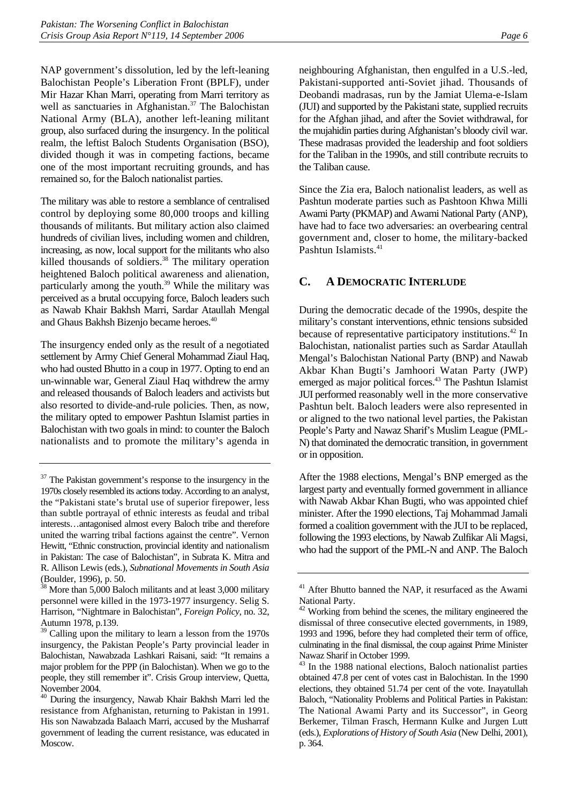NAP government's dissolution, led by the left-leaning Balochistan People's Liberation Front (BPLF), under Mir Hazar Khan Marri, operating from Marri territory as well as sanctuaries in Afghanistan.<sup>37</sup> The Balochistan National Army (BLA), another left-leaning militant group, also surfaced during the insurgency. In the political realm, the leftist Baloch Students Organisation (BSO), divided though it was in competing factions, became one of the most important recruiting grounds, and has remained so, for the Baloch nationalist parties.

The military was able to restore a semblance of centralised control by deploying some 80,000 troops and killing thousands of militants. But military action also claimed hundreds of civilian lives, including women and children, increasing, as now, local support for the militants who also killed thousands of soldiers.<sup>38</sup> The military operation heightened Baloch political awareness and alienation, particularly among the youth.<sup>39</sup> While the military was perceived as a brutal occupying force, Baloch leaders such as Nawab Khair Bakhsh Marri, Sardar Ataullah Mengal and Ghaus Bakhsh Bizenjo became heroes.40

The insurgency ended only as the result of a negotiated settlement by Army Chief General Mohammad Ziaul Haq, who had ousted Bhutto in a coup in 1977. Opting to end an un-winnable war, General Ziaul Haq withdrew the army and released thousands of Baloch leaders and activists but also resorted to divide-and-rule policies. Then, as now, the military opted to empower Pashtun Islamist parties in Balochistan with two goals in mind: to counter the Baloch nationalists and to promote the military's agenda in

neighbouring Afghanistan, then engulfed in a U.S.-led, Pakistani-supported anti-Soviet jihad. Thousands of Deobandi madrasas, run by the Jamiat Ulema-e-Islam

(JUI) and supported by the Pakistani state, supplied recruits for the Afghan jihad, and after the Soviet withdrawal, for the mujahidin parties during Afghanistan's bloody civil war. These madrasas provided the leadership and foot soldiers for the Taliban in the 1990s, and still contribute recruits to the Taliban cause.

Since the Zia era, Baloch nationalist leaders, as well as Pashtun moderate parties such as Pashtoon Khwa Milli Awami Party (PKMAP) and Awami National Party (ANP), have had to face two adversaries: an overbearing central government and, closer to home, the military-backed Pashtun Islamists.<sup>41</sup>

## **C. A DEMOCRATIC INTERLUDE**

During the democratic decade of the 1990s, despite the military's constant interventions, ethnic tensions subsided because of representative participatory institutions.<sup>42</sup> In Balochistan, nationalist parties such as Sardar Ataullah Mengal's Balochistan National Party (BNP) and Nawab Akbar Khan Bugti's Jamhoori Watan Party (JWP) emerged as major political forces.<sup>43</sup> The Pashtun Islamist JUI performed reasonably well in the more conservative Pashtun belt. Baloch leaders were also represented in or aligned to the two national level parties, the Pakistan People's Party and Nawaz Sharif's Muslim League (PML-N) that dominated the democratic transition, in government or in opposition.

After the 1988 elections, Mengal's BNP emerged as the largest party and eventually formed government in alliance with Nawab Akbar Khan Bugti, who was appointed chief minister. After the 1990 elections, Taj Mohammad Jamali formed a coalition government with the JUI to be replaced, following the 1993 elections, by Nawab Zulfikar Ali Magsi, who had the support of the PML-N and ANP. The Baloch

<sup>&</sup>lt;sup>37</sup> The Pakistan government's response to the insurgency in the 1970s closely resembled its actions today. According to an analyst, the "Pakistani state's brutal use of superior firepower, less than subtle portrayal of ethnic interests as feudal and tribal interests…antagonised almost every Baloch tribe and therefore united the warring tribal factions against the centre". Vernon Hewitt, "Ethnic construction, provincial identity and nationalism in Pakistan: The case of Balochistan", in Subrata K. Mitra and R. Allison Lewis (eds.), *Subnational Movements in South Asia* (Boulder, 1996), p. 50.

 $38$  More than 5,000 Baloch militants and at least 3,000 military personnel were killed in the 1973-1977 insurgency. Selig S. Harrison, "Nightmare in Balochistan", *Foreign Policy*, no. 32, Autumn 1978, p.139.

<sup>&</sup>lt;sup>39</sup> Calling upon the military to learn a lesson from the 1970s insurgency, the Pakistan People's Party provincial leader in Balochistan, Nawabzada Lashkari Raisani, said: "It remains a major problem for the PPP (in Balochistan). When we go to the people, they still remember it". Crisis Group interview, Quetta, November 2004.

<sup>40</sup> During the insurgency, Nawab Khair Bakhsh Marri led the resistance from Afghanistan, returning to Pakistan in 1991. His son Nawabzada Balaach Marri, accused by the Musharraf government of leading the current resistance, was educated in Moscow.

<sup>&</sup>lt;sup>41</sup> After Bhutto banned the NAP, it resurfaced as the Awami National Party.

 $42$  Working from behind the scenes, the military engineered the dismissal of three consecutive elected governments, in 1989, 1993 and 1996, before they had completed their term of office, culminating in the final dismissal, the coup against Prime Minister Nawaz Sharif in October 1999.

<sup>&</sup>lt;sup>43</sup> In the 1988 national elections, Baloch nationalist parties obtained 47.8 per cent of votes cast in Balochistan. In the 1990 elections, they obtained 51.74 per cent of the vote. Inayatullah Baloch, "Nationality Problems and Political Parties in Pakistan: The National Awami Party and its Successor", in Georg Berkemer, Tilman Frasch, Hermann Kulke and Jurgen Lutt (eds.), *Explorations of History of South Asia* (New Delhi, 2001), p. 364.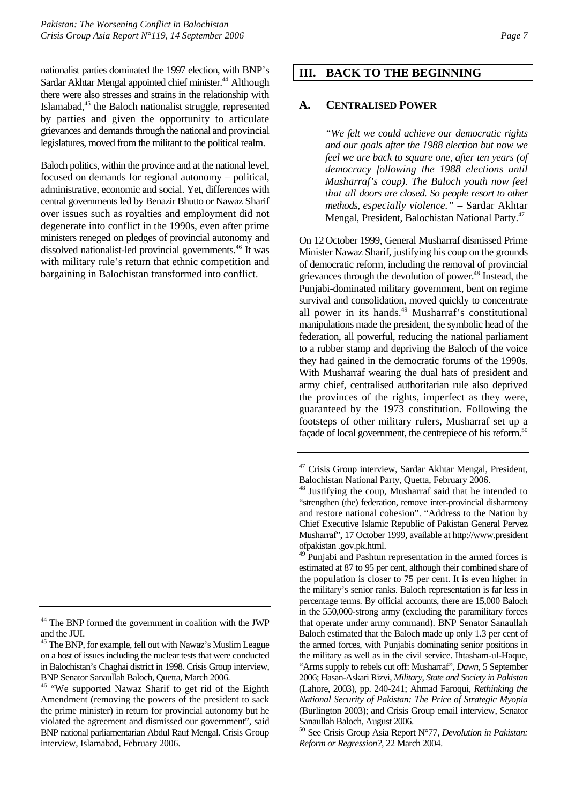nationalist parties dominated the 1997 election, with BNP's Sardar Akhtar Mengal appointed chief minister.<sup>44</sup> Although there were also stresses and strains in the relationship with Islamabad,45 the Baloch nationalist struggle, represented by parties and given the opportunity to articulate grievances and demands through the national and provincial legislatures, moved from the militant to the political realm.

Baloch politics, within the province and at the national level, focused on demands for regional autonomy – political, administrative, economic and social. Yet, differences with central governments led by Benazir Bhutto or Nawaz Sharif over issues such as royalties and employment did not degenerate into conflict in the 1990s, even after prime ministers reneged on pledges of provincial autonomy and dissolved nationalist-led provincial governments.46 It was with military rule's return that ethnic competition and bargaining in Balochistan transformed into conflict.

## **III. BACK TO THE BEGINNING**

## **A. CENTRALISED POWER**

*"We felt we could achieve our democratic rights and our goals after the 1988 election but now we feel we are back to square one, after ten years (of democracy following the 1988 elections until Musharraf's coup). The Baloch youth now feel that all doors are closed. So people resort to other methods, especially violence."* – Sardar Akhtar Mengal, President, Balochistan National Party.<sup>47</sup>

On 12October 1999, General Musharraf dismissed Prime Minister Nawaz Sharif, justifying his coup on the grounds of democratic reform, including the removal of provincial grievances through the devolution of power.<sup>48</sup> Instead, the Punjabi-dominated military government, bent on regime survival and consolidation, moved quickly to concentrate all power in its hands.<sup>49</sup> Musharraf's constitutional manipulations made the president, the symbolic head of the federation, all powerful, reducing the national parliament to a rubber stamp and depriving the Baloch of the voice they had gained in the democratic forums of the 1990s. With Musharraf wearing the dual hats of president and army chief, centralised authoritarian rule also deprived the provinces of the rights, imperfect as they were, guaranteed by the 1973 constitution. Following the footsteps of other military rulers, Musharraf set up a façade of local government, the centrepiece of his reform.<sup>50</sup>

<sup>&</sup>lt;sup>44</sup> The BNP formed the government in coalition with the JWP and the JUI.

<sup>&</sup>lt;sup>45</sup> The BNP, for example, fell out with Nawaz's Muslim League on a host of issues including the nuclear tests that were conducted in Balochistan's Chaghai district in 1998. Crisis Group interview, BNP Senator Sanaullah Baloch, Quetta, March 2006.

<sup>&</sup>lt;sup>46</sup> "We supported Nawaz Sharif to get rid of the Eighth Amendment (removing the powers of the president to sack the prime minister) in return for provincial autonomy but he violated the agreement and dismissed our government", said BNP national parliamentarian Abdul Rauf Mengal. Crisis Group interview, Islamabad, February 2006.

<sup>&</sup>lt;sup>47</sup> Crisis Group interview, Sardar Akhtar Mengal, President, Balochistan National Party, Quetta, February 2006.

<sup>&</sup>lt;sup>48</sup> Justifying the coup, Musharraf said that he intended to "strengthen (the) federation, remove inter-provincial disharmony and restore national cohesion". "Address to the Nation by Chief Executive Islamic Republic of Pakistan General Pervez Musharraf", 17 October 1999, available at http://www.president ofpakistan .gov.pk.html.

 $^{49}$  Punjabi and Pashtun representation in the armed forces is estimated at 87 to 95 per cent, although their combined share of the population is closer to 75 per cent. It is even higher in the military's senior ranks. Baloch representation is far less in percentage terms. By official accounts, there are 15,000 Baloch in the 550,000-strong army (excluding the paramilitary forces that operate under army command). BNP Senator Sanaullah Baloch estimated that the Baloch made up only 1.3 per cent of the armed forces, with Punjabis dominating senior positions in the military as well as in the civil service. Ihtasham-ul-Haque, "Arms supply to rebels cut off: Musharraf", *Dawn*, 5 September 2006; Hasan-Askari Rizvi, *Military, State and Society in Pakistan* (Lahore, 2003), pp. 240-241; Ahmad Faroqui, *Rethinking the National Security of Pakistan: The Price of Strategic Myopia*  (Burlington 2003); and Crisis Group email interview, Senator Sanaullah Baloch, August 2006.

<sup>50</sup> See Crisis Group Asia Report N°77, *Devolution in Pakistan: Reform or Regression?*, 22 March 2004.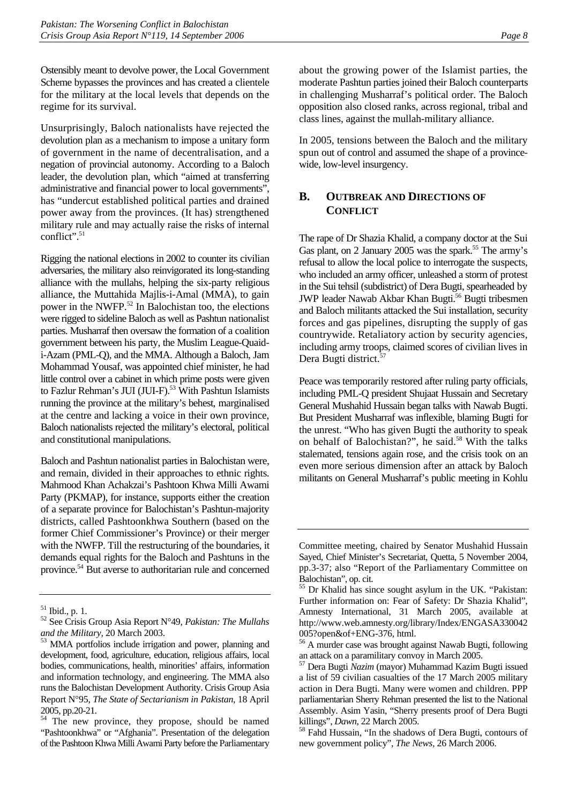Ostensibly meant to devolve power, the Local Government Scheme bypasses the provinces and has created a clientele for the military at the local levels that depends on the regime for its survival.

Unsurprisingly, Baloch nationalists have rejected the devolution plan as a mechanism to impose a unitary form of government in the name of decentralisation, and a negation of provincial autonomy. According to a Baloch leader, the devolution plan, which "aimed at transferring administrative and financial power to local governments", has "undercut established political parties and drained power away from the provinces. (It has) strengthened military rule and may actually raise the risks of internal conflict".<sup>51</sup>

Rigging the national elections in 2002 to counter its civilian adversaries, the military also reinvigorated its long-standing alliance with the mullahs, helping the six-party religious alliance, the Muttahida Majlis-i-Amal (MMA), to gain power in the NWFP.<sup>52</sup> In Balochistan too, the elections were rigged to sideline Baloch as well as Pashtun nationalist parties. Musharraf then oversaw the formation of a coalition government between his party, the Muslim League-Quaidi-Azam (PML-Q), and the MMA. Although a Baloch, Jam Mohammad Yousaf, was appointed chief minister, he had little control over a cabinet in which prime posts were given to Fazlur Rehman's JUI (JUI-F).<sup>53</sup> With Pashtun Islamists running the province at the military's behest, marginalised at the centre and lacking a voice in their own province, Baloch nationalists rejected the military's electoral, political and constitutional manipulations.

Baloch and Pashtun nationalist parties in Balochistan were, and remain, divided in their approaches to ethnic rights. Mahmood Khan Achakzai's Pashtoon Khwa Milli Awami Party (PKMAP), for instance, supports either the creation of a separate province for Balochistan's Pashtun-majority districts, called Pashtoonkhwa Southern (based on the former Chief Commissioner's Province) or their merger with the NWFP. Till the restructuring of the boundaries, it demands equal rights for the Baloch and Pashtuns in the province.54 But averse to authoritarian rule and concerned about the growing power of the Islamist parties, the moderate Pashtun parties joined their Baloch counterparts in challenging Musharraf's political order. The Baloch opposition also closed ranks, across regional, tribal and class lines, against the mullah-military alliance.

In 2005, tensions between the Baloch and the military spun out of control and assumed the shape of a provincewide, low-level insurgency.

## **B. OUTBREAK AND DIRECTIONS OF CONFLICT**

The rape of Dr Shazia Khalid, a company doctor at the Sui Gas plant, on 2 January 2005 was the spark.<sup>55</sup> The army's refusal to allow the local police to interrogate the suspects, who included an army officer, unleashed a storm of protest in the Sui tehsil (subdistrict) of Dera Bugti, spearheaded by JWP leader Nawab Akbar Khan Bugti.<sup>56</sup> Bugti tribesmen and Baloch militants attacked the Sui installation, security forces and gas pipelines, disrupting the supply of gas countrywide. Retaliatory action by security agencies, including army troops, claimed scores of civilian lives in Dera Bugti district.<sup>57</sup>

Peace was temporarily restored after ruling party officials, including PML-Q president Shujaat Hussain and Secretary General Mushahid Hussain began talks with Nawab Bugti. But President Musharraf was inflexible, blaming Bugti for the unrest. "Who has given Bugti the authority to speak on behalf of Balochistan?", he said.<sup>58</sup> With the talks stalemated, tensions again rose, and the crisis took on an even more serious dimension after an attack by Baloch militants on General Musharraf's public meeting in Kohlu

 $51$  Ibid., p. 1.

<sup>52</sup> See Crisis Group Asia Report N°49*, Pakistan: The Mullahs* 

and the Military, 20 March 2003.<br><sup>53</sup> MMA portfolios include irrigation and power, planning and development, food, agriculture, education, religious affairs, local bodies, communications, health, minorities' affairs, information and information technology, and engineering. The MMA also runs the Balochistan Development Authority. Crisis Group Asia Report N°95, *The State of Sectarianism in Pakistan*, 18 April  $2005$ , pp.20-21.

The new province, they propose, should be named "Pashtoonkhwa" or "Afghania". Presentation of the delegation of the Pashtoon Khwa Milli Awami Party before the Parliamentary

Committee meeting, chaired by Senator Mushahid Hussain Sayed, Chief Minister's Secretariat, Quetta, 5 November 2004, pp.3-37; also "Report of the Parliamentary Committee on Balochistan", op. cit.

<sup>55</sup> Dr Khalid has since sought asylum in the UK. "Pakistan: Further information on: Fear of Safety: Dr Shazia Khalid", Amnesty International, 31 March 2005, available at http://www.web.amnesty.org/library/Index/ENGASA330042 005?open&of+ENG-376, html.

<sup>56</sup> A murder case was brought against Nawab Bugti, following an attack on a paramilitary convoy in March 2005.

<sup>57</sup> Dera Bugti *Nazim* (mayor) Muhammad Kazim Bugti issued a list of 59 civilian casualties of the 17 March 2005 military action in Dera Bugti. Many were women and children. PPP parliamentarian Sherry Rehman presented the list to the National Assembly. Asim Yasin, "Sherry presents proof of Dera Bugti

killings", *Dawn*, 22 March 2005.<br><sup>58</sup> Fahd Hussain, "In the shadows of Dera Bugti, contours of new government policy", *The News,* 26 March 2006.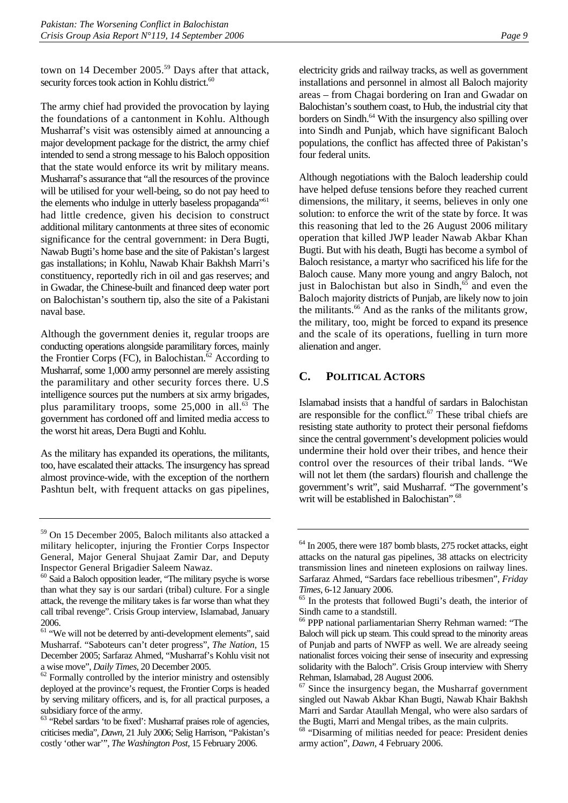town on 14 December 2005.<sup>59</sup> Days after that attack, security forces took action in Kohlu district.<sup>60</sup>

The army chief had provided the provocation by laying the foundations of a cantonment in Kohlu. Although Musharraf's visit was ostensibly aimed at announcing a major development package for the district, the army chief intended to send a strong message to his Baloch opposition that the state would enforce its writ by military means. Musharraf's assurance that "all the resources of the province will be utilised for your well-being, so do not pay heed to the elements who indulge in utterly baseless propaganda<sup>"61</sup> had little credence, given his decision to construct additional military cantonments at three sites of economic significance for the central government: in Dera Bugti, Nawab Bugti's home base and the site of Pakistan's largest gas installations; in Kohlu, Nawab Khair Bakhsh Marri's constituency, reportedly rich in oil and gas reserves; and in Gwadar, the Chinese-built and financed deep water port on Balochistan's southern tip, also the site of a Pakistani naval base.

Although the government denies it, regular troops are conducting operations alongside paramilitary forces, mainly the Frontier Corps (FC), in Balochistan.<sup> $62$ </sup> According to Musharraf, some 1,000 army personnel are merely assisting the paramilitary and other security forces there. U.S intelligence sources put the numbers at six army brigades, plus paramilitary troops, some  $25,000$  in all.<sup>63</sup> The government has cordoned off and limited media access to the worst hit areas, Dera Bugti and Kohlu.

As the military has expanded its operations, the militants, too, have escalated their attacks. The insurgency has spread almost province-wide, with the exception of the northern Pashtun belt, with frequent attacks on gas pipelines,

electricity grids and railway tracks, as well as government installations and personnel in almost all Baloch majority areas – from Chagai bordering on Iran and Gwadar on Balochistan's southern coast, to Hub, the industrial city that borders on Sindh.<sup>64</sup> With the insurgency also spilling over into Sindh and Punjab, which have significant Baloch populations, the conflict has affected three of Pakistan's four federal units.

Although negotiations with the Baloch leadership could have helped defuse tensions before they reached current dimensions, the military, it seems, believes in only one solution: to enforce the writ of the state by force. It was this reasoning that led to the 26 August 2006 military operation that killed JWP leader Nawab Akbar Khan Bugti. But with his death, Bugti has become a symbol of Baloch resistance, a martyr who sacrificed his life for the Baloch cause. Many more young and angry Baloch, not just in Balochistan but also in Sindh, $65$  and even the Baloch majority districts of Punjab, are likely now to join the militants.<sup>66</sup> And as the ranks of the militants grow, the military, too, might be forced to expand its presence and the scale of its operations, fuelling in turn more alienation and anger.

## **C. POLITICAL ACTORS**

Islamabad insists that a handful of sardars in Balochistan are responsible for the conflict. $67$  These tribal chiefs are resisting state authority to protect their personal fiefdoms since the central government's development policies would undermine their hold over their tribes, and hence their control over the resources of their tribal lands. "We will not let them (the sardars) flourish and challenge the government's writ", said Musharraf. "The government's writ will be established in Balochistan".<sup>68</sup>

<sup>59</sup> On 15 December 2005, Baloch militants also attacked a military helicopter, injuring the Frontier Corps Inspector General, Major General Shujaat Zamir Dar, and Deputy Inspector General Brigadier Saleem Nawaz.

<sup>&</sup>lt;sup>60</sup> Said a Baloch opposition leader, "The military psyche is worse than what they say is our sardari (tribal) culture. For a single attack, the revenge the military takes is far worse than what they call tribal revenge". Crisis Group interview, Islamabad, January 2006.

<sup>&</sup>lt;sup>61</sup> "We will not be deterred by anti-development elements", said Musharraf. "Saboteurs can't deter progress", *The Nation,* 15 December 2005; Sarfaraz Ahmed, "Musharraf's Kohlu visit not

a wise move", *Daily Times,* 20 December 2005. 62 Formally controlled by the interior ministry and ostensibly deployed at the province's request, the Frontier Corps is headed by serving military officers, and is, for all practical purposes, a subsidiary force of the army.

<sup>63 &</sup>quot;Rebel sardars 'to be fixed': Musharraf praises role of agencies, criticises media", *Dawn,* 21 July 2006; Selig Harrison, "Pakistan's costly 'other war'", *The Washington Post*, 15 February 2006.

 $64$  In 2005, there were 187 bomb blasts, 275 rocket attacks, eight attacks on the natural gas pipelines, 38 attacks on electricity transmission lines and nineteen explosions on railway lines. Sarfaraz Ahmed, "Sardars face rebellious tribesmen", *Friday* 

*Times*, 6-12 January 2006.<br><sup>65</sup> In the protests that followed Bugti's death, the interior of Sindh came to a standstill.

<sup>66</sup> PPP national parliamentarian Sherry Rehman warned: "The Baloch will pick up steam. This could spread to the minority areas of Punjab and parts of NWFP as well. We are already seeing nationalist forces voicing their sense of insecurity and expressing solidarity with the Baloch". Crisis Group interview with Sherry Rehman, Islamabad, 28 August 2006.

<sup>&</sup>lt;sup>67</sup> Since the insurgency began, the Musharraf government singled out Nawab Akbar Khan Bugti, Nawab Khair Bakhsh Marri and Sardar Ataullah Mengal, who were also sardars of the Bugti, Marri and Mengal tribes, as the main culprits.

<sup>&</sup>lt;sup>68</sup> "Disarming of militias needed for peace: President denies army action", *Dawn,* 4 February 2006.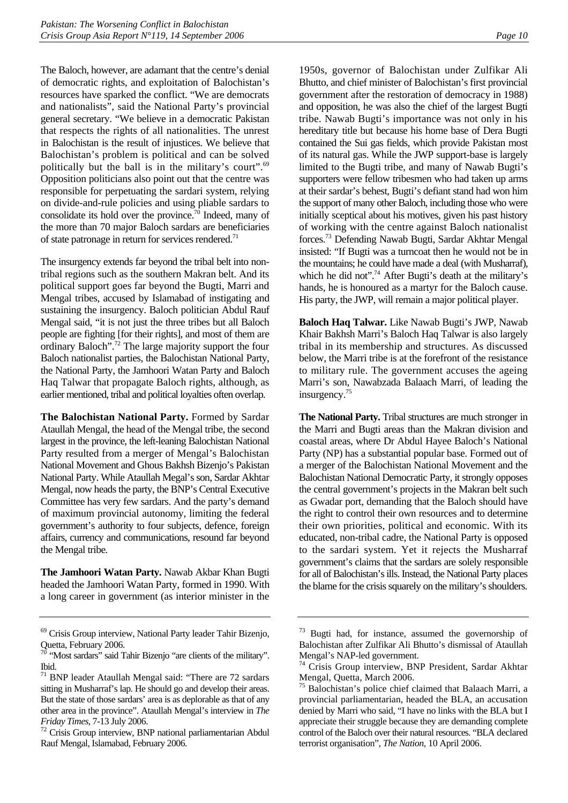The Baloch, however, are adamant that the centre's denial of democratic rights, and exploitation of Balochistan's resources have sparked the conflict. "We are democrats and nationalists", said the National Party's provincial general secretary. "We believe in a democratic Pakistan that respects the rights of all nationalities. The unrest in Balochistan is the result of injustices. We believe that Balochistan's problem is political and can be solved politically but the ball is in the military's court".69 Opposition politicians also point out that the centre was responsible for perpetuating the sardari system, relying on divide-and-rule policies and using pliable sardars to consolidate its hold over the province.<sup>70</sup> Indeed, many of the more than 70 major Baloch sardars are beneficiaries of state patronage in return for services rendered.<sup>71</sup>

The insurgency extends far beyond the tribal belt into nontribal regions such as the southern Makran belt. And its political support goes far beyond the Bugti, Marri and Mengal tribes, accused by Islamabad of instigating and sustaining the insurgency. Baloch politician Abdul Rauf Mengal said, "it is not just the three tribes but all Baloch people are fighting [for their rights], and most of them are ordinary Baloch".<sup>72</sup> The large majority support the four Baloch nationalist parties, the Balochistan National Party, the National Party, the Jamhoori Watan Party and Baloch Haq Talwar that propagate Baloch rights, although, as earlier mentioned, tribal and political loyalties often overlap.

**The Balochistan National Party.** Formed by Sardar Ataullah Mengal, the head of the Mengal tribe, the second largest in the province, the left-leaning Balochistan National Party resulted from a merger of Mengal's Balochistan National Movement and Ghous Bakhsh Bizenjo's Pakistan National Party. While Ataullah Megal's son, Sardar Akhtar Mengal, now heads the party, the BNP's Central Executive Committee has very few sardars. And the party's demand of maximum provincial autonomy, limiting the federal government's authority to four subjects, defence, foreign affairs, currency and communications, resound far beyond the Mengal tribe*.*

**The Jamhoori Watan Party.** Nawab Akbar Khan Bugti headed the Jamhoori Watan Party, formed in 1990. With a long career in government (as interior minister in the

1950s, governor of Balochistan under Zulfikar Ali Bhutto, and chief minister of Balochistan's first provincial government after the restoration of democracy in 1988) and opposition, he was also the chief of the largest Bugti tribe. Nawab Bugti's importance was not only in his hereditary title but because his home base of Dera Bugti contained the Sui gas fields, which provide Pakistan most of its natural gas. While the JWP support-base is largely limited to the Bugti tribe, and many of Nawab Bugti's supporters were fellow tribesmen who had taken up arms at their sardar's behest, Bugti's defiant stand had won him the support of many other Baloch, including those who were initially sceptical about his motives, given his past history of working with the centre against Baloch nationalist forces.73 Defending Nawab Bugti, Sardar Akhtar Mengal insisted: "If Bugti was a turncoat then he would not be in the mountains; he could have made a deal (with Musharraf), which he did not".<sup>74</sup> After Bugti's death at the military's hands, he is honoured as a martyr for the Baloch cause. His party, the JWP, will remain a major political player.

**Baloch Haq Talwar.** Like Nawab Bugti's JWP, Nawab Khair Bakhsh Marri's Baloch Haq Talwar is also largely tribal in its membership and structures. As discussed below, the Marri tribe is at the forefront of the resistance to military rule. The government accuses the ageing Marri's son, Nawabzada Balaach Marri, of leading the insurgency.<sup>75</sup>

**The National Party.** Tribal structures are much stronger in the Marri and Bugti areas than the Makran division and coastal areas, where Dr Abdul Hayee Baloch's National Party (NP) has a substantial popular base. Formed out of a merger of the Balochistan National Movement and the Balochistan National Democratic Party, it strongly opposes the central government's projects in the Makran belt such as Gwadar port, demanding that the Baloch should have the right to control their own resources and to determine their own priorities, political and economic. With its educated, non-tribal cadre, the National Party is opposed to the sardari system. Yet it rejects the Musharraf government's claims that the sardars are solely responsible for all of Balochistan's ills. Instead, the National Party places the blame for the crisis squarely on the military's shoulders.

<sup>69</sup> Crisis Group interview, National Party leader Tahir Bizenjo, Quetta, February 2006.

 $70$  "Most sardars" said Tahir Bizenjo "are clients of the military". Ibid.

<sup>71</sup> BNP leader Ataullah Mengal said: "There are 72 sardars sitting in Musharraf's lap. He should go and develop their areas. But the state of those sardars' area is as deplorable as that of any other area in the province". Ataullah Mengal's interview in *The* 

*Friday Times, 7-13 July 2006.*<br><sup>72</sup> Crisis Group interview, BNP national parliamentarian Abdul Rauf Mengal, Islamabad, February 2006.

<sup>73</sup> Bugti had, for instance, assumed the governorship of Balochistan after Zulfikar Ali Bhutto's dismissal of Ataullah Mengal's NAP-led government.

<sup>74</sup> Crisis Group interview, BNP President, Sardar Akhtar Mengal, Quetta, March 2006.

<sup>75</sup> Balochistan's police chief claimed that Balaach Marri, a provincial parliamentarian, headed the BLA, an accusation denied by Marri who said, "I have no links with the BLA but I appreciate their struggle because they are demanding complete control of the Baloch over their natural resources. "BLA declared terrorist organisation", *The Nation,* 10 April 2006.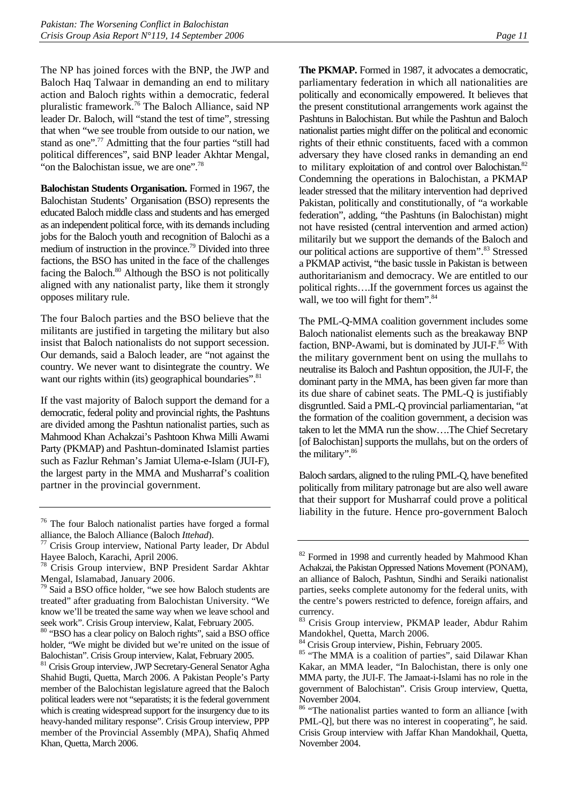The NP has joined forces with the BNP, the JWP and Baloch Haq Talwaar in demanding an end to military action and Baloch rights within a democratic, federal pluralistic framework.76 The Baloch Alliance, said NP leader Dr. Baloch, will "stand the test of time", stressing that when "we see trouble from outside to our nation, we stand as one".77 Admitting that the four parties "still had political differences", said BNP leader Akhtar Mengal, "on the Balochistan issue, we are one".<sup>78</sup>

**Balochistan Students Organisation.** Formed in 1967, the Balochistan Students' Organisation (BSO) represents the educated Baloch middle class and students and has emerged as an independent political force, with its demands including jobs for the Baloch youth and recognition of Balochi as a medium of instruction in the province.79 Divided into three factions, the BSO has united in the face of the challenges facing the Baloch.<sup>80</sup> Although the BSO is not politically aligned with any nationalist party, like them it strongly opposes military rule.

The four Baloch parties and the BSO believe that the militants are justified in targeting the military but also insist that Baloch nationalists do not support secession. Our demands, said a Baloch leader, are "not against the country. We never want to disintegrate the country. We want our rights within (its) geographical boundaries".<sup>81</sup>

If the vast majority of Baloch support the demand for a democratic, federal polity and provincial rights, the Pashtuns are divided among the Pashtun nationalist parties, such as Mahmood Khan Achakzai's Pashtoon Khwa Milli Awami Party (PKMAP) and Pashtun-dominated Islamist parties such as Fazlur Rehman's Jamiat Ulema-e-Islam (JUI-F), the largest party in the MMA and Musharraf's coalition partner in the provincial government.

**The PKMAP.** Formed in 1987, it advocates a democratic, parliamentary federation in which all nationalities are politically and economically empowered. It believes that the present constitutional arrangements work against the Pashtuns in Balochistan. But while the Pashtun and Baloch nationalist parties might differ on the political and economic rights of their ethnic constituents, faced with a common adversary they have closed ranks in demanding an end to military exploitation of and control over Balochistan.<sup>82</sup> Condemning the operations in Balochistan, a PKMAP leader stressed that the military intervention had deprived Pakistan, politically and constitutionally, of "a workable federation", adding, "the Pashtuns (in Balochistan) might not have resisted (central intervention and armed action) militarily but we support the demands of the Baloch and our political actions are supportive of them".<sup>83</sup> Stressed a PKMAP activist, "the basic tussle in Pakistan is between authoritarianism and democracy. We are entitled to our political rights….If the government forces us against the wall, we too will fight for them".<sup>84</sup>

The PML-Q-MMA coalition government includes some Baloch nationalist elements such as the breakaway BNP faction, BNP-Awami, but is dominated by JUI-F.<sup>85</sup> With the military government bent on using the mullahs to neutralise its Baloch and Pashtun opposition, the JUI-F, the dominant party in the MMA, has been given far more than its due share of cabinet seats. The PML-Q is justifiably disgruntled. Said a PML-Q provincial parliamentarian, "at the formation of the coalition government, a decision was taken to let the MMA run the show….The Chief Secretary [of Balochistan] supports the mullahs, but on the orders of the military".<sup>86</sup>

Baloch sardars, aligned to the ruling PML-Q, have benefited politically from military patronage but are also well aware that their support for Musharraf could prove a political liability in the future. Hence pro-government Baloch

<sup>76</sup> The four Baloch nationalist parties have forged a formal

alliance, the Baloch Alliance (Baloch *Ittehad*). 77 Crisis Group interview, National Party leader, Dr Abdul Hayee Baloch, Karachi, April 2006.

<sup>78</sup> Crisis Group interview, BNP President Sardar Akhtar Mengal, Islamabad, January 2006.

<sup>&</sup>lt;sup>79</sup> Said a BSO office holder, "we see how Baloch students are treated" after graduating from Balochistan University. "We know we'll be treated the same way when we leave school and seek work". Crisis Group interview, Kalat, February 2005.

<sup>80 &</sup>quot;BSO has a clear policy on Baloch rights", said a BSO office holder, "We might be divided but we're united on the issue of Balochistan". Crisis Group interview, Kalat, February 2005.

<sup>&</sup>lt;sup>81</sup> Crisis Group interview, JWP Secretary-General Senator Agha Shahid Bugti, Quetta, March 2006. A Pakistan People's Party member of the Balochistan legislature agreed that the Baloch political leaders were not "separatists; it is the federal government which is creating widespread support for the insurgency due to its heavy-handed military response". Crisis Group interview, PPP member of the Provincial Assembly (MPA), Shafiq Ahmed Khan, Quetta, March 2006.

<sup>&</sup>lt;sup>82</sup> Formed in 1998 and currently headed by Mahmood Khan Achakzai, the Pakistan Oppressed Nations Movement (PONAM), an alliance of Baloch, Pashtun, Sindhi and Seraiki nationalist parties, seeks complete autonomy for the federal units, with the centre's powers restricted to defence, foreign affairs, and currency.

<sup>83</sup> Crisis Group interview, PKMAP leader, Abdur Rahim Mandokhel, Quetta, March 2006.

<sup>&</sup>lt;sup>84</sup> Crisis Group interview, Pishin, February 2005.

<sup>&</sup>lt;sup>85</sup> "The MMA is a coalition of parties", said Dilawar Khan Kakar, an MMA leader, "In Balochistan, there is only one MMA party, the JUI-F. The Jamaat-i-Islami has no role in the government of Balochistan". Crisis Group interview, Quetta, November 2004.

<sup>&</sup>lt;sup>86</sup> "The nationalist parties wanted to form an alliance [with PML-Q], but there was no interest in cooperating", he said. Crisis Group interview with Jaffar Khan Mandokhail, Quetta, November 2004.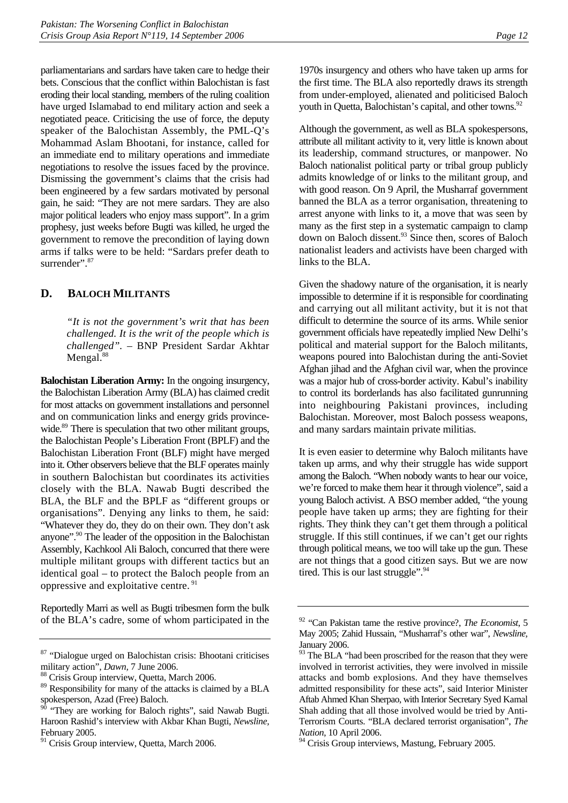parliamentarians and sardars have taken care to hedge their bets. Conscious that the conflict within Balochistan is fast eroding their local standing, members of the ruling coalition have urged Islamabad to end military action and seek a negotiated peace. Criticising the use of force, the deputy speaker of the Balochistan Assembly, the PML-Q's Mohammad Aslam Bhootani, for instance, called for an immediate end to military operations and immediate negotiations to resolve the issues faced by the province. Dismissing the government's claims that the crisis had been engineered by a few sardars motivated by personal gain, he said: "They are not mere sardars. They are also major political leaders who enjoy mass support". In a grim prophesy, just weeks before Bugti was killed, he urged the government to remove the precondition of laying down arms if talks were to be held: "Sardars prefer death to surrender". 87

## **D. BALOCH MILITANTS**

*"It is not the government's writ that has been challenged. It is the writ of the people which is challenged".* – BNP President Sardar Akhtar Mengal.<sup>88</sup>

**Balochistan Liberation Army:** In the ongoing insurgency, the Balochistan Liberation Army (BLA) has claimed credit for most attacks on government installations and personnel and on communication links and energy grids provincewide.<sup>89</sup> There is speculation that two other militant groups, the Balochistan People's Liberation Front (BPLF) and the Balochistan Liberation Front (BLF) might have merged into it. Other observers believe that the BLF operates mainly in southern Balochistan but coordinates its activities closely with the BLA. Nawab Bugti described the BLA, the BLF and the BPLF as "different groups or organisations". Denying any links to them, he said: "Whatever they do, they do on their own. They don't ask anyone".90 The leader of the opposition in the Balochistan Assembly, Kachkool Ali Baloch, concurred that there were multiple militant groups with different tactics but an identical goal – to protect the Baloch people from an oppressive and exploitative centre. 91

Reportedly Marri as well as Bugti tribesmen form the bulk of the BLA's cadre, some of whom participated in the 1970s insurgency and others who have taken up arms for the first time. The BLA also reportedly draws its strength from under-employed, alienated and politicised Baloch youth in Quetta, Balochistan's capital, and other towns.<sup>92</sup>

Although the government, as well as BLA spokespersons, attribute all militant activity to it, very little is known about its leadership, command structures, or manpower. No Baloch nationalist political party or tribal group publicly admits knowledge of or links to the militant group, and with good reason. On 9 April, the Musharraf government banned the BLA as a terror organisation, threatening to arrest anyone with links to it, a move that was seen by many as the first step in a systematic campaign to clamp down on Baloch dissent.93 Since then, scores of Baloch nationalist leaders and activists have been charged with links to the BLA.

Given the shadowy nature of the organisation, it is nearly impossible to determine if it is responsible for coordinating and carrying out all militant activity, but it is not that difficult to determine the source of its arms. While senior government officials have repeatedly implied New Delhi's political and material support for the Baloch militants, weapons poured into Balochistan during the anti-Soviet Afghan jihad and the Afghan civil war, when the province was a major hub of cross-border activity. Kabul's inability to control its borderlands has also facilitated gunrunning into neighbouring Pakistani provinces, including Balochistan. Moreover, most Baloch possess weapons, and many sardars maintain private militias.

It is even easier to determine why Baloch militants have taken up arms, and why their struggle has wide support among the Baloch. "When nobody wants to hear our voice, we're forced to make them hear it through violence", said a young Baloch activist. A BSO member added, "the young people have taken up arms; they are fighting for their rights. They think they can't get them through a political struggle. If this still continues, if we can't get our rights through political means, we too will take up the gun. These are not things that a good citizen says. But we are now tired. This is our last struggle".<sup>94</sup>

<sup>87 &</sup>quot;Dialogue urged on Balochistan crisis: Bhootani criticises military action", *Dawn*, 7 June 2006.<br><sup>88</sup> Crisis Group interview, Ouetta, March 2006.

<sup>&</sup>lt;sup>89</sup> Responsibility for many of the attacks is claimed by a BLA spokesperson, Azad (Free) Baloch.

 $90$  "They are working for Baloch rights", said Nawab Bugti. Haroon Rashid's interview with Akbar Khan Bugti, *Newsline,* February 2005.

<sup>&</sup>lt;sup>91</sup> Crisis Group interview, Quetta, March 2006.

<sup>92 &</sup>quot;Can Pakistan tame the restive province?, *The Economist*, 5 May 2005; Zahid Hussain, "Musharraf's other war", *Newsline,* January 2006.

<sup>&</sup>lt;sup>93</sup> The BLA "had been proscribed for the reason that they were involved in terrorist activities, they were involved in missile attacks and bomb explosions. And they have themselves admitted responsibility for these acts", said Interior Minister Aftab Ahmed Khan Sherpao, with Interior Secretary Syed Kamal Shah adding that all those involved would be tried by Anti-Terrorism Courts. "BLA declared terrorist organisation", *The Nation*, 10 April 2006.

<sup>&</sup>lt;sup>94</sup> Crisis Group interviews, Mastung, February 2005.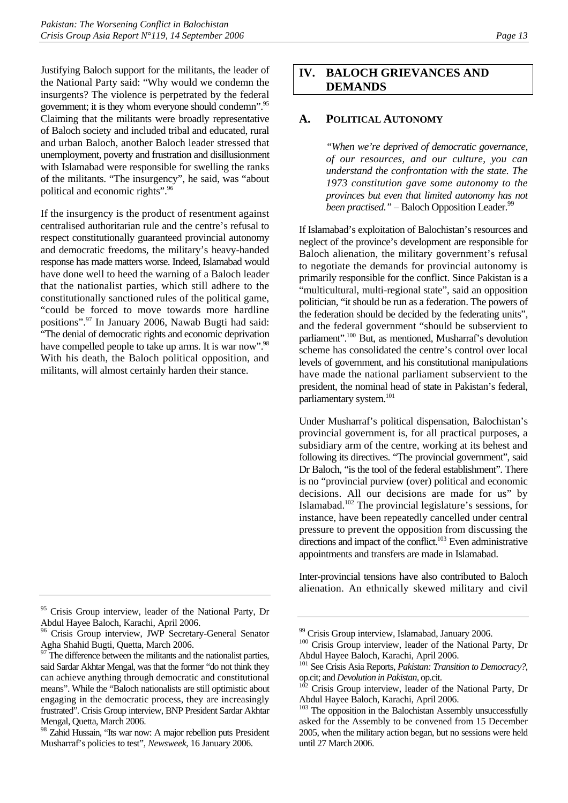Justifying Baloch support for the militants, the leader of the National Party said: "Why would we condemn the insurgents? The violence is perpetrated by the federal government; it is they whom everyone should condemn".95 Claiming that the militants were broadly representative of Baloch society and included tribal and educated, rural and urban Baloch, another Baloch leader stressed that unemployment, poverty and frustration and disillusionment with Islamabad were responsible for swelling the ranks of the militants. "The insurgency", he said, was "about political and economic rights".<sup>96</sup>

If the insurgency is the product of resentment against centralised authoritarian rule and the centre's refusal to respect constitutionally guaranteed provincial autonomy and democratic freedoms, the military's heavy-handed response has made matters worse. Indeed, Islamabad would have done well to heed the warning of a Baloch leader that the nationalist parties, which still adhere to the constitutionally sanctioned rules of the political game, "could be forced to move towards more hardline positions".97 In January 2006, Nawab Bugti had said: "The denial of democratic rights and economic deprivation have compelled people to take up arms. It is war now".<sup>98</sup> With his death, the Baloch political opposition, and militants, will almost certainly harden their stance.

## **IV. BALOCH GRIEVANCES AND DEMANDS**

## **A. POLITICAL AUTONOMY**

*"When we're deprived of democratic governance, of our resources, and our culture, you can understand the confrontation with the state. The 1973 constitution gave some autonomy to the provinces but even that limited autonomy has not been practised.*" – Baloch Opposition Leader.<sup>99</sup>

If Islamabad's exploitation of Balochistan's resources and neglect of the province's development are responsible for Baloch alienation, the military government's refusal to negotiate the demands for provincial autonomy is primarily responsible for the conflict. Since Pakistan is a "multicultural, multi-regional state", said an opposition politician, "it should be run as a federation. The powers of the federation should be decided by the federating units", and the federal government "should be subservient to parliament".100 But, as mentioned, Musharraf's devolution scheme has consolidated the centre's control over local levels of government, and his constitutional manipulations have made the national parliament subservient to the president, the nominal head of state in Pakistan's federal, parliamentary system.<sup>101</sup>

Under Musharraf's political dispensation, Balochistan's provincial government is, for all practical purposes, a subsidiary arm of the centre, working at its behest and following its directives. "The provincial government", said Dr Baloch, "is the tool of the federal establishment". There is no "provincial purview (over) political and economic decisions. All our decisions are made for us" by Islamabad.102 The provincial legislature's sessions, for instance, have been repeatedly cancelled under central pressure to prevent the opposition from discussing the directions and impact of the conflict.<sup>103</sup> Even administrative appointments and transfers are made in Islamabad.

Inter-provincial tensions have also contributed to Baloch alienation. An ethnically skewed military and civil

<sup>95</sup> Crisis Group interview, leader of the National Party, Dr Abdul Hayee Baloch, Karachi, April 2006.

Crisis Group interview, JWP Secretary-General Senator Agha Shahid Bugti, Quetta, March 2006.

The difference between the militants and the nationalist parties, said Sardar Akhtar Mengal, was that the former "do not think they can achieve anything through democratic and constitutional means". While the "Baloch nationalists are still optimistic about engaging in the democratic process, they are increasingly frustrated". Crisis Group interview, BNP President Sardar Akhtar Mengal, Quetta, March 2006.

<sup>98</sup> Zahid Hussain, "Its war now: A major rebellion puts President Musharraf's policies to test", *Newsweek*, 16 January 2006.

<sup>&</sup>lt;sup>99</sup> Crisis Group interview, Islamabad, January 2006.

<sup>&</sup>lt;sup>100</sup> Crisis Group interview, leader of the National Party, Dr Abdul Hayee Baloch, Karachi, April 2006.

<sup>&</sup>lt;sup>101</sup> See Crisis Asia Reports, *Pakistan: Transition to Democracy?*, op.cit; and *Devolution in Pakistan*, op.cit.

Crisis Group interview, leader of the National Party, Dr Abdul Hayee Baloch, Karachi, April 2006.

<sup>&</sup>lt;sup>103</sup> The opposition in the Balochistan Assembly unsuccessfully asked for the Assembly to be convened from 15 December 2005, when the military action began, but no sessions were held until 27 March 2006.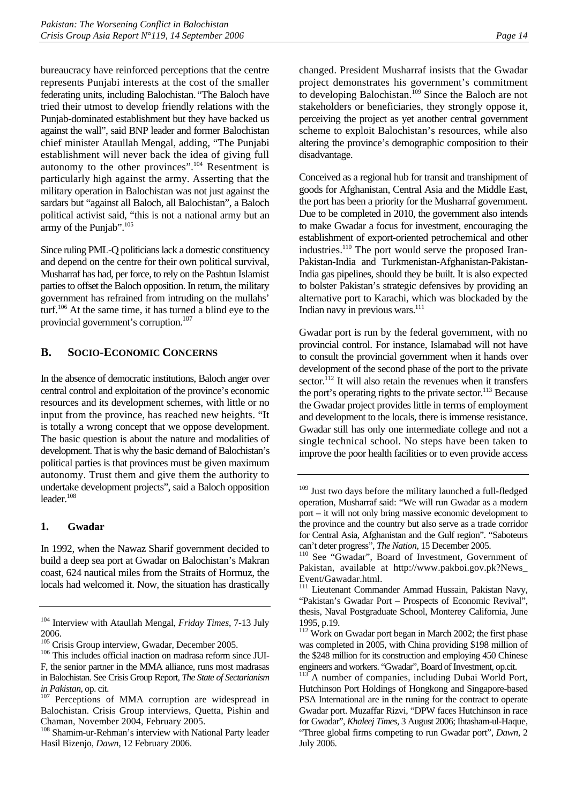bureaucracy have reinforced perceptions that the centre represents Punjabi interests at the cost of the smaller federating units, including Balochistan. "The Baloch have tried their utmost to develop friendly relations with the Punjab-dominated establishment but they have backed us against the wall", said BNP leader and former Balochistan chief minister Ataullah Mengal, adding, "The Punjabi establishment will never back the idea of giving full autonomy to the other provinces".<sup>104</sup> Resentment is particularly high against the army. Asserting that the military operation in Balochistan was not just against the sardars but "against all Baloch, all Balochistan", a Baloch political activist said, "this is not a national army but an army of the Punjab".<sup>105</sup>

Since ruling PML-Q politicians lack a domestic constituency and depend on the centre for their own political survival, Musharraf has had, per force, to rely on the Pashtun Islamist parties to offset the Baloch opposition. In return, the military government has refrained from intruding on the mullahs' turf.<sup>106</sup> At the same time, it has turned a blind eye to the provincial government's corruption.<sup>107</sup>

## **B. SOCIO-ECONOMIC CONCERNS**

In the absence of democratic institutions, Baloch anger over central control and exploitation of the province's economic resources and its development schemes, with little or no input from the province, has reached new heights. "It is totally a wrong concept that we oppose development. The basic question is about the nature and modalities of development. That is why the basic demand of Balochistan's political parties is that provinces must be given maximum autonomy. Trust them and give them the authority to undertake development projects", said a Baloch opposition leader.<sup>108</sup>

#### **1. Gwadar**

In 1992, when the Nawaz Sharif government decided to build a deep sea port at Gwadar on Balochistan's Makran coast, 624 nautical miles from the Straits of Hormuz, the locals had welcomed it. Now, the situation has drastically

 $106$  This includes official inaction on madrasa reform since JUI-F, the senior partner in the MMA alliance, runs most madrasas in Balochistan. See Crisis Group Report, *The State of Sectarianism* 

changed. President Musharraf insists that the Gwadar project demonstrates his government's commitment to developing Balochistan.<sup>109</sup> Since the Baloch are not stakeholders or beneficiaries, they strongly oppose it, perceiving the project as yet another central government scheme to exploit Balochistan's resources, while also altering the province's demographic composition to their disadvantage.

Conceived as a regional hub for transit and transhipment of goods for Afghanistan, Central Asia and the Middle East, the port has been a priority for the Musharraf government. Due to be completed in 2010, the government also intends to make Gwadar a focus for investment, encouraging the establishment of export-oriented petrochemical and other industries.<sup>110</sup> The port would serve the proposed Iran-Pakistan-India and Turkmenistan-Afghanistan-Pakistan-India gas pipelines, should they be built. It is also expected to bolster Pakistan's strategic defensives by providing an alternative port to Karachi, which was blockaded by the Indian navy in previous wars.<sup>111</sup>

Gwadar port is run by the federal government, with no provincial control. For instance, Islamabad will not have to consult the provincial government when it hands over development of the second phase of the port to the private sector.<sup>112</sup> It will also retain the revenues when it transfers the port's operating rights to the private sector.<sup>113</sup> Because the Gwadar project provides little in terms of employment and development to the locals, there is immense resistance. Gwadar still has only one intermediate college and not a single technical school. No steps have been taken to improve the poor health facilities or to even provide access

<sup>104</sup> Interview with Ataullah Mengal, *Friday Times*, 7-13 July

<sup>&</sup>lt;sup>105</sup> Crisis Group interview, Gwadar, December 2005.

*in Pakistan*, op. cit.<br><sup>107</sup> Perceptions of MMA corruption are widespread in Balochistan. Crisis Group interviews, Quetta, Pishin and Chaman, November 2004, February 2005.

<sup>108</sup> Shamim-ur-Rehman's interview with National Party leader Hasil Bizenjo, *Dawn,* 12 February 2006.

<sup>&</sup>lt;sup>109</sup> Just two days before the military launched a full-fledged operation, Musharraf said: "We will run Gwadar as a modern port – it will not only bring massive economic development to the province and the country but also serve as a trade corridor for Central Asia, Afghanistan and the Gulf region". "Saboteurs

can't deter progress", *The Nation*, 15 December 2005.<br><sup>110</sup> See "Gwadar", Board of Investment, Government of Pakistan, available at http://www.pakboi.gov.pk?News\_ Event/Gawadar.html.

<sup>&</sup>lt;sup>111</sup> Lieutenant Commander Ammad Hussain, Pakistan Navy, "Pakistan's Gwadar Port – Prospects of Economic Revival", thesis, Naval Postgraduate School, Monterey California, June 1995, p.19.

<sup>&</sup>lt;sup>112</sup> Work on Gwadar port began in March 2002; the first phase was completed in 2005, with China providing \$198 million of the \$248 million for its construction and employing 450 Chinese engineers and workers. "Gwadar", Board of Investment, op.cit.

A number of companies, including Dubai World Port, Hutchinson Port Holdings of Hongkong and Singapore-based PSA International are in the runing for the contract to operate Gwadar port. Muzaffar Rizvi, "DPW faces Hutchinson in race for Gwadar", *Khaleej Times*, 3 August 2006; Ihtasham-ul-Haque, "Three global firms competing to run Gwadar port", *Dawn,* 2 July 2006.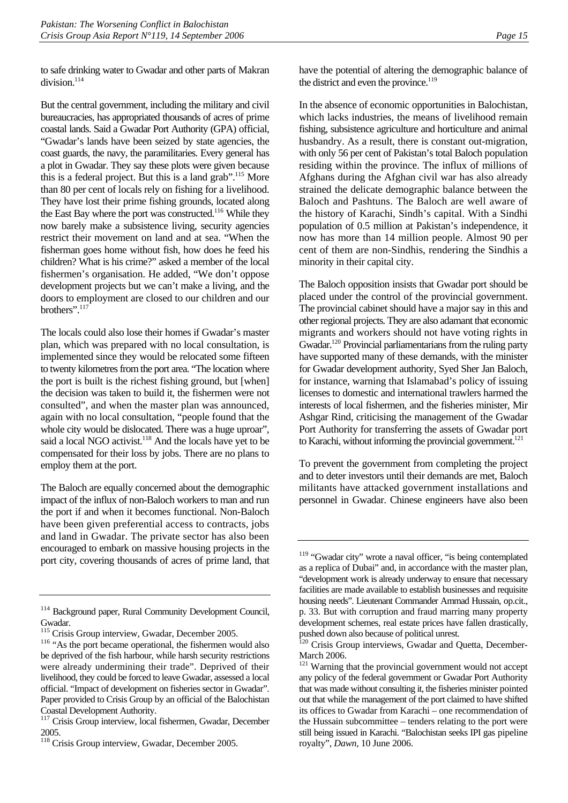to safe drinking water to Gwadar and other parts of Makran division.<sup>114</sup>

But the central government, including the military and civil bureaucracies, has appropriated thousands of acres of prime coastal lands. Said a Gwadar Port Authority (GPA) official, "Gwadar's lands have been seized by state agencies, the coast guards, the navy, the paramilitaries. Every general has a plot in Gwadar. They say these plots were given because this is a federal project. But this is a land grab".<sup>115</sup> More than 80 per cent of locals rely on fishing for a livelihood. They have lost their prime fishing grounds, located along the East Bay where the port was constructed.<sup>116</sup> While they now barely make a subsistence living, security agencies restrict their movement on land and at sea. "When the fisherman goes home without fish, how does he feed his children? What is his crime?" asked a member of the local fishermen's organisation. He added, "We don't oppose development projects but we can't make a living, and the doors to employment are closed to our children and our brothers".117

The locals could also lose their homes if Gwadar's master plan, which was prepared with no local consultation, is implemented since they would be relocated some fifteen to twenty kilometres from the port area. "The location where the port is built is the richest fishing ground, but [when] the decision was taken to build it, the fishermen were not consulted", and when the master plan was announced, again with no local consultation, "people found that the whole city would be dislocated. There was a huge uproar", said a local NGO activist.<sup>118</sup> And the locals have yet to be compensated for their loss by jobs. There are no plans to employ them at the port.

The Baloch are equally concerned about the demographic impact of the influx of non-Baloch workers to man and run the port if and when it becomes functional. Non-Baloch have been given preferential access to contracts, jobs and land in Gwadar. The private sector has also been encouraged to embark on massive housing projects in the port city, covering thousands of acres of prime land, that have the potential of altering the demographic balance of the district and even the province.<sup>119</sup>

In the absence of economic opportunities in Balochistan, which lacks industries, the means of livelihood remain fishing, subsistence agriculture and horticulture and animal husbandry. As a result, there is constant out-migration, with only 56 per cent of Pakistan's total Baloch population residing within the province. The influx of millions of Afghans during the Afghan civil war has also already strained the delicate demographic balance between the Baloch and Pashtuns. The Baloch are well aware of the history of Karachi, Sindh's capital. With a Sindhi population of 0.5 million at Pakistan's independence, it now has more than 14 million people. Almost 90 per cent of them are non-Sindhis, rendering the Sindhis a minority in their capital city.

The Baloch opposition insists that Gwadar port should be placed under the control of the provincial government. The provincial cabinet should have a major say in this and other regional projects. They are also adamant that economic migrants and workers should not have voting rights in Gwadar.<sup>120</sup> Provincial parliamentarians from the ruling party have supported many of these demands, with the minister for Gwadar development authority, Syed Sher Jan Baloch, for instance, warning that Islamabad's policy of issuing licenses to domestic and international trawlers harmed the interests of local fishermen, and the fisheries minister, Mir Ashgar Rind, criticising the management of the Gwadar Port Authority for transferring the assets of Gwadar port to Karachi, without informing the provincial government.<sup>121</sup>

To prevent the government from completing the project and to deter investors until their demands are met, Baloch militants have attacked government installations and personnel in Gwadar. Chinese engineers have also been

<sup>114</sup> Background paper, Rural Community Development Council,

Gwadar.<br><sup>115</sup> Crisis Group interview, Gwadar, December 2005.

<sup>&</sup>lt;sup>116</sup> "As the port became operational, the fishermen would also be deprived of the fish harbour, while harsh security restrictions were already undermining their trade". Deprived of their livelihood, they could be forced to leave Gwadar, assessed a local official. "Impact of development on fisheries sector in Gwadar". Paper provided to Crisis Group by an official of the Balochistan Coastal Development Authority.

<sup>&</sup>lt;sup>117</sup> Crisis Group interview, local fishermen, Gwadar, December 2005.

<sup>&</sup>lt;sup>118</sup> Crisis Group interview, Gwadar, December 2005.

<sup>&</sup>lt;sup>119</sup> "Gwadar city" wrote a naval officer, "is being contemplated as a replica of Dubai" and, in accordance with the master plan, "development work is already underway to ensure that necessary facilities are made available to establish businesses and requisite housing needs". Lieutenant Commander Ammad Hussain, op.cit., p. 33. But with corruption and fraud marring many property development schemes, real estate prices have fallen drastically, pushed down also because of political unrest.

<sup>&</sup>lt;sup>120</sup> Crisis Group interviews, Gwadar and Quetta, December-March 2006.

<sup>&</sup>lt;sup>121</sup> Warning that the provincial government would not accept any policy of the federal government or Gwadar Port Authority that was made without consulting it, the fisheries minister pointed out that while the management of the port claimed to have shifted its offices to Gwadar from Karachi – one recommendation of the Hussain subcommittee – tenders relating to the port were still being issued in Karachi. "Balochistan seeks IPI gas pipeline royalty", *Dawn*, 10 June 2006.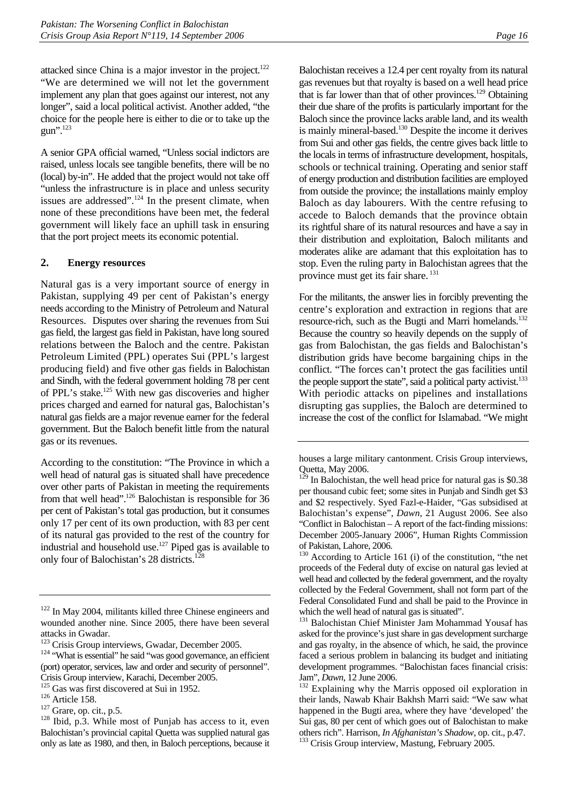attacked since China is a major investor in the project. $122$ "We are determined we will not let the government implement any plan that goes against our interest, not any longer", said a local political activist. Another added, "the choice for the people here is either to die or to take up the gun".123

A senior GPA official warned, "Unless social indictors are raised, unless locals see tangible benefits, there will be no (local) by-in". He added that the project would not take off "unless the infrastructure is in place and unless security issues are addressed".<sup>124</sup> In the present climate, when none of these preconditions have been met, the federal government will likely face an uphill task in ensuring that the port project meets its economic potential.

#### **2. Energy resources**

Natural gas is a very important source of energy in Pakistan, supplying 49 per cent of Pakistan's energy needs according to the Ministry of Petroleum and Natural Resources. Disputes over sharing the revenues from Sui gas field, the largest gas field in Pakistan, have long soured relations between the Baloch and the centre. Pakistan Petroleum Limited (PPL) operates Sui (PPL's largest producing field) and five other gas fields in Balochistan and Sindh, with the federal government holding 78 per cent of PPL's stake.125 With new gas discoveries and higher prices charged and earned for natural gas, Balochistan's natural gas fields are a major revenue earner for the federal government. But the Baloch benefit little from the natural gas or its revenues.

According to the constitution: "The Province in which a well head of natural gas is situated shall have precedence over other parts of Pakistan in meeting the requirements from that well head".<sup>126</sup> Balochistan is responsible for 36 per cent of Pakistan's total gas production, but it consumes only 17 per cent of its own production, with 83 per cent of its natural gas provided to the rest of the country for industrial and household use.127 Piped gas is available to only four of Balochistan's 28 districts.128

Balochistan receives a 12.4 per cent royalty from its natural gas revenues but that royalty is based on a well head price that is far lower than that of other provinces.<sup>129</sup> Obtaining their due share of the profits is particularly important for the Baloch since the province lacks arable land, and its wealth is mainly mineral-based.<sup>130</sup> Despite the income it derives from Sui and other gas fields, the centre gives back little to the locals in terms of infrastructure development, hospitals, schools or technical training. Operating and senior staff of energy production and distribution facilities are employed from outside the province; the installations mainly employ Baloch as day labourers. With the centre refusing to accede to Baloch demands that the province obtain its rightful share of its natural resources and have a say in their distribution and exploitation, Baloch militants and moderates alike are adamant that this exploitation has to stop. Even the ruling party in Balochistan agrees that the province must get its fair share.<sup>131</sup>

For the militants, the answer lies in forcibly preventing the centre's exploration and extraction in regions that are resource-rich, such as the Bugti and Marri homelands.<sup>132</sup> Because the country so heavily depends on the supply of gas from Balochistan, the gas fields and Balochistan's distribution grids have become bargaining chips in the conflict. "The forces can't protect the gas facilities until the people support the state", said a political party activist.<sup>133</sup> With periodic attacks on pipelines and installations disrupting gas supplies, the Baloch are determined to increase the cost of the conflict for Islamabad. "We might

<sup>&</sup>lt;sup>122</sup> In May 2004, militants killed three Chinese engineers and wounded another nine. Since 2005, there have been several

attacks in Gwadar.<br><sup>123</sup> Crisis Group interviews, Gwadar, December 2005.

<sup>&</sup>lt;sup>124</sup> "What is essential" he said "was good governance, an efficient (port) operator, services, law and order and security of personnel". Crisis Group interview, Karachi, December 2005.<br><sup>125</sup> Gas was first discovered at Sui in 1952.<br><sup>126</sup> Article 158.<br><sup>127</sup> Grare, op. cit., p.5. <sup>128</sup> Ibid, p.3. While most of Punjab has access to it, even

Balochistan's provincial capital Quetta was supplied natural gas only as late as 1980, and then, in Baloch perceptions, because it

houses a large military cantonment. Crisis Group interviews, Quetta, May 2006.

In Balochistan, the well head price for natural gas is \$0.38 per thousand cubic feet; some sites in Punjab and Sindh get \$3 and \$2 respectively. Syed Fazl-e-Haider, "Gas subsidised at Balochistan's expense", *Dawn*, 21 August 2006. See also "Conflict in Balochistan – A report of the fact-finding missions: December 2005-January 2006", Human Rights Commission of Pakistan, Lahore, 2006.

<sup>&</sup>lt;sup>130</sup> According to Article 161 (i) of the constitution, "the net proceeds of the Federal duty of excise on natural gas levied at well head and collected by the federal government, and the royalty collected by the Federal Government, shall not form part of the Federal Consolidated Fund and shall be paid to the Province in which the well head of natural gas is situated".

<sup>131</sup> Balochistan Chief Minister Jam Mohammad Yousaf has asked for the province's just share in gas development surcharge and gas royalty, in the absence of which, he said, the province faced a serious problem in balancing its budget and initiating development programmes. "Balochistan faces financial crisis: Jam", *Dawn*, 12 June 2006.<br><sup>132</sup> Explaining why the Marris opposed oil exploration in

their lands, Nawab Khair Bakhsh Marri said: "We saw what happened in the Bugti area, where they have 'developed' the Sui gas, 80 per cent of which goes out of Balochistan to make others rich". Harrison*, In Afghanistan's Shadow*, op. cit., p.47. 133 Crisis Group interview, Mastung, February 2005.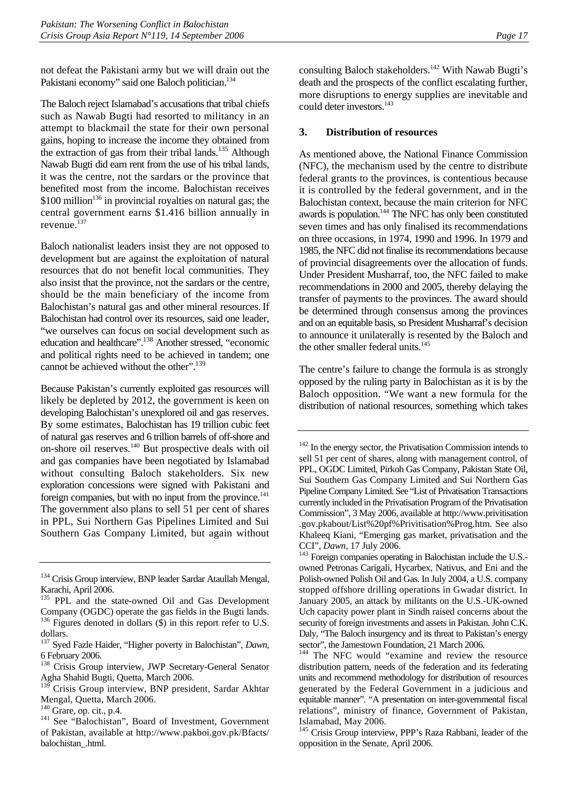not defeat the Pakistani army but we will drain out the Pakistani economy" said one Baloch politician.<sup>134</sup>

The Baloch reject Islamabad's accusations that tribal chiefs such as Nawab Bugti had resorted to militancy in an attempt to blackmail the state for their own personal gains, hoping to increase the income they obtained from the extraction of gas from their tribal lands.<sup>135</sup> Although Nawab Bugti did earn rent from the use of his tribal lands, it was the centre, not the sardars or the province that benefited most from the income. Balochistan receives \$100 million<sup>136</sup> in provincial royalties on natural gas; the central government earns \$1.416 billion annually in revenue.<sup>137</sup>

Baloch nationalist leaders insist they are not opposed to development but are against the exploitation of natural resources that do not benefit local communities. They also insist that the province, not the sardars or the centre, should be the main beneficiary of the income from Balochistan's natural gas and other mineral resources. If Balochistan had control over its resources, said one leader, "we ourselves can focus on social development such as education and healthcare".<sup>138</sup> Another stressed, "economic and political rights need to be achieved in tandem; one cannot be achieved without the other".<sup>139</sup>

Because Pakistan's currently exploited gas resources will likely be depleted by 2012, the government is keen on developing Balochistan's unexplored oil and gas reserves. By some estimates, Balochistan has 19 trillion cubic feet of natural gas reserves and 6 trillion barrels of off-shore and on-shore oil reserves.140 But prospective deals with oil and gas companies have been negotiated by Islamabad without consulting Baloch stakeholders. Six new exploration concessions were signed with Pakistani and foreign companies, but with no input from the province.<sup>141</sup> The government also plans to sell 51 per cent of shares in PPL, Sui Northern Gas Pipelines Limited and Sui Southern Gas Company Limited, but again without

<sup>135</sup> PPL and the state-owned Oil and Gas Development Company (OGDC) operate the gas fields in the Bugti lands. 136 Figures denoted in dollars (\$) in this report refer to U.S. dollars.

consulting Baloch stakeholders.<sup>142</sup> With Nawab Bugti's death and the prospects of the conflict escalating further, more disruptions to energy supplies are inevitable and could deter investors.<sup>143</sup>

#### **3. Distribution of resources**

As mentioned above, the National Finance Commission (NFC), the mechanism used by the centre to distribute federal grants to the provinces, is contentious because it is controlled by the federal government, and in the Balochistan context, because the main criterion for NFC awards is population.<sup>144</sup> The NFC has only been constituted seven times and has only finalised its recommendations on three occasions, in 1974, 1990 and 1996. In 1979 and 1985, the NFC did not finalise its recommendations because of provincial disagreements over the allocation of funds. Under President Musharraf, too, the NFC failed to make recommendations in 2000 and 2005, thereby delaying the transfer of payments to the provinces. The award should be determined through consensus among the provinces and on an equitable basis, so President Musharraf's decision to announce it unilaterally is resented by the Baloch and the other smaller federal units.<sup>145</sup>

The centre's failure to change the formula is as strongly opposed by the ruling party in Balochistan as it is by the Baloch opposition. "We want a new formula for the distribution of national resources, something which takes

<sup>&</sup>lt;sup>134</sup> Crisis Group interview, BNP leader Sardar Ataullah Mengal, Karachi, April 2006.

<sup>137</sup> Syed Fazle Haider, "Higher poverty in Balochistan", *Dawn*, 6 February 2006.

<sup>&</sup>lt;sup>138</sup> Crisis Group interview, JWP Secretary-General Senator Agha Shahid Bugti, Quetta, March 2006.

<sup>139</sup> Crisis Group interview, BNP president, Sardar Akhtar Mengal, Quetta, March 2006.<br><sup>140</sup> Grare, op. cit., p.4.

<sup>&</sup>lt;sup>141</sup> See "Balochistan", Board of Investment, Government of Pakistan, available at http://www.pakboi.gov.pk/Bfacts/ balochistan\_.html.

<sup>142</sup> In the energy sector, the Privatisation Commission intends to sell 51 per cent of shares, along with management control, of PPL, OGDC Limited, Pirkoh Gas Company, Pakistan State Oil, Sui Southern Gas Company Limited and Sui Northern Gas Pipeline Company Limited. See "List of Privatisation Transactions currently included in the Privatisation Program of the Privatisation Commission", 3 May 2006, available at http://www.privitisation .gov.pkabout/List%20pf%Privitisation%Prog.htm. See also Khaleeq Kiani, "Emerging gas market, privatisation and the

CCI", *Dawn*, 17 July 2006.<br><sup>143</sup> Foreign companies operating in Balochistan include the U.S.owned Petronas Carigali, Hycarbex, Nativus, and Eni and the Polish-owned Polish Oil and Gas. In July 2004, a U.S. company stopped offshore drilling operations in Gwadar district. In January 2005, an attack by militants on the U.S.-UK-owned Uch capacity power plant in Sindh raised concerns about the security of foreign investments and assets in Pakistan. John C.K. Daly, "The Baloch insurgency and its threat to Pakistan's energy sector", the Jamestown Foundation, 21 March 2006.

<sup>&</sup>lt;sup>144</sup> The NFC would "examine and review the resource distribution pattern, needs of the federation and its federating units and recommend methodology for distribution of resources generated by the Federal Government in a judicious and equitable manner". "A presentation on inter-governmental fiscal relations", ministry of finance, Government of Pakistan, Islamabad, May 2006.

<sup>&</sup>lt;sup>145</sup> Crisis Group interview, PPP's Raza Rabbani, leader of the opposition in the Senate, April 2006.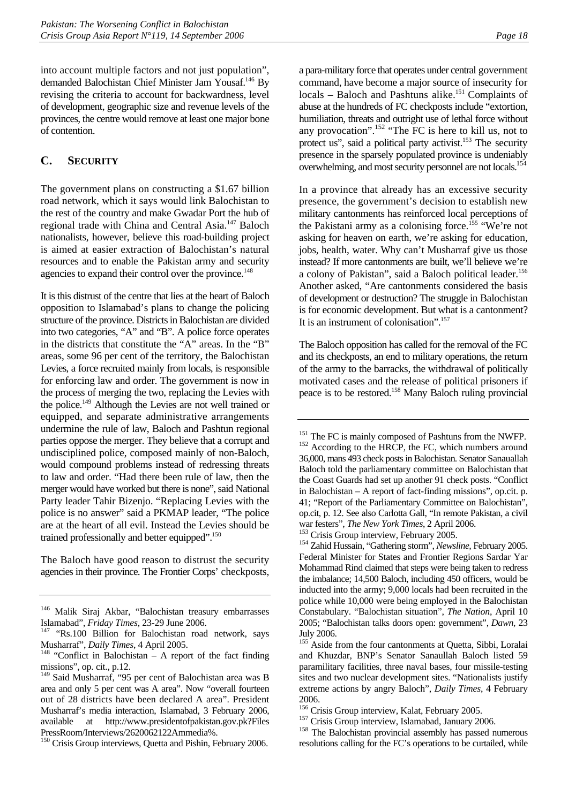into account multiple factors and not just population", demanded Balochistan Chief Minister Jam Yousaf.146 By revising the criteria to account for backwardness, level of development, geographic size and revenue levels of the provinces, the centre would remove at least one major bone of contention.

## **C. SECURITY**

The government plans on constructing a \$1.67 billion road network, which it says would link Balochistan to the rest of the country and make Gwadar Port the hub of regional trade with China and Central Asia.147 Baloch nationalists, however, believe this road-building project is aimed at easier extraction of Balochistan's natural resources and to enable the Pakistan army and security agencies to expand their control over the province.<sup>148</sup>

It is this distrust of the centre that lies at the heart of Baloch opposition to Islamabad's plans to change the policing structure of the province. Districts in Balochistan are divided into two categories, "A" and "B". A police force operates in the districts that constitute the "A" areas. In the "B" areas, some 96 per cent of the territory, the Balochistan Levies, a force recruited mainly from locals, is responsible for enforcing law and order. The government is now in the process of merging the two, replacing the Levies with the police.149 Although the Levies are not well trained or equipped, and separate administrative arrangements undermine the rule of law, Baloch and Pashtun regional parties oppose the merger. They believe that a corrupt and undisciplined police, composed mainly of non-Baloch, would compound problems instead of redressing threats to law and order. "Had there been rule of law, then the merger would have worked but there is none", said National Party leader Tahir Bizenjo. "Replacing Levies with the police is no answer" said a PKMAP leader, "The police are at the heart of all evil. Instead the Levies should be trained professionally and better equipped".<sup>150</sup>

The Baloch have good reason to distrust the security agencies in their province. The Frontier Corps' checkposts,

a para-military force that operates under central government command, have become a major source of insecurity for locals – Baloch and Pashtuns alike.<sup>151</sup> Complaints of abuse at the hundreds of FC checkposts include "extortion, humiliation, threats and outright use of lethal force without any provocation".152 "The FC is here to kill us, not to protect us", said a political party activist.<sup>153</sup> The security presence in the sparsely populated province is undeniably overwhelming, and most security personnel are not locals.<sup>154</sup>

In a province that already has an excessive security presence, the government's decision to establish new military cantonments has reinforced local perceptions of the Pakistani army as a colonising force.<sup>155</sup> "We're not asking for heaven on earth, we're asking for education, jobs, health, water. Why can't Musharraf give us those instead? If more cantonments are built, we'll believe we're a colony of Pakistan", said a Baloch political leader.<sup>156</sup> Another asked, "Are cantonments considered the basis of development or destruction? The struggle in Balochistan is for economic development. But what is a cantonment? It is an instrument of colonisation".<sup>157</sup>

The Baloch opposition has called for the removal of the FC and its checkposts, an end to military operations, the return of the army to the barracks, the withdrawal of politically motivated cases and the release of political prisoners if peace is to be restored.158 Many Baloch ruling provincial

<sup>146</sup> Malik Siraj Akbar, "Balochistan treasury embarrasses

Islamabad", *Friday Times*, 23-29 June 2006.<br><sup>147</sup> "Rs.100 Billion for Balochistan road network, says

Musharraf", *Daily Times*, 4 April 2005.<br><sup>148</sup> "Conflict in Balochistan – A report of the fact finding missions", op. cit., p.12.

<sup>149</sup> Said Musharraf, "95 per cent of Balochistan area was B area and only 5 per cent was A area". Now "overall fourteen out of 28 districts have been declared A area". President Musharraf's media interaction, Islamabad, 3 February 2006, available at http://www.presidentofpakistan.gov.pk?Files PressRoom/Interviews/2620062122Ammedia%.

<sup>&</sup>lt;sup>150</sup> Crisis Group interviews, Quetta and Pishin, February 2006.

<sup>&</sup>lt;sup>151</sup> The FC is mainly composed of Pashtuns from the NWFP.<br><sup>152</sup> According to the HRCP, the FC, which numbers around 36,000, mans 493 check posts in Balochistan. Senator Sanauallah Baloch told the parliamentary committee on Balochistan that the Coast Guards had set up another 91 check posts. "Conflict in Balochistan – A report of fact-finding missions", op.cit. p. 41; "Report of the Parliamentary Committee on Balochistan", op.cit, p. 12. See also Carlotta Gall, "In remote Pakistan, a civil war festers", *The New York Times*, 2 April 2006. 153 Crisis Group interview, February 2005. 154 Zahid Hussain, "Gathering storm", *Newsline,* February 2005.

Federal Minister for States and Frontier Regions Sardar Yar Mohammad Rind claimed that steps were being taken to redress the imbalance; 14,500 Baloch, including 450 officers, would be inducted into the army; 9,000 locals had been recruited in the police while 10,000 were being employed in the Balochistan Constabulary. "Balochistan situation", *The Nation*, April 10 2005; "Balochistan talks doors open: government", *Dawn,* 23 July 2006.

<sup>&</sup>lt;sup>155</sup> Aside from the four cantonments at Quetta, Sibbi, Loralai and Khuzdar, BNP's Senator Sanaullah Baloch listed 59 paramilitary facilities, three naval bases, four missile-testing sites and two nuclear development sites. "Nationalists justify extreme actions by angry Baloch", *Daily Times*, 4 February

<sup>2006.&</sup>lt;br><sup>156</sup> Crisis Group interview, Kalat, February 2005.

<sup>&</sup>lt;sup>157</sup> Crisis Group interview, Islamabad, January 2006. <sup>158</sup> The Balochistan provincial assembly has passed numerous resolutions calling for the FC's operations to be curtailed, while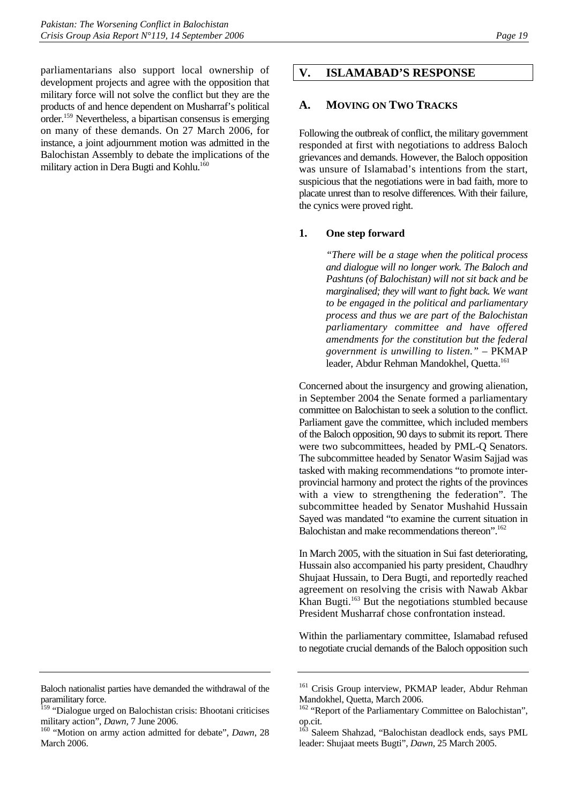parliamentarians also support local ownership of development projects and agree with the opposition that military force will not solve the conflict but they are the products of and hence dependent on Musharraf's political order.159 Nevertheless, a bipartisan consensus is emerging on many of these demands. On 27 March 2006, for instance, a joint adjournment motion was admitted in the Balochistan Assembly to debate the implications of the military action in Dera Bugti and Kohlu.<sup>160</sup>

#### **A. MOVING ON TWO TRACKS**

Following the outbreak of conflict, the military government responded at first with negotiations to address Baloch grievances and demands. However, the Baloch opposition was unsure of Islamabad's intentions from the start, suspicious that the negotiations were in bad faith, more to placate unrest than to resolve differences. With their failure, the cynics were proved right.

#### **1. One step forward**

*"There will be a stage when the political process and dialogue will no longer work. The Baloch and Pashtuns (of Balochistan) will not sit back and be marginalised; they will want to fight back. We want to be engaged in the political and parliamentary process and thus we are part of the Balochistan parliamentary committee and have offered amendments for the constitution but the federal government is unwilling to listen."* – PKMAP leader, Abdur Rehman Mandokhel, Quetta.<sup>161</sup>

Concerned about the insurgency and growing alienation, in September 2004 the Senate formed a parliamentary committee on Balochistan to seek a solution to the conflict. Parliament gave the committee, which included members of the Baloch opposition, 90 days to submit its report. There were two subcommittees, headed by PML-Q Senators. The subcommittee headed by Senator Wasim Sajjad was tasked with making recommendations "to promote interprovincial harmony and protect the rights of the provinces with a view to strengthening the federation". The subcommittee headed by Senator Mushahid Hussain Sayed was mandated "to examine the current situation in Balochistan and make recommendations thereon".<sup>162</sup>

In March 2005, with the situation in Sui fast deteriorating, Hussain also accompanied his party president, Chaudhry Shujaat Hussain, to Dera Bugti, and reportedly reached agreement on resolving the crisis with Nawab Akbar Khan Bugti.163 But the negotiations stumbled because President Musharraf chose confrontation instead.

Within the parliamentary committee, Islamabad refused to negotiate crucial demands of the Baloch opposition such

Baloch nationalist parties have demanded the withdrawal of the paramilitary force.

<sup>&</sup>lt;sup>159</sup> "Dialogue urged on Balochistan crisis: Bhootani criticises military action", *Dawn*, 7 June 2006.<br><sup>160</sup> "Motion on army action admitted for debate", *Dawn*, 28

March 2006.

**V. ISLAMABAD'S RESPONSE** 

<sup>&</sup>lt;sup>161</sup> Crisis Group interview, PKMAP leader, Abdur Rehman Mandokhel, Quetta, March 2006.

<sup>&</sup>lt;sup>162</sup> "Report of the Parliamentary Committee on Balochistan", op.cit.

<sup>&</sup>lt;sup>163</sup> Saleem Shahzad, "Balochistan deadlock ends, says PML leader: Shujaat meets Bugti", *Dawn*, 25 March 2005.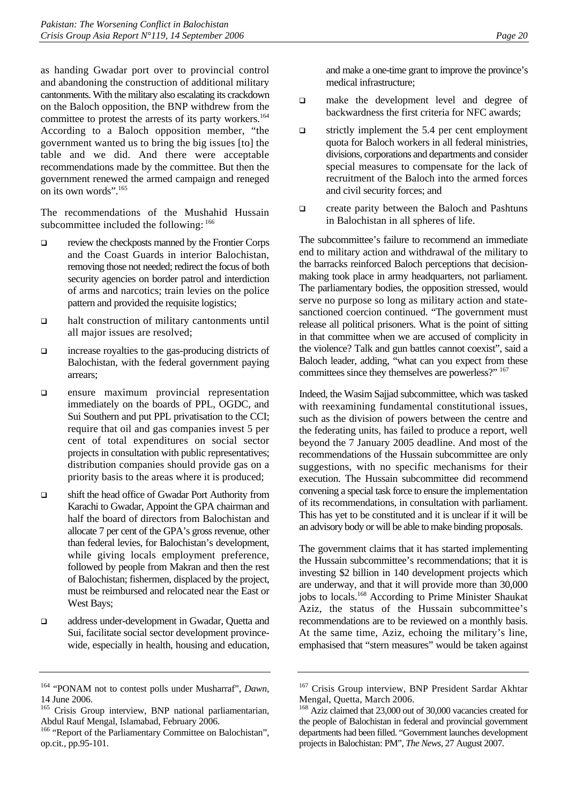as handing Gwadar port over to provincial control and abandoning the construction of additional military cantonments. With the military also escalating its crackdown on the Baloch opposition, the BNP withdrew from the committee to protest the arrests of its party workers.<sup>164</sup> According to a Baloch opposition member, "the government wanted us to bring the big issues [to] the table and we did. And there were acceptable recommendations made by the committee. But then the government renewed the armed campaign and reneged on its own words".<sup>165</sup>

The recommendations of the Mushahid Hussain subcommittee included the following:  $166$ 

- review the checkposts manned by the Frontier Corps and the Coast Guards in interior Balochistan, removing those not needed; redirect the focus of both security agencies on border patrol and interdiction of arms and narcotics; train levies on the police pattern and provided the requisite logistics;
- halt construction of military cantonments until all major issues are resolved;
- increase royalties to the gas-producing districts of Balochistan, with the federal government paying arrears;
- ensure maximum provincial representation immediately on the boards of PPL, OGDC, and Sui Southern and put PPL privatisation to the CCI; require that oil and gas companies invest 5 per cent of total expenditures on social sector projects in consultation with public representatives; distribution companies should provide gas on a priority basis to the areas where it is produced;
- shift the head office of Gwadar Port Authority from Karachi to Gwadar, Appoint the GPA chairman and half the board of directors from Balochistan and allocate 7 per cent of the GPA's gross revenue, other than federal levies, for Balochistan's development, while giving locals employment preference, followed by people from Makran and then the rest of Balochistan; fishermen, displaced by the project, must be reimbursed and relocated near the East or West Bays;
- address under-development in Gwadar, Quetta and Sui, facilitate social sector development provincewide, especially in health, housing and education,

and make a one-time grant to improve the province's medical infrastructure;

- $\Box$  make the development level and degree of backwardness the first criteria for NFC awards;
- $\Box$  strictly implement the 5.4 per cent employment quota for Baloch workers in all federal ministries, divisions, corporations and departments and consider special measures to compensate for the lack of recruitment of the Baloch into the armed forces and civil security forces; and
- □ create parity between the Baloch and Pashtuns in Balochistan in all spheres of life.

The subcommittee's failure to recommend an immediate end to military action and withdrawal of the military to the barracks reinforced Baloch perceptions that decisionmaking took place in army headquarters, not parliament. The parliamentary bodies, the opposition stressed, would serve no purpose so long as military action and statesanctioned coercion continued. "The government must release all political prisoners. What is the point of sitting in that committee when we are accused of complicity in the violence? Talk and gun battles cannot coexist", said a Baloch leader, adding, "what can you expect from these committees since they themselves are powerless?" 167

Indeed, the Wasim Sajjad subcommittee, which was tasked with reexamining fundamental constitutional issues, such as the division of powers between the centre and the federating units, has failed to produce a report, well beyond the 7 January 2005 deadline. And most of the recommendations of the Hussain subcommittee are only suggestions, with no specific mechanisms for their execution. The Hussain subcommittee did recommend convening a special task force to ensure the implementation of its recommendations, in consultation with parliament. This has yet to be constituted and it is unclear if it will be an advisory body or will be able to make binding proposals.

The government claims that it has started implementing the Hussain subcommittee's recommendations; that it is investing \$2 billion in 140 development projects which are underway, and that it will provide more than 30,000 jobs to locals.168 According to Prime Minister Shaukat Aziz, the status of the Hussain subcommittee's recommendations are to be reviewed on a monthly basis. At the same time, Aziz, echoing the military's line, emphasised that "stern measures" would be taken against

<sup>164 &</sup>quot;PONAM not to contest polls under Musharraf", *Dawn,* 14 June 2006.

<sup>&</sup>lt;sup>165</sup> Crisis Group interview, BNP national parliamentarian, Abdul Rauf Mengal, Islamabad, February 2006.

<sup>&</sup>lt;sup>166</sup> "Report of the Parliamentary Committee on Balochistan", op.cit., pp.95-101.

<sup>&</sup>lt;sup>167</sup> Crisis Group interview, BNP President Sardar Akhtar Mengal, Quetta, March 2006.

<sup>168</sup> Aziz claimed that 23,000 out of 30,000 vacancies created for the people of Balochistan in federal and provincial government departments had been filled. "Government launches development projects in Balochistan: PM", *The News,* 27 August 2007.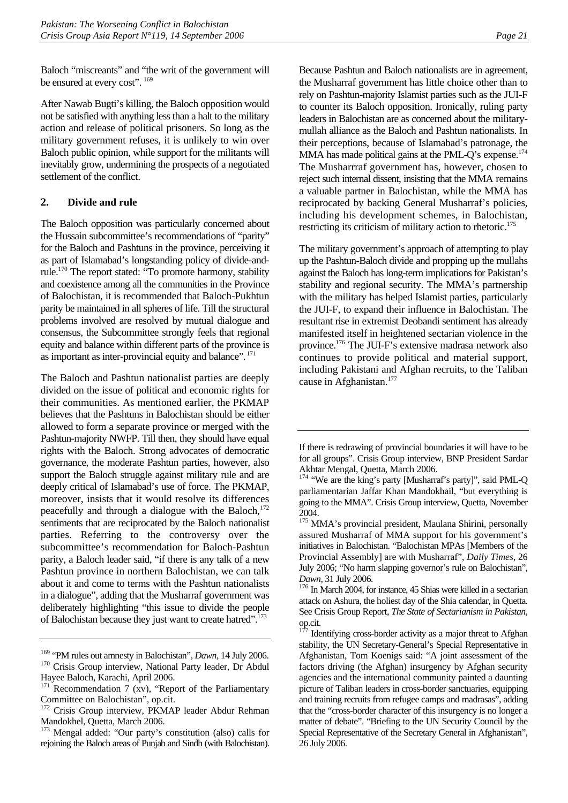Baloch "miscreants" and "the writ of the government will be ensured at every cost".  $169$ 

After Nawab Bugti's killing, the Baloch opposition would not be satisfied with anything less than a halt to the military action and release of political prisoners. So long as the military government refuses, it is unlikely to win over Baloch public opinion, while support for the militants will inevitably grow, undermining the prospects of a negotiated settlement of the conflict.

### **2. Divide and rule**

The Baloch opposition was particularly concerned about the Hussain subcommittee's recommendations of "parity" for the Baloch and Pashtuns in the province, perceiving it as part of Islamabad's longstanding policy of divide-andrule.170 The report stated: "To promote harmony, stability and coexistence among all the communities in the Province of Balochistan, it is recommended that Baloch-Pukhtun parity be maintained in all spheres of life. Till the structural problems involved are resolved by mutual dialogue and consensus, the Subcommittee strongly feels that regional equity and balance within different parts of the province is as important as inter-provincial equity and balance". <sup>171</sup>

The Baloch and Pashtun nationalist parties are deeply divided on the issue of political and economic rights for their communities. As mentioned earlier, the PKMAP believes that the Pashtuns in Balochistan should be either allowed to form a separate province or merged with the Pashtun-majority NWFP. Till then, they should have equal rights with the Baloch. Strong advocates of democratic governance, the moderate Pashtun parties, however, also support the Baloch struggle against military rule and are deeply critical of Islamabad's use of force. The PKMAP, moreover, insists that it would resolve its differences peacefully and through a dialogue with the Baloch.<sup>172</sup> sentiments that are reciprocated by the Baloch nationalist parties. Referring to the controversy over the subcommittee's recommendation for Baloch-Pashtun parity, a Baloch leader said, "if there is any talk of a new Pashtun province in northern Balochistan, we can talk about it and come to terms with the Pashtun nationalists in a dialogue", adding that the Musharraf government was deliberately highlighting "this issue to divide the people of Balochistan because they just want to create hatred".<sup>173</sup>

Because Pashtun and Baloch nationalists are in agreement, the Musharraf government has little choice other than to rely on Pashtun-majority Islamist parties such as the JUI-F to counter its Baloch opposition. Ironically, ruling party leaders in Balochistan are as concerned about the militarymullah alliance as the Baloch and Pashtun nationalists. In their perceptions, because of Islamabad's patronage, the MMA has made political gains at the PML-Q's expense.<sup>174</sup> The Musharrraf government has, however, chosen to reject such internal dissent, insisting that the MMA remains a valuable partner in Balochistan, while the MMA has reciprocated by backing General Musharraf's policies, including his development schemes, in Balochistan, restricting its criticism of military action to rhetoric.<sup>175</sup>

The military government's approach of attempting to play up the Pashtun-Baloch divide and propping up the mullahs against the Baloch has long-term implications for Pakistan's stability and regional security. The MMA's partnership with the military has helped Islamist parties, particularly the JUI-F, to expand their influence in Balochistan. The resultant rise in extremist Deobandi sentiment has already manifested itself in heightened sectarian violence in the province.176 The JUI-F's extensive madrasa network also continues to provide political and material support, including Pakistani and Afghan recruits, to the Taliban cause in Afghanistan.<sup>177</sup>

<sup>&</sup>lt;sup>169</sup> "PM rules out amnesty in Balochistan", *Dawn*, 14 July 2006.<br><sup>170</sup> Crisis Group interview, National Party leader, Dr Abdul Hayee Baloch, Karachi, April 2006.

 $171$  Recommendation 7 (xv), "Report of the Parliamentary Committee on Balochistan", op.cit.

<sup>&</sup>lt;sup>172</sup> Crisis Group interview, PKMAP leader Abdur Rehman Mandokhel, Quetta, March 2006.

<sup>173</sup> Mengal added: "Our party's constitution (also) calls for rejoining the Baloch areas of Punjab and Sindh (with Balochistan).

If there is redrawing of provincial boundaries it will have to be for all groups". Crisis Group interview, BNP President Sardar Akhtar Mengal, Quetta, March 2006.

<sup>&</sup>lt;sup>174</sup> "We are the king's party [Musharraf's party]", said PML-Q parliamentarian Jaffar Khan Mandokhail, "but everything is going to the MMA". Crisis Group interview, Quetta, November 2004.

<sup>&</sup>lt;sup>175</sup> MMA's provincial president, Maulana Shirini, personally assured Musharraf of MMA support for his government's initiatives in Balochistan. "Balochistan MPAs [Members of the Provincial Assembly] are with Musharraf", *Daily Times*, 26 July 2006; "No harm slapping governor's rule on Balochistan", *Dawn,* 31 July 2006.<br><sup>176</sup> In March 2004, for instance, 45 Shias were killed in a sectarian

attack on Ashura, the holiest day of the Shia calendar, in Quetta. See Crisis Group Report, *The State of Sectarianism in Pakistan*, op.cit.

Identifying cross-border activity as a major threat to Afghan stability, the UN Secretary-General's Special Representative in Afghanistan, Tom Koenigs said: "A joint assessment of the factors driving (the Afghan) insurgency by Afghan security agencies and the international community painted a daunting picture of Taliban leaders in cross-border sanctuaries, equipping and training recruits from refugee camps and madrasas", adding that the "cross-border character of this insurgency is no longer a matter of debate". "Briefing to the UN Security Council by the Special Representative of the Secretary General in Afghanistan", 26 July 2006.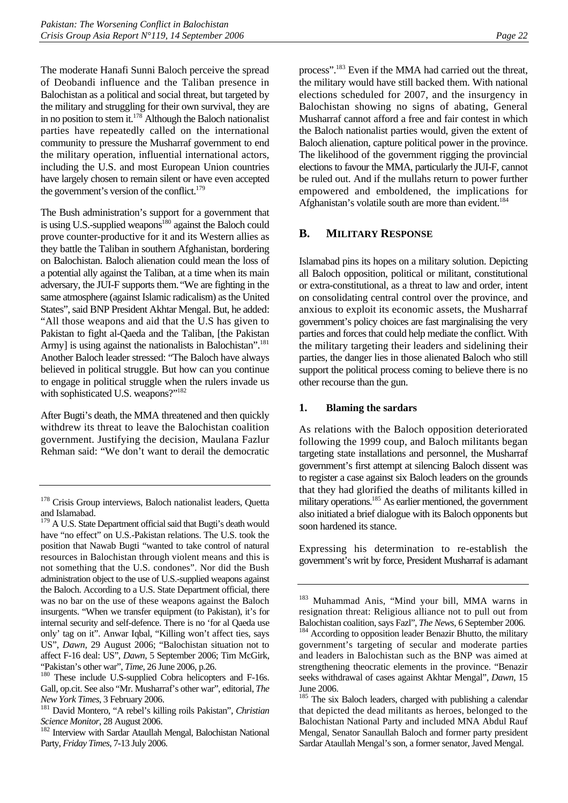The moderate Hanafi Sunni Baloch perceive the spread of Deobandi influence and the Taliban presence in Balochistan as a political and social threat, but targeted by the military and struggling for their own survival, they are in no position to stem it.<sup>178</sup> Although the Baloch nationalist parties have repeatedly called on the international community to pressure the Musharraf government to end the military operation, influential international actors, including the U.S. and most European Union countries have largely chosen to remain silent or have even accepted the government's version of the conflict. $179$ 

The Bush administration's support for a government that is using U.S.-supplied weapons<sup>180</sup> against the Baloch could prove counter-productive for it and its Western allies as they battle the Taliban in southern Afghanistan, bordering on Balochistan. Baloch alienation could mean the loss of a potential ally against the Taliban, at a time when its main adversary, the JUI-F supports them."We are fighting in the same atmosphere (against Islamic radicalism) as the United States", said BNP President Akhtar Mengal. But, he added: "All those weapons and aid that the U.S has given to Pakistan to fight al-Qaeda and the Taliban, [the Pakistan Army] is using against the nationalists in Balochistan".<sup>181</sup> Another Baloch leader stressed: "The Baloch have always believed in political struggle. But how can you continue to engage in political struggle when the rulers invade us with sophisticated U.S. weapons?"<sup>182</sup>

After Bugti's death, the MMA threatened and then quickly withdrew its threat to leave the Balochistan coalition government. Justifying the decision, Maulana Fazlur Rehman said: "We don't want to derail the democratic

process".<sup>183</sup> Even if the MMA had carried out the threat, the military would have still backed them. With national elections scheduled for 2007, and the insurgency in Balochistan showing no signs of abating, General Musharraf cannot afford a free and fair contest in which the Baloch nationalist parties would, given the extent of Baloch alienation, capture political power in the province. The likelihood of the government rigging the provincial elections to favour the MMA, particularly the JUI-F, cannot be ruled out. And if the mullahs return to power further empowered and emboldened, the implications for Afghanistan's volatile south are more than evident.<sup>184</sup>

## **B. MILITARY RESPONSE**

Islamabad pins its hopes on a military solution. Depicting all Baloch opposition, political or militant, constitutional or extra-constitutional, as a threat to law and order, intent on consolidating central control over the province, and anxious to exploit its economic assets, the Musharraf government's policy choices are fast marginalising the very parties and forces that could help mediate the conflict. With the military targeting their leaders and sidelining their parties, the danger lies in those alienated Baloch who still support the political process coming to believe there is no other recourse than the gun.

#### **1. Blaming the sardars**

As relations with the Baloch opposition deteriorated following the 1999 coup, and Baloch militants began targeting state installations and personnel, the Musharraf government's first attempt at silencing Baloch dissent was to register a case against six Baloch leaders on the grounds that they had glorified the deaths of militants killed in military operations.<sup>185</sup> As earlier mentioned, the government also initiated a brief dialogue with its Baloch opponents but soon hardened its stance.

Expressing his determination to re-establish the government's writ by force, President Musharraf is adamant

<sup>&</sup>lt;sup>178</sup> Crisis Group interviews, Baloch nationalist leaders, Quetta and Islamabad.

<sup>&</sup>lt;sup>179</sup> A U.S. State Department official said that Bugti's death would have "no effect" on U.S.-Pakistan relations. The U.S. took the position that Nawab Bugti "wanted to take control of natural resources in Balochistan through violent means and this is not something that the U.S. condones". Nor did the Bush administration object to the use of U.S.-supplied weapons against the Baloch. According to a U.S. State Department official, there was no bar on the use of these weapons against the Baloch insurgents. "When we transfer equipment (to Pakistan), it's for internal security and self-defence. There is no 'for al Qaeda use only' tag on it". Anwar Iqbal, "Killing won't affect ties, says US", *Dawn*, 29 August 2006; "Balochistan situation not to affect F-16 deal: US", *Dawn*, 5 September 2006; Tim McGirk, "Pakistan's other war", *Time*, 26 June 2006, p.26.<br><sup>180</sup> These include U.S-supplied Cobra helicopters and F-16s.

Gall, op.cit. See also "Mr. Musharraf's other war", editorial, *The* 

*New York Times*, 3 February 2006. 181 David Montero, "A rebel's killing roils Pakistan", *Christian* 

*Science Monitor*, 28 August 2006.<br><sup>182</sup> Interview with Sardar Ataullah Mengal, Balochistan National Party, *Friday Times*, 7-13 July 2006.

<sup>183</sup> Muhammad Anis, "Mind your bill, MMA warns in resignation threat: Religious alliance not to pull out from Balochistan coalition, says Fazl", *The News*, 6 September 2006. 184 According to opposition leader Benazir Bhutto, the military

government's targeting of secular and moderate parties and leaders in Balochistan such as the BNP was aimed at strengthening theocratic elements in the province. "Benazir seeks withdrawal of cases against Akhtar Mengal", *Dawn*, 15 June 2006.

<sup>&</sup>lt;sup>185</sup> The six Baloch leaders, charged with publishing a calendar that depicted the dead militants as heroes, belonged to the Balochistan National Party and included MNA Abdul Rauf Mengal, Senator Sanaullah Baloch and former party president Sardar Ataullah Mengal's son, a former senator, Javed Mengal.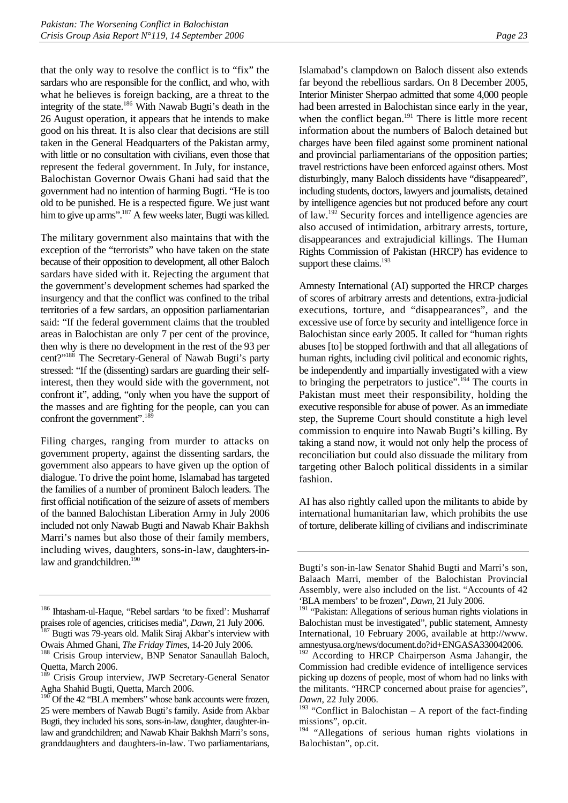that the only way to resolve the conflict is to "fix" the sardars who are responsible for the conflict, and who, with what he believes is foreign backing, are a threat to the integrity of the state.186 With Nawab Bugti's death in the 26 August operation, it appears that he intends to make good on his threat. It is also clear that decisions are still taken in the General Headquarters of the Pakistan army, with little or no consultation with civilians, even those that represent the federal government. In July, for instance, Balochistan Governor Owais Ghani had said that the government had no intention of harming Bugti. "He is too old to be punished. He is a respected figure. We just want him to give up arms".<sup>187</sup> A few weeks later, Bugti was killed.

The military government also maintains that with the exception of the "terrorists" who have taken on the state because of their opposition to development, all other Baloch sardars have sided with it. Rejecting the argument that the government's development schemes had sparked the insurgency and that the conflict was confined to the tribal territories of a few sardars, an opposition parliamentarian said: "If the federal government claims that the troubled areas in Balochistan are only 7 per cent of the province, then why is there no development in the rest of the 93 per cent?"188 The Secretary-General of Nawab Bugti's party stressed: "If the (dissenting) sardars are guarding their selfinterest, then they would side with the government, not confront it", adding, "only when you have the support of the masses and are fighting for the people, can you can confront the government". $^{18}$ 

Filing charges, ranging from murder to attacks on government property, against the dissenting sardars, the government also appears to have given up the option of dialogue. To drive the point home, Islamabad has targeted the families of a number of prominent Baloch leaders. The first official notification of the seizure of assets of members of the banned Balochistan Liberation Army in July 2006 included not only Nawab Bugti and Nawab Khair Bakhsh Marri's names but also those of their family members, including wives, daughters, sons-in-law, daughters-inlaw and grandchildren.<sup>190</sup>

Islamabad's clampdown on Baloch dissent also extends far beyond the rebellious sardars. On 8 December 2005, Interior Minister Sherpao admitted that some 4,000 people had been arrested in Balochistan since early in the year, when the conflict began. $191$  There is little more recent information about the numbers of Baloch detained but charges have been filed against some prominent national and provincial parliamentarians of the opposition parties; travel restrictions have been enforced against others. Most disturbingly, many Baloch dissidents have "disappeared", including students, doctors, lawyers and journalists, detained by intelligence agencies but not produced before any court of law.192 Security forces and intelligence agencies are also accused of intimidation, arbitrary arrests, torture, disappearances and extrajudicial killings. The Human Rights Commission of Pakistan (HRCP) has evidence to support these claims.<sup>193</sup>

Amnesty International (AI) supported the HRCP charges of scores of arbitrary arrests and detentions, extra-judicial executions, torture, and "disappearances", and the excessive use of force by security and intelligence force in Balochistan since early 2005. It called for "human rights abuses [to] be stopped forthwith and that all allegations of human rights, including civil political and economic rights, be independently and impartially investigated with a view to bringing the perpetrators to justice".<sup>194</sup> The courts in Pakistan must meet their responsibility, holding the executive responsible for abuse of power. As an immediate step, the Supreme Court should constitute a high level commission to enquire into Nawab Bugti's killing. By taking a stand now, it would not only help the process of reconciliation but could also dissuade the military from targeting other Baloch political dissidents in a similar fashion.

AI has also rightly called upon the militants to abide by international humanitarian law, which prohibits the use of torture, deliberate killing of civilians and indiscriminate

<sup>186</sup> Ihtasham-ul-Haque, "Rebel sardars 'to be fixed': Musharraf praises role of agencies, criticises media", *Dawn*, 21 July 2006.<br><sup>187</sup> Bugti was 79-years old. Malik Siraj Akbar's interview with

Owais Ahmed Ghani, *The Friday Times*, 14-20 July 2006. 188 Crisis Group interview, BNP Senator Sanaullah Baloch,

Quetta, March 2006.

Crisis Group interview, JWP Secretary-General Senator Agha Shahid Bugti, Quetta, March 2006.

 $190$  Of the 42 "BLA members" whose bank accounts were frozen, 25 were members of Nawab Bugti's family. Aside from Akbar Bugti, they included his sons, sons-in-law, daughter, daughter-inlaw and grandchildren; and Nawab Khair Bakhsh Marri's sons, granddaughters and daughters-in-law. Two parliamentarians,

Bugti's son-in-law Senator Shahid Bugti and Marri's son, Balaach Marri, member of the Balochistan Provincial Assembly, were also included on the list. "Accounts of 42 'BLA members' to be frozen", *Dawn,* 21 July 2006.

<sup>&</sup>lt;sup>191</sup> "Pakistan: Allegations of serious human rights violations in Balochistan must be investigated", public statement, Amnesty International, 10 February 2006, available at http://www. amnestyusa.org/news/document.do?id+ENGASA330042006.

<sup>&</sup>lt;sup>192</sup> According to HRCP Chairperson Asma Jahangir, the Commission had credible evidence of intelligence services picking up dozens of people, most of whom had no links with the militants. "HRCP concerned about praise for agencies", *Dawn*, 22 July 2006.

<sup>&</sup>lt;sup>193</sup> "Conflict in Balochistan – A report of the fact-finding missions", op.cit.

<sup>&</sup>lt;sup>194</sup> "Allegations of serious human rights violations in Balochistan", op.cit.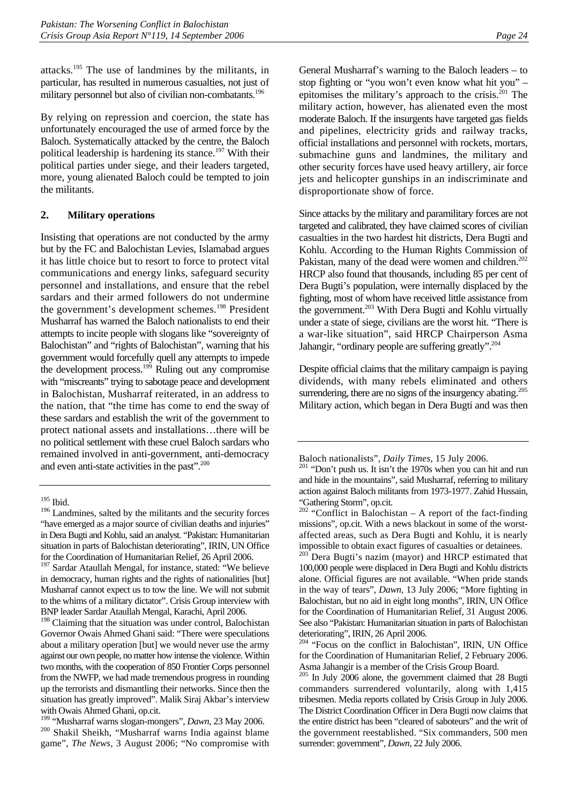attacks.195 The use of landmines by the militants, in particular, has resulted in numerous casualties, not just of military personnel but also of civilian non-combatants.<sup>196</sup>

By relying on repression and coercion, the state has unfortunately encouraged the use of armed force by the Baloch. Systematically attacked by the centre, the Baloch political leadership is hardening its stance.<sup>197</sup> With their political parties under siege, and their leaders targeted, more, young alienated Baloch could be tempted to join the militants.

#### **2. Military operations**

Insisting that operations are not conducted by the army but by the FC and Balochistan Levies, Islamabad argues it has little choice but to resort to force to protect vital communications and energy links, safeguard security personnel and installations, and ensure that the rebel sardars and their armed followers do not undermine the government's development schemes.<sup>198</sup> President Musharraf has warned the Baloch nationalists to end their attempts to incite people with slogans like "sovereignty of Balochistan" and "rights of Balochistan", warning that his government would forcefully quell any attempts to impede the development process.<sup>199</sup> Ruling out any compromise with "miscreants" trying to sabotage peace and development in Balochistan, Musharraf reiterated, in an address to the nation, that "the time has come to end the sway of these sardars and establish the writ of the government to protect national assets and installations…there will be no political settlement with these cruel Baloch sardars who remained involved in anti-government, anti-democracy and even anti-state activities in the past".<sup>200</sup>

Since attacks by the military and paramilitary forces are not targeted and calibrated, they have claimed scores of civilian casualties in the two hardest hit districts, Dera Bugti and Kohlu. According to the Human Rights Commission of Pakistan, many of the dead were women and children.<sup>202</sup> HRCP also found that thousands, including 85 per cent of Dera Bugti's population, were internally displaced by the fighting, most of whom have received little assistance from the government.<sup>203</sup> With Dera Bugti and Kohlu virtually under a state of siege, civilians are the worst hit. "There is a war-like situation", said HRCP Chairperson Asma Jahangir, "ordinary people are suffering greatly".<sup>204</sup>

Despite official claims that the military campaign is paying dividends, with many rebels eliminated and others surrendering, there are no signs of the insurgency abating.<sup>205</sup> Military action, which began in Dera Bugti and was then

<sup>203</sup> Dera Bugti's nazim (mayor) and HRCP estimated that 100,000 people were displaced in Dera Bugti and Kohlu districts alone. Official figures are not available. "When pride stands in the way of tears", *Dawn,* 13 July 2006; "More fighting in Balochistan, but no aid in eight long months", IRIN, UN Office for the Coordination of Humanitarian Relief, 31 August 2006. See also "Pakistan: Humanitarian situation in parts of Balochistan deteriorating", IRIN, 26 April 2006.

<sup>204</sup> "Focus on the conflict in Balochistan", IRIN, UN Office for the Coordination of Humanitarian Relief, 2 February 2006. Asma Jahangir is a member of the Crisis Group Board.

<sup>&</sup>lt;sup>195</sup> Ibid.

<sup>&</sup>lt;sup>196</sup> Landmines, salted by the militants and the security forces "have emerged as a major source of civilian deaths and injuries" in Dera Bugti and Kohlu, said an analyst. "Pakistan: Humanitarian situation in parts of Balochistan deteriorating", IRIN, UN Office for the Coordination of Humanitarian Relief, 26 April 2006.

<sup>&</sup>lt;sup>197</sup> Sardar Ataullah Mengal, for instance, stated: "We believe in democracy, human rights and the rights of nationalities [but] Musharraf cannot expect us to tow the line. We will not submit to the whims of a military dictator". Crisis Group interview with BNP leader Sardar Ataullah Mengal, Karachi, April 2006.

<sup>&</sup>lt;sup>198</sup> Claiming that the situation was under control, Balochistan Governor Owais Ahmed Ghani said: "There were speculations about a military operation [but] we would never use the army against our own people, no matter how intense the violence. Within two months, with the cooperation of 850 Frontier Corps personnel from the NWFP, we had made tremendous progress in rounding up the terrorists and dismantling their networks. Since then the situation has greatly improved". Malik Siraj Akbar's interview with Owais Ahmed Ghani, op.cit.

<sup>&</sup>lt;sup>199</sup> "Musharraf warns slogan-mongers", *Dawn*, 23 May 2006.<br><sup>200</sup> Shakil Sheikh, "Musharraf warns India against blame game", *The News,* 3 August 2006; "No compromise with

General Musharraf's warning to the Baloch leaders – to stop fighting or "you won't even know what hit you" – epitomises the military's approach to the crisis.<sup>201</sup> The military action, however, has alienated even the most moderate Baloch. If the insurgents have targeted gas fields and pipelines, electricity grids and railway tracks, official installations and personnel with rockets, mortars, submachine guns and landmines, the military and other security forces have used heavy artillery, air force jets and helicopter gunships in an indiscriminate and disproportionate show of force.

Baloch nationalists", *Daily Times,* 15 July 2006. 201 "Don't push us. It isn't the 1970s when you can hit and run and hide in the mountains", said Musharraf, referring to military action against Baloch militants from 1973-1977. Zahid Hussain, "Gathering Storm", op.cit.

<sup>&</sup>lt;sup>202</sup> "Conflict in Balochistan – A report of the fact-finding missions", op.cit. With a news blackout in some of the worstaffected areas, such as Dera Bugti and Kohlu, it is nearly impossible to obtain exact figures of casualties or detainees.

<sup>205</sup> In July 2006 alone, the government claimed that 28 Bugti commanders surrendered voluntarily, along with 1,415 tribesmen. Media reports collated by Crisis Group in July 2006. The District Coordination Officer in Dera Bugti now claims that the entire district has been "cleared of saboteurs" and the writ of the government reestablished. "Six commanders, 500 men surrender: government", *Dawn*, 22 July 2006.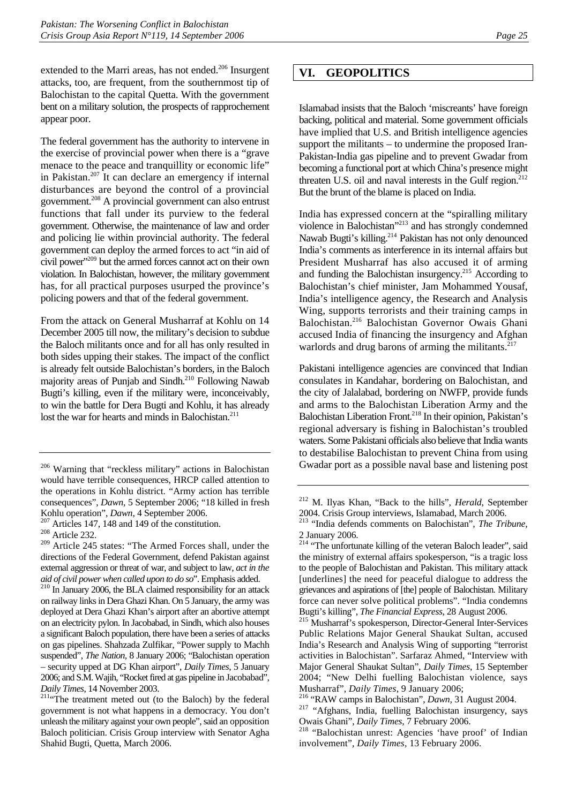extended to the Marri areas, has not ended.<sup>206</sup> Insurgent attacks, too, are frequent, from the southernmost tip of Balochistan to the capital Quetta. With the government bent on a military solution, the prospects of rapprochement appear poor.

The federal government has the authority to intervene in the exercise of provincial power when there is a "grave menace to the peace and tranquillity or economic life" in Pakistan.<sup>207</sup> It can declare an emergency if internal disturbances are beyond the control of a provincial government.208 A provincial government can also entrust functions that fall under its purview to the federal government. Otherwise, the maintenance of law and order and policing lie within provincial authority. The federal government can deploy the armed forces to act "in aid of civil power"209 but the armed forces cannot act on their own violation. In Balochistan, however, the military government has, for all practical purposes usurped the province's policing powers and that of the federal government.

From the attack on General Musharraf at Kohlu on 14 December 2005 till now, the military's decision to subdue the Baloch militants once and for all has only resulted in both sides upping their stakes. The impact of the conflict is already felt outside Balochistan's borders, in the Baloch majority areas of Punjab and Sindh.<sup>210</sup> Following Nawab Bugti's killing, even if the military were, inconceivably, to win the battle for Dera Bugti and Kohlu, it has already lost the war for hearts and minds in Balochistan.<sup>211</sup>

## **VI. GEOPOLITICS**

Islamabad insists that the Baloch 'miscreants' have foreign backing, political and material. Some government officials have implied that U.S. and British intelligence agencies support the militants – to undermine the proposed Iran-Pakistan-India gas pipeline and to prevent Gwadar from becoming a functional port at which China's presence might threaten U.S. oil and naval interests in the Gulf region. $212$ But the brunt of the blame is placed on India.

India has expressed concern at the "spiralling military violence in Balochistan"213 and has strongly condemned Nawab Bugti's killing.214 Pakistan has not only denounced India's comments as interference in its internal affairs but President Musharraf has also accused it of arming and funding the Balochistan insurgency.<sup>215</sup> According to Balochistan's chief minister, Jam Mohammed Yousaf, India's intelligence agency, the Research and Analysis Wing, supports terrorists and their training camps in Balochistan.216 Balochistan Governor Owais Ghani accused India of financing the insurgency and Afghan warlords and drug barons of arming the militants. $217$ 

Pakistani intelligence agencies are convinced that Indian consulates in Kandahar, bordering on Balochistan, and the city of Jalalabad, bordering on NWFP, provide funds and arms to the Balochistan Liberation Army and the Balochistan Liberation Front.<sup>218</sup> In their opinion, Pakistan's regional adversary is fishing in Balochistan's troubled waters. Some Pakistani officials also believe that India wants to destabilise Balochistan to prevent China from using Gwadar port as a possible naval base and listening post

<sup>206</sup> Warning that "reckless military" actions in Balochistan would have terrible consequences, HRCP called attention to the operations in Kohlu district. "Army action has terrible consequences", *Dawn*, 5 September 2006; "18 killed in fresh Kohlu operation", *Dawn*, 4 September 2006.<br><sup>207</sup> Articles 147, 148 and 149 of the constitution.<br><sup>208</sup> Article 232.

<sup>209</sup> Article 245 states: "The Armed Forces shall, under the directions of the Federal Government, defend Pakistan against external aggression or threat of war, and subject to law, *act in the aid of civil power when called upon to do so*". Emphasis added. 210 In January 2006, the BLA claimed responsibility for an attack

on railway links in Dera Ghazi Khan. On 5 January, the army was deployed at Dera Ghazi Khan's airport after an abortive attempt on an electricity pylon. In Jacobabad, in Sindh, which also houses a significant Baloch population, there have been a series of attacks on gas pipelines. Shahzada Zulfikar, "Power supply to Machh suspended", *The Nation,* 8 January 2006; "Balochistan operation – security upped at DG Khan airport", *Daily Times*, 5 January 2006; and S.M. Wajih, "Rocket fired at gas pipeline in Jacobabad", *Daily Times*, 14 November 2003.<br><sup>211</sup> The treatment meted out (to the Baloch) by the federal

government is not what happens in a democracy. You don't unleash the military against your own people", said an opposition Baloch politician. Crisis Group interview with Senator Agha Shahid Bugti, Quetta, March 2006.

<sup>212</sup> M. Ilyas Khan, "Back to the hills", *Herald*, September 2004. Crisis Group interviews, Islamabad, March 2006.

<sup>213 &</sup>quot;India defends comments on Balochistan", *The Tribune*, 2 January 2006.

<sup>&</sup>lt;sup>214</sup> "The unfortunate killing of the veteran Baloch leader", said the ministry of external affairs spokesperson, "is a tragic loss to the people of Balochistan and Pakistan. This military attack [underlines] the need for peaceful dialogue to address the grievances and aspirations of [the] people of Balochistan. Military force can never solve political problems". "India condemns Bugti's killing", *The Financial Express*, 28 August 2006. 215 Musharraf's spokesperson, Director-General Inter-Services

Public Relations Major General Shaukat Sultan, accused India's Research and Analysis Wing of supporting "terrorist activities in Balochistan". Sarfaraz Ahmed, "Interview with Major General Shaukat Sultan", *Daily Times*, 15 September 2004; "New Delhi fuelling Balochistan violence, says

Musharraf", *Daily Times*, 9 January 2006; 216 "RAW camps in Balochistan", *Dawn,* 31 August 2004. 217 "Afghans, India, fuelling Balochistan insurgency, says

Owais Ghani", *Daily Times*, 7 February 2006. 218 "Balochistan unrest: Agencies 'have proof' of Indian

involvement"*, Daily Times,* 13 February 2006.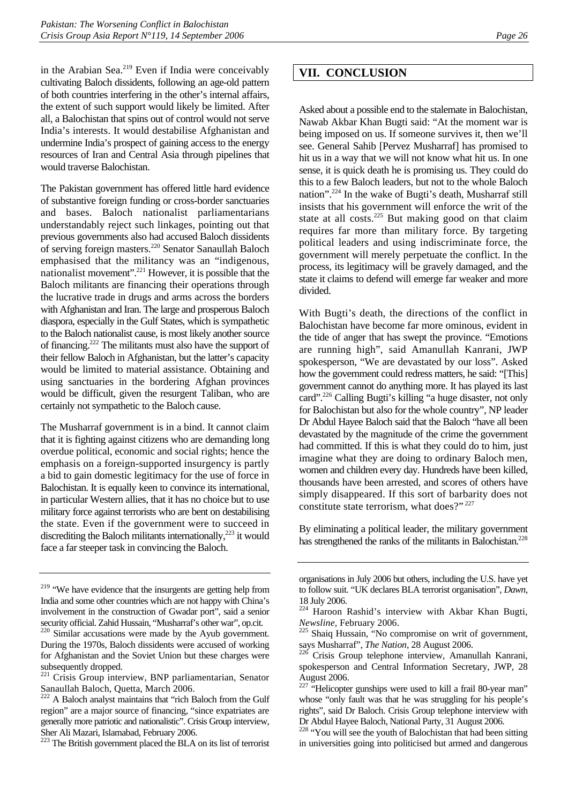in the Arabian Sea. $219$  Even if India were conceivably cultivating Baloch dissidents, following an age-old pattern of both countries interfering in the other's internal affairs, the extent of such support would likely be limited. After all, a Balochistan that spins out of control would not serve India's interests. It would destabilise Afghanistan and undermine India's prospect of gaining access to the energy resources of Iran and Central Asia through pipelines that would traverse Balochistan.

The Pakistan government has offered little hard evidence of substantive foreign funding or cross-border sanctuaries and bases. Baloch nationalist parliamentarians understandably reject such linkages, pointing out that previous governments also had accused Baloch dissidents of serving foreign masters.220 Senator Sanaullah Baloch emphasised that the militancy was an "indigenous, nationalist movement".221 However, it is possible that the Baloch militants are financing their operations through the lucrative trade in drugs and arms across the borders with Afghanistan and Iran. The large and prosperous Baloch diaspora, especially in the Gulf States, which is sympathetic to the Baloch nationalist cause, is most likely another source of financing.222 The militants must also have the support of their fellow Baloch in Afghanistan, but the latter's capacity would be limited to material assistance. Obtaining and using sanctuaries in the bordering Afghan provinces would be difficult, given the resurgent Taliban, who are certainly not sympathetic to the Baloch cause.

The Musharraf government is in a bind. It cannot claim that it is fighting against citizens who are demanding long overdue political, economic and social rights; hence the emphasis on a foreign-supported insurgency is partly a bid to gain domestic legitimacy for the use of force in Balochistan. It is equally keen to convince its international, in particular Western allies, that it has no choice but to use military force against terrorists who are bent on destabilising the state. Even if the government were to succeed in discrediting the Baloch militants internationally, $2^{23}$  it would face a far steeper task in convincing the Baloch.

## **VII. CONCLUSION**

Asked about a possible end to the stalemate in Balochistan, Nawab Akbar Khan Bugti said: "At the moment war is being imposed on us. If someone survives it, then we'll see. General Sahib [Pervez Musharraf] has promised to hit us in a way that we will not know what hit us. In one sense, it is quick death he is promising us. They could do this to a few Baloch leaders, but not to the whole Baloch nation".224 In the wake of Bugti's death, Musharraf still insists that his government will enforce the writ of the state at all costs. $225$  But making good on that claim requires far more than military force. By targeting political leaders and using indiscriminate force, the government will merely perpetuate the conflict. In the process, its legitimacy will be gravely damaged, and the state it claims to defend will emerge far weaker and more divided.

With Bugti's death, the directions of the conflict in Balochistan have become far more ominous, evident in the tide of anger that has swept the province. "Emotions are running high", said Amanullah Kanrani, JWP spokesperson, "We are devastated by our loss". Asked how the government could redress matters, he said: "[This] government cannot do anything more. It has played its last card".226 Calling Bugti's killing "a huge disaster, not only for Balochistan but also for the whole country", NP leader Dr Abdul Hayee Baloch said that the Baloch "have all been devastated by the magnitude of the crime the government had committed. If this is what they could do to him, just imagine what they are doing to ordinary Baloch men, women and children every day. Hundreds have been killed, thousands have been arrested, and scores of others have simply disappeared. If this sort of barbarity does not constitute state terrorism, what does?" <sup>227</sup>

By eliminating a political leader, the military government has strengthened the ranks of the militants in Balochistan.<sup>228</sup>

<sup>&</sup>lt;sup>219</sup> "We have evidence that the insurgents are getting help from India and some other countries which are not happy with China's involvement in the construction of Gwadar port", said a senior security official. Zahid Hussain, "Musharraf's other war", op.cit.

 $220$  Similar accusations were made by the Ayub government. During the 1970s, Baloch dissidents were accused of working for Afghanistan and the Soviet Union but these charges were subsequently dropped.

<sup>&</sup>lt;sup>221</sup> Crisis Group interview, BNP parliamentarian, Senator Sanaullah Baloch, Quetta, March 2006.

<sup>&</sup>lt;sup>222</sup> A Baloch analyst maintains that "rich Baloch from the Gulf region" are a major source of financing, "since expatriates are generally more patriotic and nationalistic". Crisis Group interview, Sher Ali Mazari, Islamabad, February 2006.

<sup>&</sup>lt;sup>223</sup> The British government placed the BLA on its list of terrorist

organisations in July 2006 but others, including the U.S. have yet to follow suit. "UK declares BLA terrorist organisation", *Dawn*, 18 July 2006.

<sup>224</sup> Haroon Rashid's interview with Akbar Khan Bugti, *Newsline*, February 2006.<br><sup>225</sup> Shaiq Hussain, "No compromise on writ of government,

says Musharraf", *The Nation*, 28 August 2006.<br><sup>226</sup> Crisis Group telephone interview, Amanullah Kanrani,

spokesperson and Central Information Secretary, JWP, 28 August 2006.

 $227$  "Helicopter gunships were used to kill a frail 80-year man" whose "only fault was that he was struggling for his people's rights", said Dr Baloch. Crisis Group telephone interview with Dr Abdul Hayee Baloch, National Party, 31 August 2006.

<sup>&</sup>lt;sup>228</sup> "You will see the youth of Balochistan that had been sitting in universities going into politicised but armed and dangerous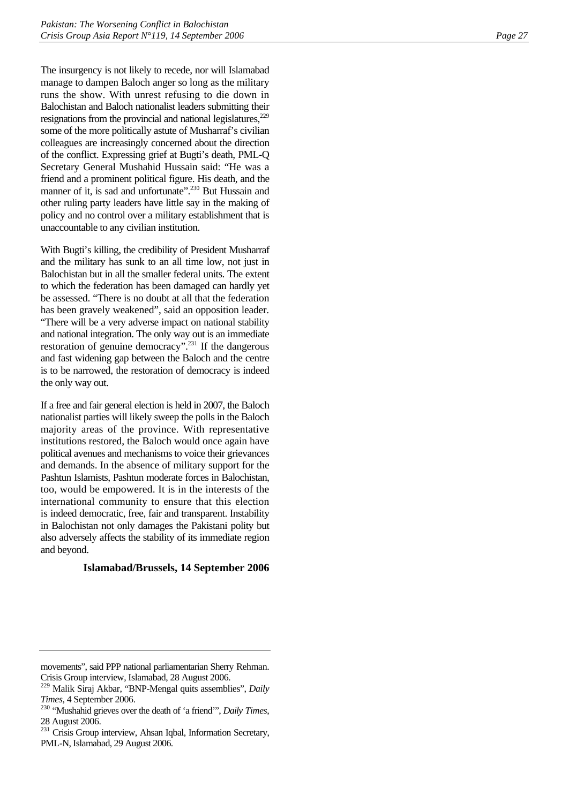The insurgency is not likely to recede, nor will Islamabad manage to dampen Baloch anger so long as the military runs the show. With unrest refusing to die down in Balochistan and Baloch nationalist leaders submitting their resignations from the provincial and national legislatures,<sup>229</sup> some of the more politically astute of Musharraf's civilian colleagues are increasingly concerned about the direction of the conflict. Expressing grief at Bugti's death, PML-Q Secretary General Mushahid Hussain said: "He was a friend and a prominent political figure. His death, and the manner of it, is sad and unfortunate".<sup>230</sup> But Hussain and other ruling party leaders have little say in the making of policy and no control over a military establishment that is unaccountable to any civilian institution.

With Bugti's killing, the credibility of President Musharraf and the military has sunk to an all time low, not just in Balochistan but in all the smaller federal units. The extent to which the federation has been damaged can hardly yet be assessed. "There is no doubt at all that the federation has been gravely weakened", said an opposition leader. "There will be a very adverse impact on national stability and national integration. The only way out is an immediate restoration of genuine democracy".231 If the dangerous and fast widening gap between the Baloch and the centre is to be narrowed, the restoration of democracy is indeed the only way out.

If a free and fair general election is held in 2007, the Baloch nationalist parties will likely sweep the polls in the Baloch majority areas of the province. With representative institutions restored, the Baloch would once again have political avenues and mechanisms to voice their grievances and demands. In the absence of military support for the Pashtun Islamists, Pashtun moderate forces in Balochistan, too, would be empowered. It is in the interests of the international community to ensure that this election is indeed democratic, free, fair and transparent. Instability in Balochistan not only damages the Pakistani polity but also adversely affects the stability of its immediate region and beyond.

#### **Islamabad/Brussels, 14 September 2006**

movements", said PPP national parliamentarian Sherry Rehman. Crisis Group interview, Islamabad, 28 August 2006.

<sup>229</sup> Malik Siraj Akbar, "BNP-Mengal quits assemblies", *Daily Times*, 4 September 2006. 230 "Mushahid grieves over the death of 'a friend'", *Daily Times*,

<sup>28</sup> August 2006.

<sup>&</sup>lt;sup>231</sup> Crisis Group interview, Ahsan Iqbal, Information Secretary, PML-N, Islamabad, 29 August 2006.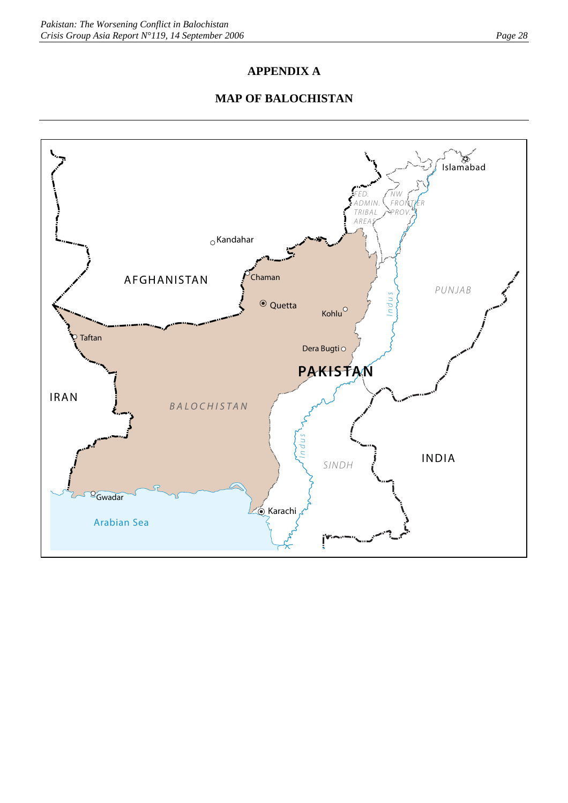## **APPENDIX A**

## **MAP OF BALOCHISTAN**

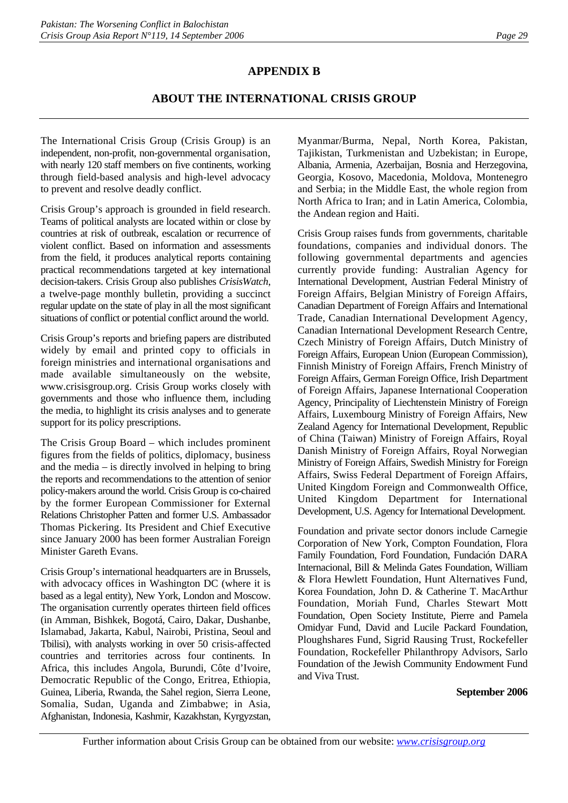## **APPENDIX B**

## **ABOUT THE INTERNATIONAL CRISIS GROUP**

The International Crisis Group (Crisis Group) is an independent, non-profit, non-governmental organisation, with nearly 120 staff members on five continents, working through field-based analysis and high-level advocacy to prevent and resolve deadly conflict.

Crisis Group's approach is grounded in field research. Teams of political analysts are located within or close by countries at risk of outbreak, escalation or recurrence of violent conflict. Based on information and assessments from the field, it produces analytical reports containing practical recommendations targeted at key international decision-takers. Crisis Group also publishes *CrisisWatch*, a twelve-page monthly bulletin, providing a succinct regular update on the state of play in all the most significant situations of conflict or potential conflict around the world.

Crisis Group's reports and briefing papers are distributed widely by email and printed copy to officials in foreign ministries and international organisations and made available simultaneously on the website, www.crisisgroup.org. Crisis Group works closely with governments and those who influence them, including the media, to highlight its crisis analyses and to generate support for its policy prescriptions.

The Crisis Group Board – which includes prominent figures from the fields of politics, diplomacy, business and the media – is directly involved in helping to bring the reports and recommendations to the attention of senior policy-makers around the world. Crisis Group is co-chaired by the former European Commissioner for External Relations Christopher Patten and former U.S. Ambassador Thomas Pickering. Its President and Chief Executive since January 2000 has been former Australian Foreign Minister Gareth Evans.

Crisis Group's international headquarters are in Brussels, with advocacy offices in Washington DC (where it is based as a legal entity), New York, London and Moscow. The organisation currently operates thirteen field offices (in Amman, Bishkek, Bogotá, Cairo, Dakar, Dushanbe, Islamabad, Jakarta, Kabul, Nairobi, Pristina, Seoul and Tbilisi), with analysts working in over 50 crisis-affected countries and territories across four continents. In Africa, this includes Angola, Burundi, Côte d'Ivoire, Democratic Republic of the Congo, Eritrea, Ethiopia, Guinea, Liberia, Rwanda, the Sahel region, Sierra Leone, Somalia, Sudan, Uganda and Zimbabwe; in Asia, Afghanistan, Indonesia, Kashmir, Kazakhstan, Kyrgyzstan, Myanmar/Burma, Nepal, North Korea, Pakistan, Tajikistan, Turkmenistan and Uzbekistan; in Europe, Albania, Armenia, Azerbaijan, Bosnia and Herzegovina, Georgia, Kosovo, Macedonia, Moldova, Montenegro and Serbia; in the Middle East, the whole region from North Africa to Iran; and in Latin America, Colombia, the Andean region and Haiti.

Crisis Group raises funds from governments, charitable foundations, companies and individual donors. The following governmental departments and agencies currently provide funding: Australian Agency for International Development, Austrian Federal Ministry of Foreign Affairs, Belgian Ministry of Foreign Affairs, Canadian Department of Foreign Affairs and International Trade, Canadian International Development Agency, Canadian International Development Research Centre, Czech Ministry of Foreign Affairs, Dutch Ministry of Foreign Affairs, European Union (European Commission), Finnish Ministry of Foreign Affairs, French Ministry of Foreign Affairs, German Foreign Office, Irish Department of Foreign Affairs, Japanese International Cooperation Agency, Principality of Liechtenstein Ministry of Foreign Affairs, Luxembourg Ministry of Foreign Affairs, New Zealand Agency for International Development, Republic of China (Taiwan) Ministry of Foreign Affairs, Royal Danish Ministry of Foreign Affairs, Royal Norwegian Ministry of Foreign Affairs, Swedish Ministry for Foreign Affairs, Swiss Federal Department of Foreign Affairs, United Kingdom Foreign and Commonwealth Office, United Kingdom Department for International Development, U.S. Agency for International Development.

Foundation and private sector donors include Carnegie Corporation of New York, Compton Foundation, Flora Family Foundation, Ford Foundation, Fundación DARA Internacional, Bill & Melinda Gates Foundation, William & Flora Hewlett Foundation, Hunt Alternatives Fund, Korea Foundation, John D. & Catherine T. MacArthur Foundation, Moriah Fund, Charles Stewart Mott Foundation, Open Society Institute, Pierre and Pamela Omidyar Fund, David and Lucile Packard Foundation, Ploughshares Fund, Sigrid Rausing Trust, Rockefeller Foundation, Rockefeller Philanthropy Advisors, Sarlo Foundation of the Jewish Community Endowment Fund and Viva Trust.

#### **September 2006**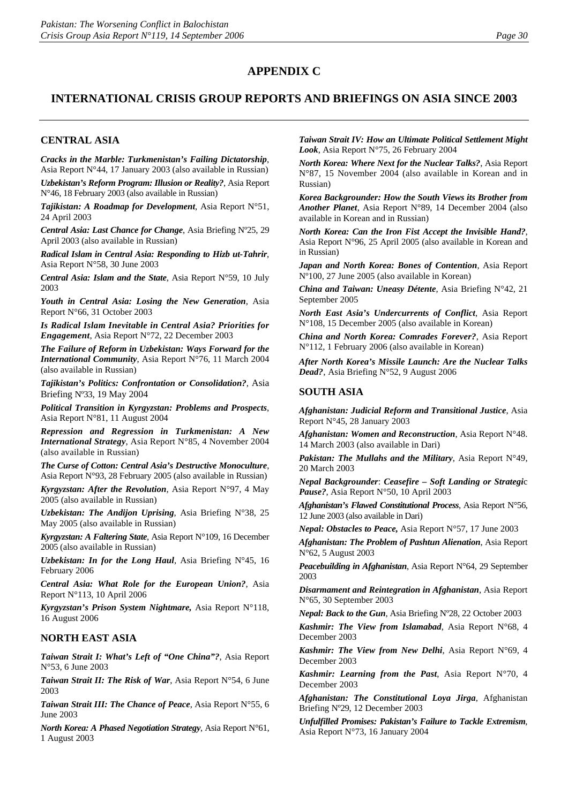## **APPENDIX C**

## **INTERNATIONAL CRISIS GROUP REPORTS AND BRIEFINGS ON ASIA SINCE 2003**

#### **CENTRAL ASIA**

*Cracks in the Marble: Turkmenistan's Failing Dictatorship*, Asia Report N°44, 17 January 2003 (also available in Russian)

*Uzbekistan's Reform Program: Illusion or Reality?*, Asia Report N°46, 18 February 2003 (also available in Russian)

*Tajikistan: A Roadmap for Development*, Asia Report N°51, 24 April 2003

*Central Asia: Last Chance for Change*, Asia Briefing Nº25, 29 April 2003 (also available in Russian)

*Radical Islam in Central Asia: Responding to Hizb ut-Tahrir*, Asia Report N°58, 30 June 2003

*Central Asia: Islam and the State*, Asia Report N°59, 10 July 2003

*Youth in Central Asia: Losing the New Generation*, Asia Report N°66, 31 October 2003

*Is Radical Islam Inevitable in Central Asia? Priorities for Engagement*, Asia Report N°72, 22 December 2003

*The Failure of Reform in Uzbekistan: Ways Forward for the International Community*, Asia Report N°76, 11 March 2004 (also available in Russian)

*Tajikistan's Politics: Confrontation or Consolidation?*, Asia Briefing Nº33, 19 May 2004

*Political Transition in Kyrgyzstan: Problems and Prospects*, Asia Report N°81, 11 August 2004

*Repression and Regression in Turkmenistan: A New International Strategy*, Asia Report N°85, 4 November 2004 (also available in Russian)

*The Curse of Cotton: Central Asia's Destructive Monoculture*, Asia Report N°93, 28 February 2005 (also available in Russian)

*Kyrgyzstan: After the Revolution*, Asia Report N°97, 4 May 2005 (also available in Russian)

*Uzbekistan: The Andijon Uprising*, Asia Briefing N°38, 25 May 2005 (also available in Russian)

*Kyrgyzstan: A Faltering State*, Asia Report N°109, 16 December 2005 (also available in Russian)

*Uzbekistan: In for the Long Haul*, Asia Briefing N°45, 16 February 2006

*Central Asia: What Role for the European Union?*, Asia Report N°113, 10 April 2006

*Kyrgyzstan's Prison System Nightmare,* Asia Report N°118, 16 August 2006

#### **NORTH EAST ASIA**

*Taiwan Strait I: What's Left of "One China"?*, Asia Report N°53, 6 June 2003

*Taiwan Strait II: The Risk of War*, Asia Report N°54, 6 June 2003

*Taiwan Strait III: The Chance of Peace*, Asia Report N°55, 6 June 2003

*North Korea: A Phased Negotiation Strategy*, Asia Report N°61, 1 August 2003

*Taiwan Strait IV: How an Ultimate Political Settlement Might Look*, Asia Report N°75, 26 February 2004

*North Korea: Where Next for the Nuclear Talks?*, Asia Report N°87, 15 November 2004 (also available in Korean and in Russian)

*Korea Backgrounder: How the South Views its Brother from Another Planet*, Asia Report N°89, 14 December 2004 (also available in Korean and in Russian)

*North Korea: Can the Iron Fist Accept the Invisible Hand?*, Asia Report N°96, 25 April 2005 (also available in Korean and in Russian)

*Japan and North Korea: Bones of Contention*, Asia Report Nº100, 27 June 2005 (also available in Korean)

*China and Taiwan: Uneasy Détente*, Asia Briefing N°42, 21 September 2005

*North East Asia's Undercurrents of Conflict*, Asia Report N°108, 15 December 2005 (also available in Korean)

*China and North Korea: Comrades Forever?*, Asia Report N°112, 1 February 2006 (also available in Korean)

*After North Korea's Missile Launch: Are the Nuclear Talks Dead?*, Asia Briefing N°52, 9 August 2006

#### **SOUTH ASIA**

*Afghanistan: Judicial Reform and Transitional Justice*, Asia Report N°45, 28 January 2003

*Afghanistan: Women and Reconstruction*, Asia Report N°48. 14 March 2003 (also available in Dari)

*Pakistan: The Mullahs and the Military*, Asia Report N°49, 20 March 2003

*Nepal Backgrounder*: *Ceasefire – Soft Landing or Strategi*c *Pause?*, Asia Report N°50, 10 April 2003

*Afghanistan's Flawed Constitutional Process*, Asia Report N°56, 12 June 2003 (also available in Dari)

*Nepal: Obstacles to Peace,* Asia Report N°57, 17 June 2003

*Afghanistan: The Problem of Pashtun Alienation*, Asia Report N°62, 5 August 2003

*Peacebuilding in Afghanistan*, Asia Report N°64, 29 September 2003

*Disarmament and Reintegration in Afghanistan*, Asia Report N°65, 30 September 2003

*Nepal: Back to the Gun*, Asia Briefing Nº28, 22 October 2003

*Kashmir: The View from Islamabad*, Asia Report N°68, 4 December 2003

*Kashmir: The View from New Delhi*, Asia Report N°69, 4 December 2003

*Kashmir: Learning from the Past*, Asia Report N°70, 4 December 2003

*Afghanistan: The Constitutional Loya Jirga*, Afghanistan Briefing Nº29, 12 December 2003

*Unfulfilled Promises: Pakistan's Failure to Tackle Extremism*, Asia Report N°73, 16 January 2004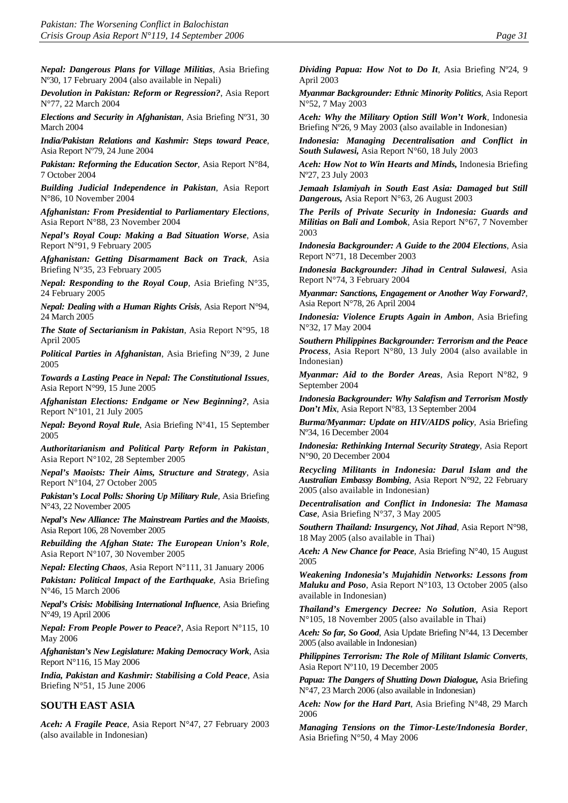*Nepal: Dangerous Plans for Village Militias*, Asia Briefing Nº30, 17 February 2004 (also available in Nepali)

*Devolution in Pakistan: Reform or Regression?*, Asia Report N°77, 22 March 2004

*Elections and Security in Afghanistan*, Asia Briefing Nº31, 30 March 2004

*India/Pakistan Relations and Kashmir: Steps toward Peace*, Asia Report Nº79, 24 June 2004

*Pakistan: Reforming the Education Sector*, Asia Report N°84, 7 October 2004

*Building Judicial Independence in Pakistan*, Asia Report N°86, 10 November 2004

*Afghanistan: From Presidential to Parliamentary Elections*, Asia Report N°88, 23 November 2004

*Nepal's Royal Coup: Making a Bad Situation Worse*, Asia Report N°91, 9 February 2005

*Afghanistan: Getting Disarmament Back on Track*, Asia Briefing N°35, 23 February 2005

*Nepal: Responding to the Royal Coup*, Asia Briefing N°35, 24 February 2005

*Nepal: Dealing with a Human Rights Crisis*, Asia Report N°94, 24 March 2005

*The State of Sectarianism in Pakistan*, Asia Report N°95, 18 April 2005

*Political Parties in Afghanistan*, Asia Briefing N°39, 2 June 2005

*Towards a Lasting Peace in Nepal: The Constitutional Issues*, Asia Report N°99, 15 June 2005

*Afghanistan Elections: Endgame or New Beginning?*, Asia Report N°101, 21 July 2005

*Nepal: Beyond Royal Rule*, Asia Briefing N°41, 15 September 2005

*Authoritarianism and Political Party Reform in Pakistan*¸ Asia Report N°102, 28 September 2005

*Nepal's Maoists: Their Aims, Structure and Strategy*, Asia Report N°104, 27 October 2005

*Pakistan's Local Polls: Shoring Up Military Rule*, Asia Briefing N°43, 22 November 2005

*Nepal's New Alliance: The Mainstream Parties and the Maoists*, Asia Report 106, 28 November 2005

*Rebuilding the Afghan State: The European Union's Role*, Asia Report N°107, 30 November 2005

*Nepal: Electing Chaos*, Asia Report N°111, 31 January 2006

*Pakistan: Political Impact of the Earthquake*, Asia Briefing N°46, 15 March 2006

*Nepal's Crisis: Mobilising International Influence*, Asia Briefing N°49, 19 April 2006

*Nepal: From People Power to Peace?*, Asia Report N°115, 10 May 2006

*Afghanistan's New Legislature: Making Democracy Work*, Asia Report N°116, 15 May 2006

*India, Pakistan and Kashmir: Stabilising a Cold Peace*, Asia Briefing N°51, 15 June 2006

#### **SOUTH EAST ASIA**

*Aceh: A Fragile Peace*, Asia Report N°47, 27 February 2003 (also available in Indonesian)

*Dividing Papua: How Not to Do It*, Asia Briefing Nº24, 9 April 2003

*Myanmar Backgrounder: Ethnic Minority Politics,* Asia Report N°52, 7 May 2003

*Aceh: Why the Military Option Still Won't Work*, Indonesia Briefing Nº26, 9 May 2003 (also available in Indonesian)

*Indonesia: Managing Decentralisation and Conflict in South Sulawesi,* Asia Report N°60, 18 July 2003

*Aceh: How Not to Win Hearts and Minds,* Indonesia Briefing Nº27, 23 July 2003

*Jemaah Islamiyah in South East Asia: Damaged but Still Dangerous,* Asia Report N°63, 26 August 2003

*The Perils of Private Security in Indonesia: Guards and Militias on Bali and Lombok*, Asia Report N°67, 7 November 2003

*Indonesia Backgrounder: A Guide to the 2004 Elections*, Asia Report N°71, 18 December 2003

*Indonesia Backgrounder: Jihad in Central Sulawesi*, Asia Report N°74, 3 February 2004

*Myanmar: Sanctions, Engagement or Another Way Forward?*, Asia Report N°78, 26 April 2004

*Indonesia: Violence Erupts Again in Ambon*, Asia Briefing N°32, 17 May 2004

*Southern Philippines Backgrounder: Terrorism and the Peace Process*, Asia Report N°80, 13 July 2004 (also available in Indonesian)

*Myanmar: Aid to the Border Areas*, Asia Report N°82, 9 September 2004

*Indonesia Backgrounder: Why Salafism and Terrorism Mostly Don't Mix*, Asia Report N°83, 13 September 2004

*Burma/Myanmar: Update on HIV/AIDS policy*, Asia Briefing Nº34, 16 December 2004

*Indonesia: Rethinking Internal Security Strategy*, Asia Report N°90, 20 December 2004

*Recycling Militants in Indonesia: Darul Islam and the Australian Embassy Bombing*, Asia Report N°92, 22 February 2005 (also available in Indonesian)

*Decentralisation and Conflict in Indonesia: The Mamasa Case*, Asia Briefing N°37, 3 May 2005

*Southern Thailand: Insurgency, Not Jihad*, Asia Report N°98, 18 May 2005 (also available in Thai)

*Aceh: A New Chance for Peace*, Asia Briefing N°40, 15 August 2005

*Weakening Indonesia's Mujahidin Networks: Lessons from Maluku and Poso*, Asia Report N°103, 13 October 2005 (also available in Indonesian)

*Thailand's Emergency Decree: No Solution*, Asia Report N°105, 18 November 2005 (also available in Thai)

*Aceh: So far, So Good*, Asia Update Briefing N°44, 13 December 2005 (also available in Indonesian)

*Philippines Terrorism: The Role of Militant Islamic Converts*, Asia Report Nº110, 19 December 2005

*Papua: The Dangers of Shutting Down Dialogue,* Asia Briefing N°47, 23 March 2006 (also available in Indonesian)

*Aceh: Now for the Hard Part*, Asia Briefing N°48, 29 March 2006

*Managing Tensions on the Timor-Leste/Indonesia Border*, Asia Briefing N°50, 4 May 2006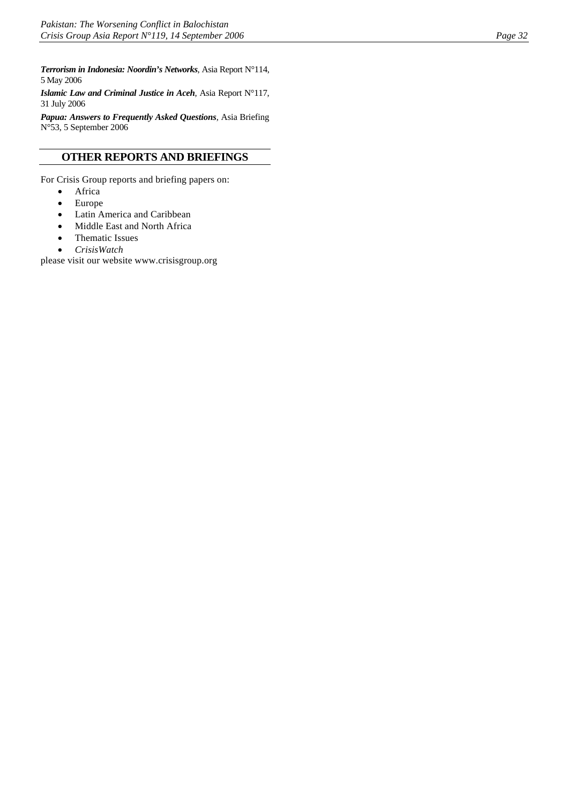*Terrorism in Indonesia: Noordin's Networks*, Asia Report N°114, 5 May 2006

*Islamic Law and Criminal Justice in Aceh*, Asia Report N°117, 31 July 2006

*Papua: Answers to Frequently Asked Questions*, Asia Briefing N°53, 5 September 2006

## **OTHER REPORTS AND BRIEFINGS**

For Crisis Group reports and briefing papers on:

- Africa
- Europe
- Latin America and Caribbean
- Middle East and North Africa
- Thematic Issues
- *CrisisWatch*

please visit our website www.crisisgroup.org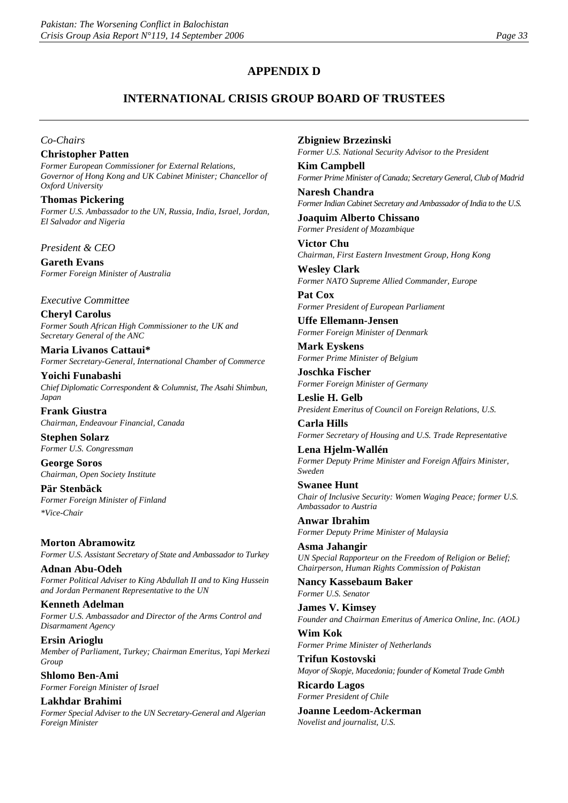## **APPENDIX D**

## **INTERNATIONAL CRISIS GROUP BOARD OF TRUSTEES**

*Co-Chairs*

**Christopher Patten** *Former European Commissioner for External Relations, Governor of Hong Kong and UK Cabinet Minister; Chancellor of Oxford University*

**Thomas Pickering**  *Former U.S. Ambassador to the UN, Russia, India, Israel, Jordan, El Salvador and Nigeria*

*President & CEO*

**Gareth Evans** *Former Foreign Minister of Australia*

*Executive Committee*

**Cheryl Carolus** *Former South African High Commissioner to the UK and Secretary General of the ANC*

**Maria Livanos Cattaui\*** *Former Secretary-General, International Chamber of Commerce*

**Yoichi Funabashi** *Chief Diplomatic Correspondent & Columnist, The Asahi Shimbun, Japan* 

**Frank Giustra** *Chairman, Endeavour Financial, Canada*

**Stephen Solarz** *Former U.S. Congressman*

**George Soros** *Chairman, Open Society Institute*

**Pär Stenbäck** *Former Foreign Minister of Finland \*Vice-Chair*

**Morton Abramowitz** *Former U.S. Assistant Secretary of State and Ambassador to Turkey*

**Adnan Abu-Odeh** *Former Political Adviser to King Abdullah II and to King Hussein and Jordan Permanent Representative to the UN*

**Kenneth Adelman** *Former U.S. Ambassador and Director of the Arms Control and Disarmament Agency*

**Ersin Arioglu** *Member of Parliament, Turkey; Chairman Emeritus, Yapi Merkezi Group*

**Shlomo Ben-Ami** *Former Foreign Minister of Israel*

**Lakhdar Brahimi** *Former Special Adviser to the UN Secretary-General and Algerian Foreign Minister*

**Zbigniew Brzezinski**

*Former U.S. National Security Advisor to the President*

**Kim Campbell** *Former Prime Minister of Canada; Secretary General, Club of Madrid*

**Naresh Chandra** *Former Indian Cabinet Secretary and Ambassador of India to the U.S.*

**Joaquim Alberto Chissano** *Former President of Mozambique*

**Victor Chu** *Chairman, First Eastern Investment Group, Hong Kong*

**Wesley Clark** *Former NATO Supreme Allied Commander, Europe*

**Pat Cox** *Former President of European Parliament*

**Uffe Ellemann-Jensen** *Former Foreign Minister of Denmark*

**Mark Eyskens** *Former Prime Minister of Belgium*

**Joschka Fischer** *Former Foreign Minister of Germany*

**Leslie H. Gelb** *President Emeritus of Council on Foreign Relations, U.S.* 

**Carla Hills** *Former Secretary of Housing and U.S. Trade Representative*

**Lena Hjelm-Wallén** *Former Deputy Prime Minister and Foreign Affairs Minister, Sweden*

**Swanee Hunt** *Chair of Inclusive Security: Women Waging Peace; former U.S. Ambassador to Austria*

**Anwar Ibrahim** *Former Deputy Prime Minister of Malaysia*

**Asma Jahangir** *UN Special Rapporteur on the Freedom of Religion or Belief; Chairperson, Human Rights Commission of Pakistan*

**Nancy Kassebaum Baker** *Former U.S. Senator* 

**James V. Kimsey** *Founder and Chairman Emeritus of America Online, Inc. (AOL)*

**Wim Kok** *Former Prime Minister of Netherlands*

**Trifun Kostovski** *Mayor of Skopje, Macedonia; founder of Kometal Trade Gmbh* 

**Ricardo Lagos** *Former President of Chile* 

**Joanne Leedom-Ackerman** *Novelist and journalist, U.S.*